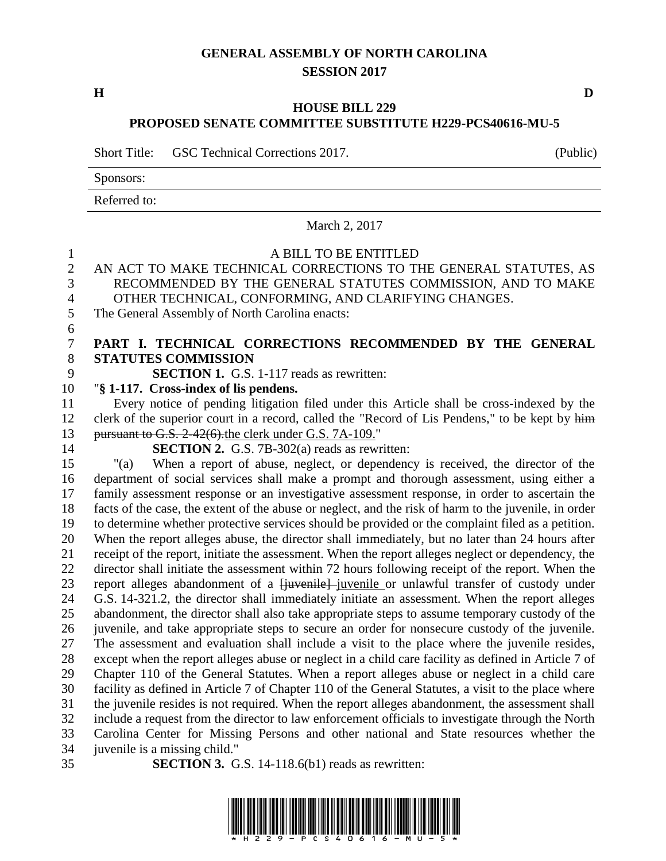# **GENERAL ASSEMBLY OF NORTH CAROLINA SESSION 2017**

**H D**

## **HOUSE BILL 229 PROPOSED SENATE COMMITTEE SUBSTITUTE H229-PCS40616-MU-5**

Short Title: GSC Technical Corrections 2017. (Public)

Sponsors:

Referred to:

|                                                  | March 2, 2017                                                                                                                                                                                    |
|--------------------------------------------------|--------------------------------------------------------------------------------------------------------------------------------------------------------------------------------------------------|
| $\mathbf{1}$<br>$\overline{2}$<br>$\mathfrak{Z}$ | A BILL TO BE ENTITLED<br>AN ACT TO MAKE TECHNICAL CORRECTIONS TO THE GENERAL STATUTES, AS<br>RECOMMENDED BY THE GENERAL STATUTES COMMISSION, AND TO MAKE                                         |
| $\overline{4}$                                   | OTHER TECHNICAL, CONFORMING, AND CLARIFYING CHANGES.                                                                                                                                             |
| 5                                                | The General Assembly of North Carolina enacts:                                                                                                                                                   |
| $\boldsymbol{6}$                                 |                                                                                                                                                                                                  |
| $\overline{7}$                                   | PART I. TECHNICAL CORRECTIONS RECOMMENDED BY THE GENERAL                                                                                                                                         |
| 8                                                | <b>STATUTES COMMISSION</b>                                                                                                                                                                       |
| 9                                                | <b>SECTION 1.</b> G.S. 1-117 reads as rewritten:                                                                                                                                                 |
| $10\,$                                           | "§ 1-117. Cross-index of lis pendens.                                                                                                                                                            |
| 11                                               | Every notice of pending litigation filed under this Article shall be cross-indexed by the                                                                                                        |
| 12                                               | clerk of the superior court in a record, called the "Record of Lis Pendens," to be kept by him                                                                                                   |
| 13                                               | pursuant to G.S. 2-42(6)-the clerk under G.S. 7A-109."                                                                                                                                           |
| 14                                               | <b>SECTION 2.</b> G.S. 7B-302(a) reads as rewritten:                                                                                                                                             |
| 15                                               | When a report of abuse, neglect, or dependency is received, the director of the<br>" $(a)$                                                                                                       |
| 16                                               | department of social services shall make a prompt and thorough assessment, using either a                                                                                                        |
| 17                                               | family assessment response or an investigative assessment response, in order to ascertain the                                                                                                    |
| 18                                               | facts of the case, the extent of the abuse or neglect, and the risk of harm to the juvenile, in order                                                                                            |
| 19                                               | to determine whether protective services should be provided or the complaint filed as a petition.                                                                                                |
| 20                                               | When the report alleges abuse, the director shall immediately, but no later than 24 hours after                                                                                                  |
| 21                                               | receipt of the report, initiate the assessment. When the report alleges neglect or dependency, the                                                                                               |
| 22                                               | director shall initiate the assessment within 72 hours following receipt of the report. When the                                                                                                 |
| 23                                               | report alleges abandonment of a Huvenile ljuvenile or unlawful transfer of custody under                                                                                                         |
| 24<br>25                                         | G.S. 14-321.2, the director shall immediately initiate an assessment. When the report alleges                                                                                                    |
| 26                                               | abandonment, the director shall also take appropriate steps to assume temporary custody of the<br>juvenile, and take appropriate steps to secure an order for nonsecure custody of the juvenile. |
| 27                                               | The assessment and evaluation shall include a visit to the place where the juvenile resides,                                                                                                     |
| 28                                               | except when the report alleges abuse or neglect in a child care facility as defined in Article 7 of                                                                                              |
| 29                                               | Chapter 110 of the General Statutes. When a report alleges abuse or neglect in a child care                                                                                                      |
| 30                                               | facility as defined in Article 7 of Chapter 110 of the General Statutes, a visit to the place where                                                                                              |
| 31                                               | the juvenile resides is not required. When the report alleges abandonment, the assessment shall                                                                                                  |
| 32                                               | include a request from the director to law enforcement officials to investigate through the North                                                                                                |
| 33                                               | Carolina Center for Missing Persons and other national and State resources whether the                                                                                                           |
| 34                                               | juvenile is a missing child."                                                                                                                                                                    |
| 35                                               | <b>SECTION 3.</b> G.S. 14-118.6(b1) reads as rewritten:                                                                                                                                          |

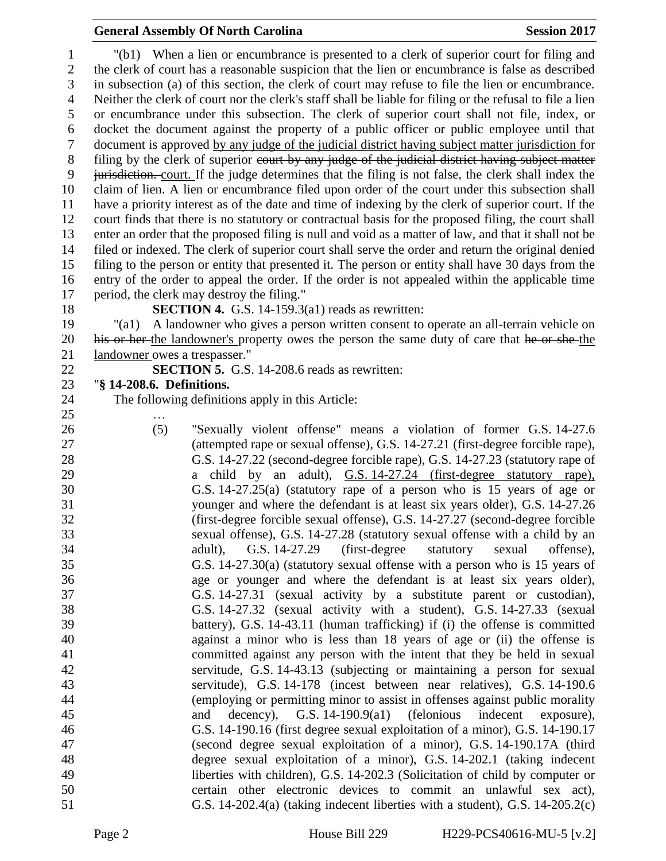"(b1) When a lien or encumbrance is presented to a clerk of superior court for filing and the clerk of court has a reasonable suspicion that the lien or encumbrance is false as described in subsection (a) of this section, the clerk of court may refuse to file the lien or encumbrance. Neither the clerk of court nor the clerk's staff shall be liable for filing or the refusal to file a lien or encumbrance under this subsection. The clerk of superior court shall not file, index, or docket the document against the property of a public officer or public employee until that document is approved by any judge of the judicial district having subject matter jurisdiction for filing by the clerk of superior court by any judge of the judicial district having subject matter jurisdiction. court. If the judge determines that the filing is not false, the clerk shall index the claim of lien. A lien or encumbrance filed upon order of the court under this subsection shall have a priority interest as of the date and time of indexing by the clerk of superior court. If the court finds that there is no statutory or contractual basis for the proposed filing, the court shall enter an order that the proposed filing is null and void as a matter of law, and that it shall not be filed or indexed. The clerk of superior court shall serve the order and return the original denied filing to the person or entity that presented it. The person or entity shall have 30 days from the entry of the order to appeal the order. If the order is not appealed within the applicable time period, the clerk may destroy the filing."

**SECTION 4.** G.S. 14-159.3(a1) reads as rewritten:

 "(a1) A landowner who gives a person written consent to operate an all-terrain vehicle on 20 his or her the landowner's property owes the person the same duty of care that he or she the landowner owes a trespasser."

**SECTION 5.** G.S. 14-208.6 reads as rewritten:

# "**§ 14-208.6. Definitions.**

The following definitions apply in this Article:

 … (5) "Sexually violent offense" means a violation of former G.S. 14-27.6 (attempted rape or sexual offense), G.S. 14-27.21 (first-degree forcible rape), G.S. 14-27.22 (second-degree forcible rape), G.S. 14-27.23 (statutory rape of a child by an adult), G.S. 14-27.24 (first-degree statutory rape), G.S. 14-27.25(a) (statutory rape of a person who is 15 years of age or younger and where the defendant is at least six years older), G.S. 14-27.26 (first-degree forcible sexual offense), G.S. 14-27.27 (second-degree forcible sexual offense), G.S. 14-27.28 (statutory sexual offense with a child by an adult), G.S. 14-27.29 (first-degree statutory sexual offense), G.S. 14-27.30(a) (statutory sexual offense with a person who is 15 years of age or younger and where the defendant is at least six years older), G.S. 14-27.31 (sexual activity by a substitute parent or custodian), G.S. 14-27.32 (sexual activity with a student), G.S. 14-27.33 (sexual battery), G.S. 14-43.11 (human trafficking) if (i) the offense is committed against a minor who is less than 18 years of age or (ii) the offense is committed against any person with the intent that they be held in sexual servitude, G.S. 14-43.13 (subjecting or maintaining a person for sexual servitude), G.S. 14-178 (incest between near relatives), G.S. 14-190.6 (employing or permitting minor to assist in offenses against public morality and decency), G.S. 14-190.9(a1) (felonious indecent exposure), G.S. 14-190.16 (first degree sexual exploitation of a minor), G.S. 14-190.17 (second degree sexual exploitation of a minor), G.S. 14-190.17A (third degree sexual exploitation of a minor), G.S. 14-202.1 (taking indecent liberties with children), G.S. 14-202.3 (Solicitation of child by computer or certain other electronic devices to commit an unlawful sex act), G.S. 14-202.4(a) (taking indecent liberties with a student), G.S. 14-205.2(c)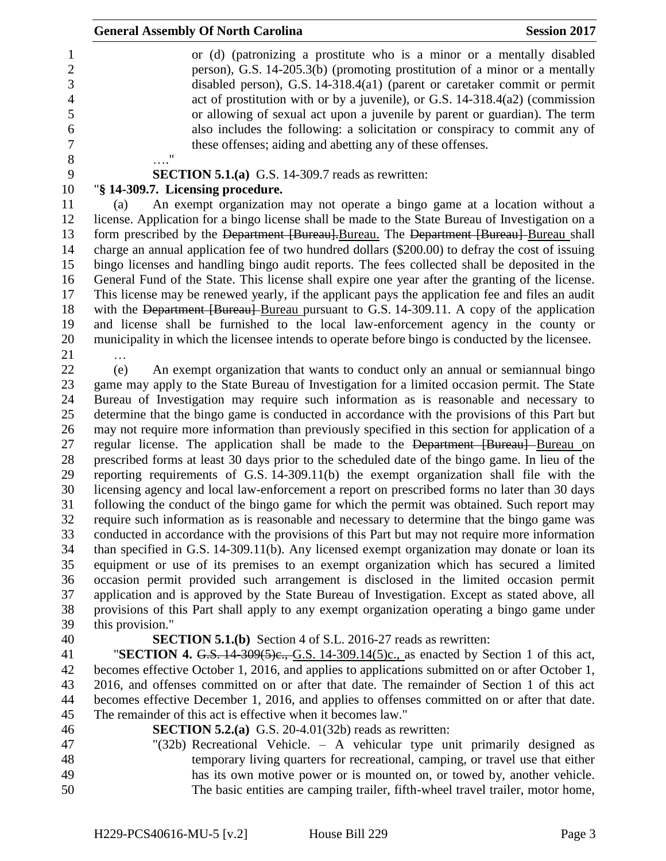|                                                            | <b>General Assembly Of North Carolina</b>                                                                                                                                                                                                                                                                                                                                                       | <b>Session 2017</b> |
|------------------------------------------------------------|-------------------------------------------------------------------------------------------------------------------------------------------------------------------------------------------------------------------------------------------------------------------------------------------------------------------------------------------------------------------------------------------------|---------------------|
| $\mathbf{1}$<br>$\overline{c}$<br>3<br>$\overline{4}$<br>5 | or (d) (patronizing a prostitute who is a minor or a mentally disabled<br>person), G.S. 14-205.3(b) (promoting prostitution of a minor or a mentally<br>disabled person), G.S. 14-318.4(a1) (parent or caretaker commit or permit<br>act of prostitution with or by a juvenile), or G.S. 14-318.4(a2) (commission<br>or allowing of sexual act upon a juvenile by parent or guardian). The term |                     |
| 6<br>7                                                     | also includes the following: a solicitation or conspiracy to commit any of<br>these offenses; aiding and abetting any of these offenses.                                                                                                                                                                                                                                                        |                     |
| $8\,$<br>9                                                 | <b>SECTION 5.1.(a)</b> G.S. 14-309.7 reads as rewritten:                                                                                                                                                                                                                                                                                                                                        |                     |
| 10                                                         | "§ 14-309.7. Licensing procedure.                                                                                                                                                                                                                                                                                                                                                               |                     |
| 11                                                         | An exempt organization may not operate a bingo game at a location without a<br>(a)                                                                                                                                                                                                                                                                                                              |                     |
| 12                                                         | license. Application for a bingo license shall be made to the State Bureau of Investigation on a                                                                                                                                                                                                                                                                                                |                     |
| 13                                                         | form prescribed by the Department [Bureau]. Bureau. The Department [Bureau] Bureau shall                                                                                                                                                                                                                                                                                                        |                     |
| 14                                                         | charge an annual application fee of two hundred dollars (\$200.00) to defray the cost of issuing                                                                                                                                                                                                                                                                                                |                     |
| 15                                                         | bingo licenses and handling bingo audit reports. The fees collected shall be deposited in the                                                                                                                                                                                                                                                                                                   |                     |
| 16                                                         | General Fund of the State. This license shall expire one year after the granting of the license.                                                                                                                                                                                                                                                                                                |                     |
| 17                                                         | This license may be renewed yearly, if the applicant pays the application fee and files an audit                                                                                                                                                                                                                                                                                                |                     |
| 18                                                         | with the Department [Bureau] Bureau pursuant to G.S. 14-309.11. A copy of the application                                                                                                                                                                                                                                                                                                       |                     |
| 19                                                         | and license shall be furnished to the local law-enforcement agency in the county or                                                                                                                                                                                                                                                                                                             |                     |
| 20                                                         | municipality in which the licensee intends to operate before bingo is conducted by the licensee.                                                                                                                                                                                                                                                                                                |                     |
| 21                                                         |                                                                                                                                                                                                                                                                                                                                                                                                 |                     |
| 22                                                         | An exempt organization that wants to conduct only an annual or semiannual bingo<br>(e)                                                                                                                                                                                                                                                                                                          |                     |
| 23                                                         | game may apply to the State Bureau of Investigation for a limited occasion permit. The State                                                                                                                                                                                                                                                                                                    |                     |
| 24                                                         | Bureau of Investigation may require such information as is reasonable and necessary to                                                                                                                                                                                                                                                                                                          |                     |
| 25                                                         | determine that the bingo game is conducted in accordance with the provisions of this Part but                                                                                                                                                                                                                                                                                                   |                     |
| 26<br>27                                                   | may not require more information than previously specified in this section for application of a<br>regular license. The application shall be made to the Department [Bureau] Bureau on                                                                                                                                                                                                          |                     |
| 28                                                         | prescribed forms at least 30 days prior to the scheduled date of the bingo game. In lieu of the                                                                                                                                                                                                                                                                                                 |                     |
| 29                                                         | reporting requirements of G.S. 14-309.11(b) the exempt organization shall file with the                                                                                                                                                                                                                                                                                                         |                     |
| 30                                                         | licensing agency and local law-enforcement a report on prescribed forms no later than 30 days                                                                                                                                                                                                                                                                                                   |                     |
| 31                                                         | following the conduct of the bingo game for which the permit was obtained. Such report may                                                                                                                                                                                                                                                                                                      |                     |
| 32                                                         | require such information as is reasonable and necessary to determine that the bingo game was                                                                                                                                                                                                                                                                                                    |                     |
| 33                                                         | conducted in accordance with the provisions of this Part but may not require more information                                                                                                                                                                                                                                                                                                   |                     |
| 34                                                         | than specified in G.S. 14-309.11(b). Any licensed exempt organization may donate or loan its                                                                                                                                                                                                                                                                                                    |                     |
| 35                                                         | equipment or use of its premises to an exempt organization which has secured a limited                                                                                                                                                                                                                                                                                                          |                     |
| 36                                                         | occasion permit provided such arrangement is disclosed in the limited occasion permit                                                                                                                                                                                                                                                                                                           |                     |
| 37                                                         | application and is approved by the State Bureau of Investigation. Except as stated above, all                                                                                                                                                                                                                                                                                                   |                     |
| 38                                                         | provisions of this Part shall apply to any exempt organization operating a bingo game under                                                                                                                                                                                                                                                                                                     |                     |
| 39                                                         | this provision."                                                                                                                                                                                                                                                                                                                                                                                |                     |
| 40                                                         | <b>SECTION 5.1.(b)</b> Section 4 of S.L. 2016-27 reads as rewritten:                                                                                                                                                                                                                                                                                                                            |                     |
| 41<br>42                                                   | "SECTION 4. G.S. $14-309(5)e, G.S. 14-309.14(5)c,$ as enacted by Section 1 of this act,<br>becomes effective October 1, 2016, and applies to applications submitted on or after October 1,                                                                                                                                                                                                      |                     |
| 43                                                         | 2016, and offenses committed on or after that date. The remainder of Section 1 of this act                                                                                                                                                                                                                                                                                                      |                     |
| 44                                                         | becomes effective December 1, 2016, and applies to offenses committed on or after that date.                                                                                                                                                                                                                                                                                                    |                     |
| 45                                                         | The remainder of this act is effective when it becomes law."                                                                                                                                                                                                                                                                                                                                    |                     |
| 46                                                         | <b>SECTION 5.2.(a)</b> G.S. 20-4.01(32b) reads as rewritten:                                                                                                                                                                                                                                                                                                                                    |                     |
| 47                                                         | "(32b) Recreational Vehicle. - A vehicular type unit primarily designed as                                                                                                                                                                                                                                                                                                                      |                     |
| 48                                                         | temporary living quarters for recreational, camping, or travel use that either                                                                                                                                                                                                                                                                                                                  |                     |

 has its own motive power or is mounted on, or towed by, another vehicle. The basic entities are camping trailer, fifth-wheel travel trailer, motor home,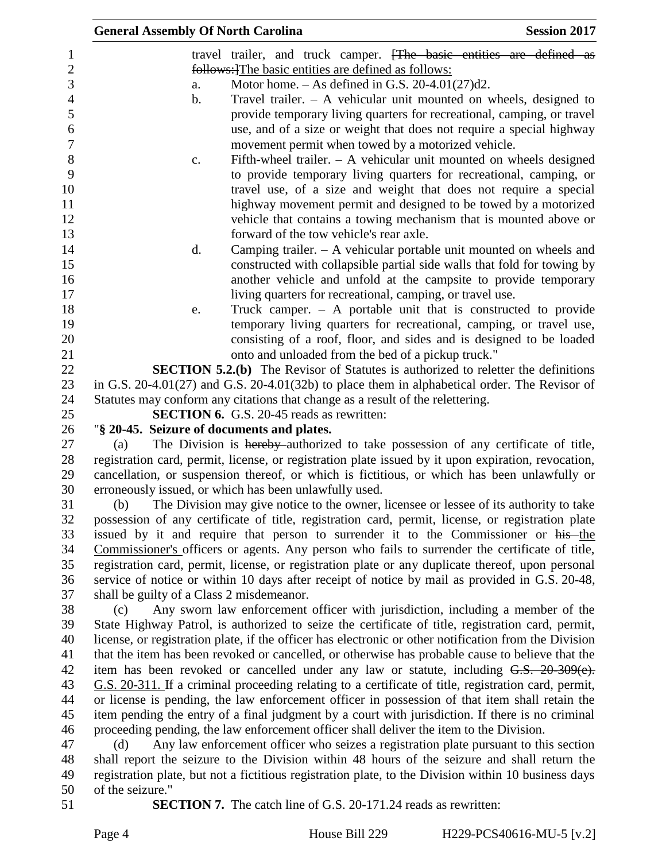| <b>General Assembly Of North Carolina</b> |                                                                                         | <b>Session 2017</b>                                                                                                                                                                                    |
|-------------------------------------------|-----------------------------------------------------------------------------------------|--------------------------------------------------------------------------------------------------------------------------------------------------------------------------------------------------------|
|                                           |                                                                                         | travel trailer, and truck camper. <del>[The basic entities are defined as</del>                                                                                                                        |
|                                           | follows: The basic entities are defined as follows:                                     |                                                                                                                                                                                                        |
| a.                                        | Motor home. $-$ As defined in G.S. 20-4.01(27)d2.                                       |                                                                                                                                                                                                        |
| b.                                        |                                                                                         | Travel trailer. $-$ A vehicular unit mounted on wheels, designed to                                                                                                                                    |
|                                           |                                                                                         | provide temporary living quarters for recreational, camping, or travel                                                                                                                                 |
|                                           |                                                                                         | use, and of a size or weight that does not require a special highway                                                                                                                                   |
|                                           | movement permit when towed by a motorized vehicle.                                      |                                                                                                                                                                                                        |
| c.                                        |                                                                                         | Fifth-wheel trailer. $- A$ vehicular unit mounted on wheels designed                                                                                                                                   |
|                                           |                                                                                         | to provide temporary living quarters for recreational, camping, or                                                                                                                                     |
|                                           |                                                                                         | travel use, of a size and weight that does not require a special                                                                                                                                       |
|                                           |                                                                                         | highway movement permit and designed to be towed by a motorized                                                                                                                                        |
|                                           |                                                                                         | vehicle that contains a towing mechanism that is mounted above or                                                                                                                                      |
|                                           | forward of the tow vehicle's rear axle.                                                 |                                                                                                                                                                                                        |
| d.                                        |                                                                                         | Camping trailer. $- A$ vehicular portable unit mounted on wheels and                                                                                                                                   |
|                                           |                                                                                         | constructed with collapsible partial side walls that fold for towing by                                                                                                                                |
|                                           |                                                                                         | another vehicle and unfold at the campsite to provide temporary                                                                                                                                        |
|                                           | living quarters for recreational, camping, or travel use.                               |                                                                                                                                                                                                        |
| e.                                        |                                                                                         | Truck camper. $-$ A portable unit that is constructed to provide                                                                                                                                       |
|                                           |                                                                                         | temporary living quarters for recreational, camping, or travel use,                                                                                                                                    |
|                                           |                                                                                         | consisting of a roof, floor, and sides and is designed to be loaded                                                                                                                                    |
|                                           | onto and unloaded from the bed of a pickup truck."                                      |                                                                                                                                                                                                        |
|                                           |                                                                                         | <b>SECTION 5.2.(b)</b> The Revisor of Statutes is authorized to reletter the definitions                                                                                                               |
|                                           |                                                                                         | in G.S. $20-4.01(27)$ and G.S. $20-4.01(32b)$ to place them in alphabetical order. The Revisor of                                                                                                      |
|                                           | Statutes may conform any citations that change as a result of the relettering.          |                                                                                                                                                                                                        |
|                                           | <b>SECTION 6.</b> G.S. 20-45 reads as rewritten:                                        |                                                                                                                                                                                                        |
|                                           | "§ 20-45. Seizure of documents and plates.                                              |                                                                                                                                                                                                        |
| (a)                                       |                                                                                         | The Division is hereby-authorized to take possession of any certificate of title,                                                                                                                      |
|                                           |                                                                                         | registration card, permit, license, or registration plate issued by it upon expiration, revocation,                                                                                                    |
|                                           |                                                                                         | cancellation, or suspension thereof, or which is fictitious, or which has been unlawfully or                                                                                                           |
|                                           | erroneously issued, or which has been unlawfully used.                                  |                                                                                                                                                                                                        |
| (b)                                       |                                                                                         | The Division may give notice to the owner, licensee or lessee of its authority to take                                                                                                                 |
|                                           |                                                                                         | possession of any certificate of title, registration card, permit, license, or registration plate                                                                                                      |
|                                           |                                                                                         | issued by it and require that person to surrender it to the Commissioner or his the                                                                                                                    |
|                                           |                                                                                         | Commissioner's officers or agents. Any person who fails to surrender the certificate of title,                                                                                                         |
|                                           |                                                                                         | registration card, permit, license, or registration plate or any duplicate thereof, upon personal                                                                                                      |
|                                           |                                                                                         | service of notice or within 10 days after receipt of notice by mail as provided in G.S. 20-48,                                                                                                         |
| shall be guilty of a Class 2 misdemeanor. |                                                                                         |                                                                                                                                                                                                        |
| (c)                                       |                                                                                         | Any sworn law enforcement officer with jurisdiction, including a member of the                                                                                                                         |
|                                           |                                                                                         | State Highway Patrol, is authorized to seize the certificate of title, registration card, permit,                                                                                                      |
|                                           |                                                                                         | license, or registration plate, if the officer has electronic or other notification from the Division                                                                                                  |
|                                           |                                                                                         | that the item has been revoked or cancelled, or otherwise has probable cause to believe that the                                                                                                       |
|                                           |                                                                                         | item has been revoked or cancelled under any law or statute, including G.S. 20 309(e).                                                                                                                 |
|                                           |                                                                                         | G.S. 20-311. If a criminal proceeding relating to a certificate of title, registration card, permit,<br>or license is pending, the law enforcement officer in possession of that item shall retain the |
|                                           |                                                                                         | item pending the entry of a final judgment by a court with jurisdiction. If there is no criminal                                                                                                       |
|                                           | proceeding pending, the law enforcement officer shall deliver the item to the Division. |                                                                                                                                                                                                        |
| (d)                                       |                                                                                         | Any law enforcement officer who seizes a registration plate pursuant to this section                                                                                                                   |
|                                           |                                                                                         | shall report the seizure to the Division within AR hours of the seizure and shall return the                                                                                                           |

 shall report the seizure to the Division within 48 hours of the seizure and shall return the registration plate, but not a fictitious registration plate, to the Division within 10 business days of the seizure."

- 
- **SECTION 7.** The catch line of G.S. 20-171.24 reads as rewritten: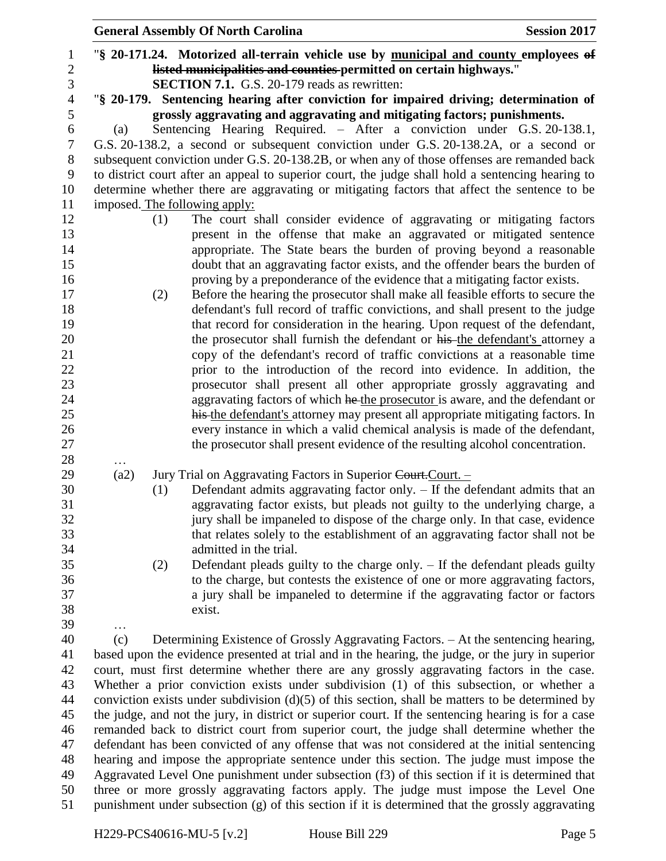|                  |      | <b>Session 2017</b><br><b>General Assembly Of North Carolina</b>                                                                                                                               |  |
|------------------|------|------------------------------------------------------------------------------------------------------------------------------------------------------------------------------------------------|--|
| $\mathbf{1}$     |      | "§ 20-171.24. Motorized all-terrain vehicle use by municipal and county employees of                                                                                                           |  |
| $\boldsymbol{2}$ |      | listed municipalities and counties permitted on certain highways."                                                                                                                             |  |
| 3                |      | <b>SECTION 7.1.</b> G.S. 20-179 reads as rewritten:                                                                                                                                            |  |
| $\overline{4}$   |      | "§ 20-179. Sentencing hearing after conviction for impaired driving; determination of                                                                                                          |  |
| 5                |      | grossly aggravating and aggravating and mitigating factors; punishments.                                                                                                                       |  |
| 6                | (a)  | Sentencing Hearing Required. - After a conviction under G.S. 20-138.1,                                                                                                                         |  |
| $\tau$           |      | G.S. 20-138.2, a second or subsequent conviction under G.S. 20-138.2A, or a second or                                                                                                          |  |
| $8\,$            |      | subsequent conviction under G.S. 20-138.2B, or when any of those offenses are remanded back                                                                                                    |  |
| 9                |      | to district court after an appeal to superior court, the judge shall hold a sentencing hearing to                                                                                              |  |
| 10               |      | determine whether there are aggravating or mitigating factors that affect the sentence to be                                                                                                   |  |
| 11               |      | imposed. The following apply:                                                                                                                                                                  |  |
| 12               | (1)  | The court shall consider evidence of aggravating or mitigating factors                                                                                                                         |  |
| 13               |      | present in the offense that make an aggravated or mitigated sentence                                                                                                                           |  |
| 14               |      | appropriate. The State bears the burden of proving beyond a reasonable                                                                                                                         |  |
| 15               |      | doubt that an aggravating factor exists, and the offender bears the burden of                                                                                                                  |  |
| 16               |      | proving by a preponderance of the evidence that a mitigating factor exists.                                                                                                                    |  |
| 17               | (2)  | Before the hearing the prosecutor shall make all feasible efforts to secure the                                                                                                                |  |
| 18               |      | defendant's full record of traffic convictions, and shall present to the judge                                                                                                                 |  |
| 19               |      | that record for consideration in the hearing. Upon request of the defendant,                                                                                                                   |  |
| 20               |      | the prosecutor shall furnish the defendant or his the defendant's attorney a                                                                                                                   |  |
| 21               |      | copy of the defendant's record of traffic convictions at a reasonable time                                                                                                                     |  |
| 22               |      | prior to the introduction of the record into evidence. In addition, the                                                                                                                        |  |
| 23<br>24         |      | prosecutor shall present all other appropriate grossly aggravating and                                                                                                                         |  |
| 25               |      | aggravating factors of which he the prosecutor is aware, and the defendant or<br>his the defendant's attorney may present all appropriate mitigating factors. In                               |  |
| 26               |      | every instance in which a valid chemical analysis is made of the defendant,                                                                                                                    |  |
| 27               |      | the prosecutor shall present evidence of the resulting alcohol concentration.                                                                                                                  |  |
| 28               |      |                                                                                                                                                                                                |  |
| 29               | (a2) | Jury Trial on Aggravating Factors in Superior Court. Court. -                                                                                                                                  |  |
| 30               | (1)  | Defendant admits aggravating factor only. - If the defendant admits that an                                                                                                                    |  |
| 31               |      | aggravating factor exists, but pleads not guilty to the underlying charge, a                                                                                                                   |  |
| 32               |      | jury shall be impaneled to dispose of the charge only. In that case, evidence                                                                                                                  |  |
| 33               |      | that relates solely to the establishment of an aggravating factor shall not be                                                                                                                 |  |
| 34               |      | admitted in the trial.                                                                                                                                                                         |  |
| 35               | (2)  | Defendant pleads guilty to the charge only. - If the defendant pleads guilty                                                                                                                   |  |
| 36               |      | to the charge, but contests the existence of one or more aggravating factors,                                                                                                                  |  |
| 37               |      | a jury shall be impaneled to determine if the aggravating factor or factors                                                                                                                    |  |
| 38               |      | exist.                                                                                                                                                                                         |  |
| 39               |      |                                                                                                                                                                                                |  |
| 40               | (c)  | Determining Existence of Grossly Aggravating Factors. - At the sentencing hearing,                                                                                                             |  |
| 41               |      | based upon the evidence presented at trial and in the hearing, the judge, or the jury in superior                                                                                              |  |
| 42               |      | court, must first determine whether there are any grossly aggravating factors in the case.                                                                                                     |  |
| 43<br>44         |      | Whether a prior conviction exists under subdivision (1) of this subsection, or whether a<br>conviction exists under subdivision $(d)(5)$ of this section, shall be matters to be determined by |  |
| 45               |      | the judge, and not the jury, in district or superior court. If the sentencing hearing is for a case                                                                                            |  |
| 46               |      | remanded back to district court from superior court, the judge shall determine whether the                                                                                                     |  |
| 47               |      | defendant has been convicted of any offense that was not considered at the initial sentencing                                                                                                  |  |
| 48               |      | hearing and impose the appropriate sentence under this section. The judge must impose the                                                                                                      |  |
| 49               |      | Aggravated Level One punishment under subsection (f3) of this section if it is determined that                                                                                                 |  |
| 50               |      | three or more grossly aggravating factors apply. The judge must impose the Level One                                                                                                           |  |
| 51               |      | punishment under subsection (g) of this section if it is determined that the grossly aggravating                                                                                               |  |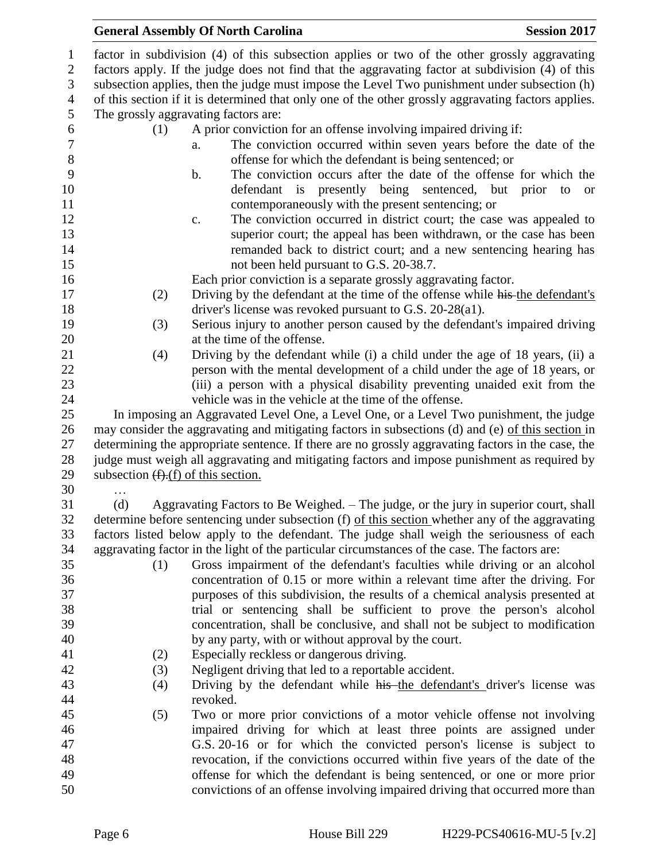| factors apply. If the judge does not find that the aggravating factor at subdivision (4) of this<br>3<br>subsection applies, then the judge must impose the Level Two punishment under subsection (h)<br>$\overline{4}$<br>of this section if it is determined that only one of the other grossly aggravating factors applies.<br>$\mathfrak s$<br>The grossly aggravating factors are:<br>6<br>A prior conviction for an offense involving impaired driving if:<br>(1)<br>$\boldsymbol{7}$<br>The conviction occurred within seven years before the date of the<br>a.<br>8<br>offense for which the defendant is being sentenced; or<br>9<br>The conviction occurs after the date of the offense for which the<br>$\mathbf b$ .<br>10<br>defendant is presently being sentenced, but prior<br>to<br><b>or</b><br>11<br>contemporaneously with the present sentencing; or<br>12<br>The conviction occurred in district court; the case was appealed to<br>$\mathbf{c}.$<br>13<br>superior court; the appeal has been withdrawn, or the case has been<br>14<br>remanded back to district court; and a new sentencing hearing has<br>15<br>not been held pursuant to G.S. 20-38.7.<br>16<br>Each prior conviction is a separate grossly aggravating factor.<br>17<br>Driving by the defendant at the time of the offense while his the defendant's<br>(2)<br>18<br>driver's license was revoked pursuant to G.S. 20-28(a1).<br>19<br>Serious injury to another person caused by the defendant's impaired driving<br>(3)<br>20<br>at the time of the offense.<br>21<br>Driving by the defendant while (i) a child under the age of 18 years, (ii) a<br>(4)<br>22<br>person with the mental development of a child under the age of 18 years, or<br>23<br>(iii) a person with a physical disability preventing unaided exit from the<br>24<br>vehicle was in the vehicle at the time of the offense.<br>25<br>In imposing an Aggravated Level One, a Level One, or a Level Two punishment, the judge<br>26<br>may consider the aggravating and mitigating factors in subsections (d) and (e) of this section in<br>27<br>determining the appropriate sentence. If there are no grossly aggravating factors in the case, the<br>28<br>judge must weigh all aggravating and mitigating factors and impose punishment as required by<br>29<br>subsection $(f)(f)$ of this section.<br>30<br>31<br>Aggravating Factors to Be Weighed. – The judge, or the jury in superior court, shall<br>(d)<br>32<br>determine before sentencing under subsection (f) of this section whether any of the aggravating<br>33<br>factors listed below apply to the defendant. The judge shall weigh the seriousness of each<br>aggravating factor in the light of the particular circumstances of the case. The factors are:<br>34<br>35<br>Gross impairment of the defendant's faculties while driving or an alcohol<br>(1)<br>36<br>concentration of 0.15 or more within a relevant time after the driving. For<br>37<br>purposes of this subdivision, the results of a chemical analysis presented at<br>38<br>trial or sentencing shall be sufficient to prove the person's alcohol<br>39<br>concentration, shall be conclusive, and shall not be subject to modification<br>40<br>by any party, with or without approval by the court.<br>Especially reckless or dangerous driving.<br>41<br>(2)<br>42<br>(3)<br>Negligent driving that led to a reportable accident.<br>43<br>Driving by the defendant while his the defendant's driver's license was<br>(4)<br>44<br>revoked.<br>45<br>(5)<br>Two or more prior convictions of a motor vehicle offense not involving<br>46<br>impaired driving for which at least three points are assigned under<br>47<br>G.S. 20-16 or for which the convicted person's license is subject to | 1            |  | factor in subdivision (4) of this subsection applies or two of the other grossly aggravating |  |  |
|----------------------------------------------------------------------------------------------------------------------------------------------------------------------------------------------------------------------------------------------------------------------------------------------------------------------------------------------------------------------------------------------------------------------------------------------------------------------------------------------------------------------------------------------------------------------------------------------------------------------------------------------------------------------------------------------------------------------------------------------------------------------------------------------------------------------------------------------------------------------------------------------------------------------------------------------------------------------------------------------------------------------------------------------------------------------------------------------------------------------------------------------------------------------------------------------------------------------------------------------------------------------------------------------------------------------------------------------------------------------------------------------------------------------------------------------------------------------------------------------------------------------------------------------------------------------------------------------------------------------------------------------------------------------------------------------------------------------------------------------------------------------------------------------------------------------------------------------------------------------------------------------------------------------------------------------------------------------------------------------------------------------------------------------------------------------------------------------------------------------------------------------------------------------------------------------------------------------------------------------------------------------------------------------------------------------------------------------------------------------------------------------------------------------------------------------------------------------------------------------------------------------------------------------------------------------------------------------------------------------------------------------------------------------------------------------------------------------------------------------------------------------------------------------------------------------------------------------------------------------------------------------------------------------------------------------------------------------------------------------------------------------------------------------------------------------------------------------------------------------------------------------------------------------------------------------------------------------------------------------------------------------------------------------------------------------------------------------------------------------------------------------------------------------------------------------------------------------------------------------------------------------------------------------------------------------------------------------------------------------------------------------------------------------------------------------------------------------------------------------------------------------------------------------------------------|--------------|--|----------------------------------------------------------------------------------------------|--|--|
|                                                                                                                                                                                                                                                                                                                                                                                                                                                                                                                                                                                                                                                                                                                                                                                                                                                                                                                                                                                                                                                                                                                                                                                                                                                                                                                                                                                                                                                                                                                                                                                                                                                                                                                                                                                                                                                                                                                                                                                                                                                                                                                                                                                                                                                                                                                                                                                                                                                                                                                                                                                                                                                                                                                                                                                                                                                                                                                                                                                                                                                                                                                                                                                                                                                                                                                                                                                                                                                                                                                                                                                                                                                                                                                                                                                                                | $\mathbf{2}$ |  |                                                                                              |  |  |
|                                                                                                                                                                                                                                                                                                                                                                                                                                                                                                                                                                                                                                                                                                                                                                                                                                                                                                                                                                                                                                                                                                                                                                                                                                                                                                                                                                                                                                                                                                                                                                                                                                                                                                                                                                                                                                                                                                                                                                                                                                                                                                                                                                                                                                                                                                                                                                                                                                                                                                                                                                                                                                                                                                                                                                                                                                                                                                                                                                                                                                                                                                                                                                                                                                                                                                                                                                                                                                                                                                                                                                                                                                                                                                                                                                                                                |              |  |                                                                                              |  |  |
|                                                                                                                                                                                                                                                                                                                                                                                                                                                                                                                                                                                                                                                                                                                                                                                                                                                                                                                                                                                                                                                                                                                                                                                                                                                                                                                                                                                                                                                                                                                                                                                                                                                                                                                                                                                                                                                                                                                                                                                                                                                                                                                                                                                                                                                                                                                                                                                                                                                                                                                                                                                                                                                                                                                                                                                                                                                                                                                                                                                                                                                                                                                                                                                                                                                                                                                                                                                                                                                                                                                                                                                                                                                                                                                                                                                                                |              |  |                                                                                              |  |  |
|                                                                                                                                                                                                                                                                                                                                                                                                                                                                                                                                                                                                                                                                                                                                                                                                                                                                                                                                                                                                                                                                                                                                                                                                                                                                                                                                                                                                                                                                                                                                                                                                                                                                                                                                                                                                                                                                                                                                                                                                                                                                                                                                                                                                                                                                                                                                                                                                                                                                                                                                                                                                                                                                                                                                                                                                                                                                                                                                                                                                                                                                                                                                                                                                                                                                                                                                                                                                                                                                                                                                                                                                                                                                                                                                                                                                                |              |  |                                                                                              |  |  |
|                                                                                                                                                                                                                                                                                                                                                                                                                                                                                                                                                                                                                                                                                                                                                                                                                                                                                                                                                                                                                                                                                                                                                                                                                                                                                                                                                                                                                                                                                                                                                                                                                                                                                                                                                                                                                                                                                                                                                                                                                                                                                                                                                                                                                                                                                                                                                                                                                                                                                                                                                                                                                                                                                                                                                                                                                                                                                                                                                                                                                                                                                                                                                                                                                                                                                                                                                                                                                                                                                                                                                                                                                                                                                                                                                                                                                |              |  |                                                                                              |  |  |
|                                                                                                                                                                                                                                                                                                                                                                                                                                                                                                                                                                                                                                                                                                                                                                                                                                                                                                                                                                                                                                                                                                                                                                                                                                                                                                                                                                                                                                                                                                                                                                                                                                                                                                                                                                                                                                                                                                                                                                                                                                                                                                                                                                                                                                                                                                                                                                                                                                                                                                                                                                                                                                                                                                                                                                                                                                                                                                                                                                                                                                                                                                                                                                                                                                                                                                                                                                                                                                                                                                                                                                                                                                                                                                                                                                                                                |              |  |                                                                                              |  |  |
|                                                                                                                                                                                                                                                                                                                                                                                                                                                                                                                                                                                                                                                                                                                                                                                                                                                                                                                                                                                                                                                                                                                                                                                                                                                                                                                                                                                                                                                                                                                                                                                                                                                                                                                                                                                                                                                                                                                                                                                                                                                                                                                                                                                                                                                                                                                                                                                                                                                                                                                                                                                                                                                                                                                                                                                                                                                                                                                                                                                                                                                                                                                                                                                                                                                                                                                                                                                                                                                                                                                                                                                                                                                                                                                                                                                                                |              |  |                                                                                              |  |  |
|                                                                                                                                                                                                                                                                                                                                                                                                                                                                                                                                                                                                                                                                                                                                                                                                                                                                                                                                                                                                                                                                                                                                                                                                                                                                                                                                                                                                                                                                                                                                                                                                                                                                                                                                                                                                                                                                                                                                                                                                                                                                                                                                                                                                                                                                                                                                                                                                                                                                                                                                                                                                                                                                                                                                                                                                                                                                                                                                                                                                                                                                                                                                                                                                                                                                                                                                                                                                                                                                                                                                                                                                                                                                                                                                                                                                                |              |  |                                                                                              |  |  |
|                                                                                                                                                                                                                                                                                                                                                                                                                                                                                                                                                                                                                                                                                                                                                                                                                                                                                                                                                                                                                                                                                                                                                                                                                                                                                                                                                                                                                                                                                                                                                                                                                                                                                                                                                                                                                                                                                                                                                                                                                                                                                                                                                                                                                                                                                                                                                                                                                                                                                                                                                                                                                                                                                                                                                                                                                                                                                                                                                                                                                                                                                                                                                                                                                                                                                                                                                                                                                                                                                                                                                                                                                                                                                                                                                                                                                |              |  |                                                                                              |  |  |
|                                                                                                                                                                                                                                                                                                                                                                                                                                                                                                                                                                                                                                                                                                                                                                                                                                                                                                                                                                                                                                                                                                                                                                                                                                                                                                                                                                                                                                                                                                                                                                                                                                                                                                                                                                                                                                                                                                                                                                                                                                                                                                                                                                                                                                                                                                                                                                                                                                                                                                                                                                                                                                                                                                                                                                                                                                                                                                                                                                                                                                                                                                                                                                                                                                                                                                                                                                                                                                                                                                                                                                                                                                                                                                                                                                                                                |              |  |                                                                                              |  |  |
|                                                                                                                                                                                                                                                                                                                                                                                                                                                                                                                                                                                                                                                                                                                                                                                                                                                                                                                                                                                                                                                                                                                                                                                                                                                                                                                                                                                                                                                                                                                                                                                                                                                                                                                                                                                                                                                                                                                                                                                                                                                                                                                                                                                                                                                                                                                                                                                                                                                                                                                                                                                                                                                                                                                                                                                                                                                                                                                                                                                                                                                                                                                                                                                                                                                                                                                                                                                                                                                                                                                                                                                                                                                                                                                                                                                                                |              |  |                                                                                              |  |  |
|                                                                                                                                                                                                                                                                                                                                                                                                                                                                                                                                                                                                                                                                                                                                                                                                                                                                                                                                                                                                                                                                                                                                                                                                                                                                                                                                                                                                                                                                                                                                                                                                                                                                                                                                                                                                                                                                                                                                                                                                                                                                                                                                                                                                                                                                                                                                                                                                                                                                                                                                                                                                                                                                                                                                                                                                                                                                                                                                                                                                                                                                                                                                                                                                                                                                                                                                                                                                                                                                                                                                                                                                                                                                                                                                                                                                                |              |  |                                                                                              |  |  |
|                                                                                                                                                                                                                                                                                                                                                                                                                                                                                                                                                                                                                                                                                                                                                                                                                                                                                                                                                                                                                                                                                                                                                                                                                                                                                                                                                                                                                                                                                                                                                                                                                                                                                                                                                                                                                                                                                                                                                                                                                                                                                                                                                                                                                                                                                                                                                                                                                                                                                                                                                                                                                                                                                                                                                                                                                                                                                                                                                                                                                                                                                                                                                                                                                                                                                                                                                                                                                                                                                                                                                                                                                                                                                                                                                                                                                |              |  |                                                                                              |  |  |
|                                                                                                                                                                                                                                                                                                                                                                                                                                                                                                                                                                                                                                                                                                                                                                                                                                                                                                                                                                                                                                                                                                                                                                                                                                                                                                                                                                                                                                                                                                                                                                                                                                                                                                                                                                                                                                                                                                                                                                                                                                                                                                                                                                                                                                                                                                                                                                                                                                                                                                                                                                                                                                                                                                                                                                                                                                                                                                                                                                                                                                                                                                                                                                                                                                                                                                                                                                                                                                                                                                                                                                                                                                                                                                                                                                                                                |              |  |                                                                                              |  |  |
|                                                                                                                                                                                                                                                                                                                                                                                                                                                                                                                                                                                                                                                                                                                                                                                                                                                                                                                                                                                                                                                                                                                                                                                                                                                                                                                                                                                                                                                                                                                                                                                                                                                                                                                                                                                                                                                                                                                                                                                                                                                                                                                                                                                                                                                                                                                                                                                                                                                                                                                                                                                                                                                                                                                                                                                                                                                                                                                                                                                                                                                                                                                                                                                                                                                                                                                                                                                                                                                                                                                                                                                                                                                                                                                                                                                                                |              |  |                                                                                              |  |  |
|                                                                                                                                                                                                                                                                                                                                                                                                                                                                                                                                                                                                                                                                                                                                                                                                                                                                                                                                                                                                                                                                                                                                                                                                                                                                                                                                                                                                                                                                                                                                                                                                                                                                                                                                                                                                                                                                                                                                                                                                                                                                                                                                                                                                                                                                                                                                                                                                                                                                                                                                                                                                                                                                                                                                                                                                                                                                                                                                                                                                                                                                                                                                                                                                                                                                                                                                                                                                                                                                                                                                                                                                                                                                                                                                                                                                                |              |  |                                                                                              |  |  |
|                                                                                                                                                                                                                                                                                                                                                                                                                                                                                                                                                                                                                                                                                                                                                                                                                                                                                                                                                                                                                                                                                                                                                                                                                                                                                                                                                                                                                                                                                                                                                                                                                                                                                                                                                                                                                                                                                                                                                                                                                                                                                                                                                                                                                                                                                                                                                                                                                                                                                                                                                                                                                                                                                                                                                                                                                                                                                                                                                                                                                                                                                                                                                                                                                                                                                                                                                                                                                                                                                                                                                                                                                                                                                                                                                                                                                |              |  |                                                                                              |  |  |
|                                                                                                                                                                                                                                                                                                                                                                                                                                                                                                                                                                                                                                                                                                                                                                                                                                                                                                                                                                                                                                                                                                                                                                                                                                                                                                                                                                                                                                                                                                                                                                                                                                                                                                                                                                                                                                                                                                                                                                                                                                                                                                                                                                                                                                                                                                                                                                                                                                                                                                                                                                                                                                                                                                                                                                                                                                                                                                                                                                                                                                                                                                                                                                                                                                                                                                                                                                                                                                                                                                                                                                                                                                                                                                                                                                                                                |              |  |                                                                                              |  |  |
|                                                                                                                                                                                                                                                                                                                                                                                                                                                                                                                                                                                                                                                                                                                                                                                                                                                                                                                                                                                                                                                                                                                                                                                                                                                                                                                                                                                                                                                                                                                                                                                                                                                                                                                                                                                                                                                                                                                                                                                                                                                                                                                                                                                                                                                                                                                                                                                                                                                                                                                                                                                                                                                                                                                                                                                                                                                                                                                                                                                                                                                                                                                                                                                                                                                                                                                                                                                                                                                                                                                                                                                                                                                                                                                                                                                                                |              |  |                                                                                              |  |  |
|                                                                                                                                                                                                                                                                                                                                                                                                                                                                                                                                                                                                                                                                                                                                                                                                                                                                                                                                                                                                                                                                                                                                                                                                                                                                                                                                                                                                                                                                                                                                                                                                                                                                                                                                                                                                                                                                                                                                                                                                                                                                                                                                                                                                                                                                                                                                                                                                                                                                                                                                                                                                                                                                                                                                                                                                                                                                                                                                                                                                                                                                                                                                                                                                                                                                                                                                                                                                                                                                                                                                                                                                                                                                                                                                                                                                                |              |  |                                                                                              |  |  |
|                                                                                                                                                                                                                                                                                                                                                                                                                                                                                                                                                                                                                                                                                                                                                                                                                                                                                                                                                                                                                                                                                                                                                                                                                                                                                                                                                                                                                                                                                                                                                                                                                                                                                                                                                                                                                                                                                                                                                                                                                                                                                                                                                                                                                                                                                                                                                                                                                                                                                                                                                                                                                                                                                                                                                                                                                                                                                                                                                                                                                                                                                                                                                                                                                                                                                                                                                                                                                                                                                                                                                                                                                                                                                                                                                                                                                |              |  |                                                                                              |  |  |
|                                                                                                                                                                                                                                                                                                                                                                                                                                                                                                                                                                                                                                                                                                                                                                                                                                                                                                                                                                                                                                                                                                                                                                                                                                                                                                                                                                                                                                                                                                                                                                                                                                                                                                                                                                                                                                                                                                                                                                                                                                                                                                                                                                                                                                                                                                                                                                                                                                                                                                                                                                                                                                                                                                                                                                                                                                                                                                                                                                                                                                                                                                                                                                                                                                                                                                                                                                                                                                                                                                                                                                                                                                                                                                                                                                                                                |              |  |                                                                                              |  |  |
|                                                                                                                                                                                                                                                                                                                                                                                                                                                                                                                                                                                                                                                                                                                                                                                                                                                                                                                                                                                                                                                                                                                                                                                                                                                                                                                                                                                                                                                                                                                                                                                                                                                                                                                                                                                                                                                                                                                                                                                                                                                                                                                                                                                                                                                                                                                                                                                                                                                                                                                                                                                                                                                                                                                                                                                                                                                                                                                                                                                                                                                                                                                                                                                                                                                                                                                                                                                                                                                                                                                                                                                                                                                                                                                                                                                                                |              |  |                                                                                              |  |  |
|                                                                                                                                                                                                                                                                                                                                                                                                                                                                                                                                                                                                                                                                                                                                                                                                                                                                                                                                                                                                                                                                                                                                                                                                                                                                                                                                                                                                                                                                                                                                                                                                                                                                                                                                                                                                                                                                                                                                                                                                                                                                                                                                                                                                                                                                                                                                                                                                                                                                                                                                                                                                                                                                                                                                                                                                                                                                                                                                                                                                                                                                                                                                                                                                                                                                                                                                                                                                                                                                                                                                                                                                                                                                                                                                                                                                                |              |  |                                                                                              |  |  |
|                                                                                                                                                                                                                                                                                                                                                                                                                                                                                                                                                                                                                                                                                                                                                                                                                                                                                                                                                                                                                                                                                                                                                                                                                                                                                                                                                                                                                                                                                                                                                                                                                                                                                                                                                                                                                                                                                                                                                                                                                                                                                                                                                                                                                                                                                                                                                                                                                                                                                                                                                                                                                                                                                                                                                                                                                                                                                                                                                                                                                                                                                                                                                                                                                                                                                                                                                                                                                                                                                                                                                                                                                                                                                                                                                                                                                |              |  |                                                                                              |  |  |
|                                                                                                                                                                                                                                                                                                                                                                                                                                                                                                                                                                                                                                                                                                                                                                                                                                                                                                                                                                                                                                                                                                                                                                                                                                                                                                                                                                                                                                                                                                                                                                                                                                                                                                                                                                                                                                                                                                                                                                                                                                                                                                                                                                                                                                                                                                                                                                                                                                                                                                                                                                                                                                                                                                                                                                                                                                                                                                                                                                                                                                                                                                                                                                                                                                                                                                                                                                                                                                                                                                                                                                                                                                                                                                                                                                                                                |              |  |                                                                                              |  |  |
|                                                                                                                                                                                                                                                                                                                                                                                                                                                                                                                                                                                                                                                                                                                                                                                                                                                                                                                                                                                                                                                                                                                                                                                                                                                                                                                                                                                                                                                                                                                                                                                                                                                                                                                                                                                                                                                                                                                                                                                                                                                                                                                                                                                                                                                                                                                                                                                                                                                                                                                                                                                                                                                                                                                                                                                                                                                                                                                                                                                                                                                                                                                                                                                                                                                                                                                                                                                                                                                                                                                                                                                                                                                                                                                                                                                                                |              |  |                                                                                              |  |  |
|                                                                                                                                                                                                                                                                                                                                                                                                                                                                                                                                                                                                                                                                                                                                                                                                                                                                                                                                                                                                                                                                                                                                                                                                                                                                                                                                                                                                                                                                                                                                                                                                                                                                                                                                                                                                                                                                                                                                                                                                                                                                                                                                                                                                                                                                                                                                                                                                                                                                                                                                                                                                                                                                                                                                                                                                                                                                                                                                                                                                                                                                                                                                                                                                                                                                                                                                                                                                                                                                                                                                                                                                                                                                                                                                                                                                                |              |  |                                                                                              |  |  |
|                                                                                                                                                                                                                                                                                                                                                                                                                                                                                                                                                                                                                                                                                                                                                                                                                                                                                                                                                                                                                                                                                                                                                                                                                                                                                                                                                                                                                                                                                                                                                                                                                                                                                                                                                                                                                                                                                                                                                                                                                                                                                                                                                                                                                                                                                                                                                                                                                                                                                                                                                                                                                                                                                                                                                                                                                                                                                                                                                                                                                                                                                                                                                                                                                                                                                                                                                                                                                                                                                                                                                                                                                                                                                                                                                                                                                |              |  |                                                                                              |  |  |
|                                                                                                                                                                                                                                                                                                                                                                                                                                                                                                                                                                                                                                                                                                                                                                                                                                                                                                                                                                                                                                                                                                                                                                                                                                                                                                                                                                                                                                                                                                                                                                                                                                                                                                                                                                                                                                                                                                                                                                                                                                                                                                                                                                                                                                                                                                                                                                                                                                                                                                                                                                                                                                                                                                                                                                                                                                                                                                                                                                                                                                                                                                                                                                                                                                                                                                                                                                                                                                                                                                                                                                                                                                                                                                                                                                                                                |              |  |                                                                                              |  |  |
|                                                                                                                                                                                                                                                                                                                                                                                                                                                                                                                                                                                                                                                                                                                                                                                                                                                                                                                                                                                                                                                                                                                                                                                                                                                                                                                                                                                                                                                                                                                                                                                                                                                                                                                                                                                                                                                                                                                                                                                                                                                                                                                                                                                                                                                                                                                                                                                                                                                                                                                                                                                                                                                                                                                                                                                                                                                                                                                                                                                                                                                                                                                                                                                                                                                                                                                                                                                                                                                                                                                                                                                                                                                                                                                                                                                                                |              |  |                                                                                              |  |  |
|                                                                                                                                                                                                                                                                                                                                                                                                                                                                                                                                                                                                                                                                                                                                                                                                                                                                                                                                                                                                                                                                                                                                                                                                                                                                                                                                                                                                                                                                                                                                                                                                                                                                                                                                                                                                                                                                                                                                                                                                                                                                                                                                                                                                                                                                                                                                                                                                                                                                                                                                                                                                                                                                                                                                                                                                                                                                                                                                                                                                                                                                                                                                                                                                                                                                                                                                                                                                                                                                                                                                                                                                                                                                                                                                                                                                                |              |  |                                                                                              |  |  |
|                                                                                                                                                                                                                                                                                                                                                                                                                                                                                                                                                                                                                                                                                                                                                                                                                                                                                                                                                                                                                                                                                                                                                                                                                                                                                                                                                                                                                                                                                                                                                                                                                                                                                                                                                                                                                                                                                                                                                                                                                                                                                                                                                                                                                                                                                                                                                                                                                                                                                                                                                                                                                                                                                                                                                                                                                                                                                                                                                                                                                                                                                                                                                                                                                                                                                                                                                                                                                                                                                                                                                                                                                                                                                                                                                                                                                |              |  |                                                                                              |  |  |
|                                                                                                                                                                                                                                                                                                                                                                                                                                                                                                                                                                                                                                                                                                                                                                                                                                                                                                                                                                                                                                                                                                                                                                                                                                                                                                                                                                                                                                                                                                                                                                                                                                                                                                                                                                                                                                                                                                                                                                                                                                                                                                                                                                                                                                                                                                                                                                                                                                                                                                                                                                                                                                                                                                                                                                                                                                                                                                                                                                                                                                                                                                                                                                                                                                                                                                                                                                                                                                                                                                                                                                                                                                                                                                                                                                                                                |              |  |                                                                                              |  |  |
|                                                                                                                                                                                                                                                                                                                                                                                                                                                                                                                                                                                                                                                                                                                                                                                                                                                                                                                                                                                                                                                                                                                                                                                                                                                                                                                                                                                                                                                                                                                                                                                                                                                                                                                                                                                                                                                                                                                                                                                                                                                                                                                                                                                                                                                                                                                                                                                                                                                                                                                                                                                                                                                                                                                                                                                                                                                                                                                                                                                                                                                                                                                                                                                                                                                                                                                                                                                                                                                                                                                                                                                                                                                                                                                                                                                                                |              |  |                                                                                              |  |  |
|                                                                                                                                                                                                                                                                                                                                                                                                                                                                                                                                                                                                                                                                                                                                                                                                                                                                                                                                                                                                                                                                                                                                                                                                                                                                                                                                                                                                                                                                                                                                                                                                                                                                                                                                                                                                                                                                                                                                                                                                                                                                                                                                                                                                                                                                                                                                                                                                                                                                                                                                                                                                                                                                                                                                                                                                                                                                                                                                                                                                                                                                                                                                                                                                                                                                                                                                                                                                                                                                                                                                                                                                                                                                                                                                                                                                                |              |  |                                                                                              |  |  |
|                                                                                                                                                                                                                                                                                                                                                                                                                                                                                                                                                                                                                                                                                                                                                                                                                                                                                                                                                                                                                                                                                                                                                                                                                                                                                                                                                                                                                                                                                                                                                                                                                                                                                                                                                                                                                                                                                                                                                                                                                                                                                                                                                                                                                                                                                                                                                                                                                                                                                                                                                                                                                                                                                                                                                                                                                                                                                                                                                                                                                                                                                                                                                                                                                                                                                                                                                                                                                                                                                                                                                                                                                                                                                                                                                                                                                |              |  |                                                                                              |  |  |
|                                                                                                                                                                                                                                                                                                                                                                                                                                                                                                                                                                                                                                                                                                                                                                                                                                                                                                                                                                                                                                                                                                                                                                                                                                                                                                                                                                                                                                                                                                                                                                                                                                                                                                                                                                                                                                                                                                                                                                                                                                                                                                                                                                                                                                                                                                                                                                                                                                                                                                                                                                                                                                                                                                                                                                                                                                                                                                                                                                                                                                                                                                                                                                                                                                                                                                                                                                                                                                                                                                                                                                                                                                                                                                                                                                                                                |              |  |                                                                                              |  |  |
|                                                                                                                                                                                                                                                                                                                                                                                                                                                                                                                                                                                                                                                                                                                                                                                                                                                                                                                                                                                                                                                                                                                                                                                                                                                                                                                                                                                                                                                                                                                                                                                                                                                                                                                                                                                                                                                                                                                                                                                                                                                                                                                                                                                                                                                                                                                                                                                                                                                                                                                                                                                                                                                                                                                                                                                                                                                                                                                                                                                                                                                                                                                                                                                                                                                                                                                                                                                                                                                                                                                                                                                                                                                                                                                                                                                                                |              |  |                                                                                              |  |  |
|                                                                                                                                                                                                                                                                                                                                                                                                                                                                                                                                                                                                                                                                                                                                                                                                                                                                                                                                                                                                                                                                                                                                                                                                                                                                                                                                                                                                                                                                                                                                                                                                                                                                                                                                                                                                                                                                                                                                                                                                                                                                                                                                                                                                                                                                                                                                                                                                                                                                                                                                                                                                                                                                                                                                                                                                                                                                                                                                                                                                                                                                                                                                                                                                                                                                                                                                                                                                                                                                                                                                                                                                                                                                                                                                                                                                                |              |  |                                                                                              |  |  |
|                                                                                                                                                                                                                                                                                                                                                                                                                                                                                                                                                                                                                                                                                                                                                                                                                                                                                                                                                                                                                                                                                                                                                                                                                                                                                                                                                                                                                                                                                                                                                                                                                                                                                                                                                                                                                                                                                                                                                                                                                                                                                                                                                                                                                                                                                                                                                                                                                                                                                                                                                                                                                                                                                                                                                                                                                                                                                                                                                                                                                                                                                                                                                                                                                                                                                                                                                                                                                                                                                                                                                                                                                                                                                                                                                                                                                |              |  |                                                                                              |  |  |
|                                                                                                                                                                                                                                                                                                                                                                                                                                                                                                                                                                                                                                                                                                                                                                                                                                                                                                                                                                                                                                                                                                                                                                                                                                                                                                                                                                                                                                                                                                                                                                                                                                                                                                                                                                                                                                                                                                                                                                                                                                                                                                                                                                                                                                                                                                                                                                                                                                                                                                                                                                                                                                                                                                                                                                                                                                                                                                                                                                                                                                                                                                                                                                                                                                                                                                                                                                                                                                                                                                                                                                                                                                                                                                                                                                                                                |              |  |                                                                                              |  |  |
|                                                                                                                                                                                                                                                                                                                                                                                                                                                                                                                                                                                                                                                                                                                                                                                                                                                                                                                                                                                                                                                                                                                                                                                                                                                                                                                                                                                                                                                                                                                                                                                                                                                                                                                                                                                                                                                                                                                                                                                                                                                                                                                                                                                                                                                                                                                                                                                                                                                                                                                                                                                                                                                                                                                                                                                                                                                                                                                                                                                                                                                                                                                                                                                                                                                                                                                                                                                                                                                                                                                                                                                                                                                                                                                                                                                                                |              |  |                                                                                              |  |  |
|                                                                                                                                                                                                                                                                                                                                                                                                                                                                                                                                                                                                                                                                                                                                                                                                                                                                                                                                                                                                                                                                                                                                                                                                                                                                                                                                                                                                                                                                                                                                                                                                                                                                                                                                                                                                                                                                                                                                                                                                                                                                                                                                                                                                                                                                                                                                                                                                                                                                                                                                                                                                                                                                                                                                                                                                                                                                                                                                                                                                                                                                                                                                                                                                                                                                                                                                                                                                                                                                                                                                                                                                                                                                                                                                                                                                                |              |  |                                                                                              |  |  |
|                                                                                                                                                                                                                                                                                                                                                                                                                                                                                                                                                                                                                                                                                                                                                                                                                                                                                                                                                                                                                                                                                                                                                                                                                                                                                                                                                                                                                                                                                                                                                                                                                                                                                                                                                                                                                                                                                                                                                                                                                                                                                                                                                                                                                                                                                                                                                                                                                                                                                                                                                                                                                                                                                                                                                                                                                                                                                                                                                                                                                                                                                                                                                                                                                                                                                                                                                                                                                                                                                                                                                                                                                                                                                                                                                                                                                |              |  |                                                                                              |  |  |
| 48<br>revocation, if the convictions occurred within five years of the date of the                                                                                                                                                                                                                                                                                                                                                                                                                                                                                                                                                                                                                                                                                                                                                                                                                                                                                                                                                                                                                                                                                                                                                                                                                                                                                                                                                                                                                                                                                                                                                                                                                                                                                                                                                                                                                                                                                                                                                                                                                                                                                                                                                                                                                                                                                                                                                                                                                                                                                                                                                                                                                                                                                                                                                                                                                                                                                                                                                                                                                                                                                                                                                                                                                                                                                                                                                                                                                                                                                                                                                                                                                                                                                                                             |              |  |                                                                                              |  |  |
| offense for which the defendant is being sentenced, or one or more prior<br>49                                                                                                                                                                                                                                                                                                                                                                                                                                                                                                                                                                                                                                                                                                                                                                                                                                                                                                                                                                                                                                                                                                                                                                                                                                                                                                                                                                                                                                                                                                                                                                                                                                                                                                                                                                                                                                                                                                                                                                                                                                                                                                                                                                                                                                                                                                                                                                                                                                                                                                                                                                                                                                                                                                                                                                                                                                                                                                                                                                                                                                                                                                                                                                                                                                                                                                                                                                                                                                                                                                                                                                                                                                                                                                                                 |              |  |                                                                                              |  |  |
| 50<br>convictions of an offense involving impaired driving that occurred more than                                                                                                                                                                                                                                                                                                                                                                                                                                                                                                                                                                                                                                                                                                                                                                                                                                                                                                                                                                                                                                                                                                                                                                                                                                                                                                                                                                                                                                                                                                                                                                                                                                                                                                                                                                                                                                                                                                                                                                                                                                                                                                                                                                                                                                                                                                                                                                                                                                                                                                                                                                                                                                                                                                                                                                                                                                                                                                                                                                                                                                                                                                                                                                                                                                                                                                                                                                                                                                                                                                                                                                                                                                                                                                                             |              |  |                                                                                              |  |  |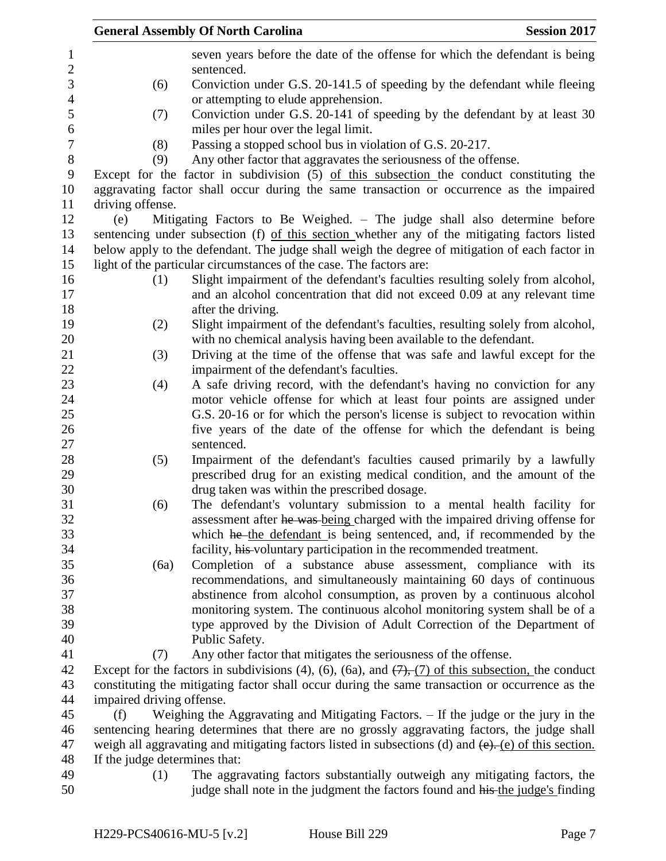|                               | <b>General Assembly Of North Carolina</b>                                                                                                                    | <b>Session 2017</b> |
|-------------------------------|--------------------------------------------------------------------------------------------------------------------------------------------------------------|---------------------|
|                               | seven years before the date of the offense for which the defendant is being<br>sentenced.                                                                    |                     |
| (6)                           | Conviction under G.S. 20-141.5 of speeding by the defendant while fleeing                                                                                    |                     |
|                               | or attempting to elude apprehension.                                                                                                                         |                     |
| (7)                           | Conviction under G.S. 20-141 of speeding by the defendant by at least 30                                                                                     |                     |
|                               | miles per hour over the legal limit.                                                                                                                         |                     |
| (8)                           | Passing a stopped school bus in violation of G.S. 20-217.                                                                                                    |                     |
| (9)                           | Any other factor that aggravates the seriousness of the offense.                                                                                             |                     |
|                               | Except for the factor in subdivision $(5)$ of this subsection the conduct constituting the                                                                   |                     |
|                               | aggravating factor shall occur during the same transaction or occurrence as the impaired                                                                     |                     |
| driving offense.              |                                                                                                                                                              |                     |
| (e)                           | Mitigating Factors to Be Weighed. - The judge shall also determine before                                                                                    |                     |
|                               | sentencing under subsection (f) of this section whether any of the mitigating factors listed                                                                 |                     |
|                               | below apply to the defendant. The judge shall weigh the degree of mitigation of each factor in                                                               |                     |
|                               | light of the particular circumstances of the case. The factors are:                                                                                          |                     |
| (1)                           | Slight impairment of the defendant's faculties resulting solely from alcohol,                                                                                |                     |
|                               | and an alcohol concentration that did not exceed 0.09 at any relevant time                                                                                   |                     |
|                               | after the driving.                                                                                                                                           |                     |
| (2)                           | Slight impairment of the defendant's faculties, resulting solely from alcohol,                                                                               |                     |
|                               | with no chemical analysis having been available to the defendant.                                                                                            |                     |
| (3)                           | Driving at the time of the offense that was safe and lawful except for the                                                                                   |                     |
|                               | impairment of the defendant's faculties.                                                                                                                     |                     |
| (4)                           | A safe driving record, with the defendant's having no conviction for any                                                                                     |                     |
|                               | motor vehicle offense for which at least four points are assigned under                                                                                      |                     |
|                               | G.S. 20-16 or for which the person's license is subject to revocation within                                                                                 |                     |
|                               | five years of the date of the offense for which the defendant is being                                                                                       |                     |
|                               | sentenced.                                                                                                                                                   |                     |
| (5)                           | Impairment of the defendant's faculties caused primarily by a lawfully                                                                                       |                     |
|                               | prescribed drug for an existing medical condition, and the amount of the                                                                                     |                     |
|                               | drug taken was within the prescribed dosage.                                                                                                                 |                     |
| (6)                           | The defendant's voluntary submission to a mental health facility for                                                                                         |                     |
|                               | assessment after he was being charged with the impaired driving offense for                                                                                  |                     |
|                               | which he the defendant is being sentenced, and, if recommended by the                                                                                        |                     |
|                               | facility, his voluntary participation in the recommended treatment.                                                                                          |                     |
| (6a)                          | Completion of a substance abuse assessment, compliance with its                                                                                              |                     |
|                               | recommendations, and simultaneously maintaining 60 days of continuous                                                                                        |                     |
|                               | abstinence from alcohol consumption, as proven by a continuous alcohol                                                                                       |                     |
|                               | monitoring system. The continuous alcohol monitoring system shall be of a                                                                                    |                     |
|                               | type approved by the Division of Adult Correction of the Department of                                                                                       |                     |
|                               | Public Safety.                                                                                                                                               |                     |
| (7)                           | Any other factor that mitigates the seriousness of the offense.                                                                                              |                     |
|                               | Except for the factors in subdivisions (4), (6), (6a), and $(7)$ , (7) of this subsection, the conduct                                                       |                     |
|                               | constituting the mitigating factor shall occur during the same transaction or occurrence as the                                                              |                     |
| impaired driving offense.     |                                                                                                                                                              |                     |
| (f)                           | Weighing the Aggravating and Mitigating Factors. - If the judge or the jury in the                                                                           |                     |
|                               | sentencing hearing determines that there are no grossly aggravating factors, the judge shall                                                                 |                     |
|                               | weigh all aggravating and mitigating factors listed in subsections (d) and $(e)$ . (e) of this section.                                                      |                     |
| If the judge determines that: |                                                                                                                                                              |                     |
| (1)                           | The aggravating factors substantially outweigh any mitigating factors, the<br>judge shall note in the judgment the factors found and his the judge's finding |                     |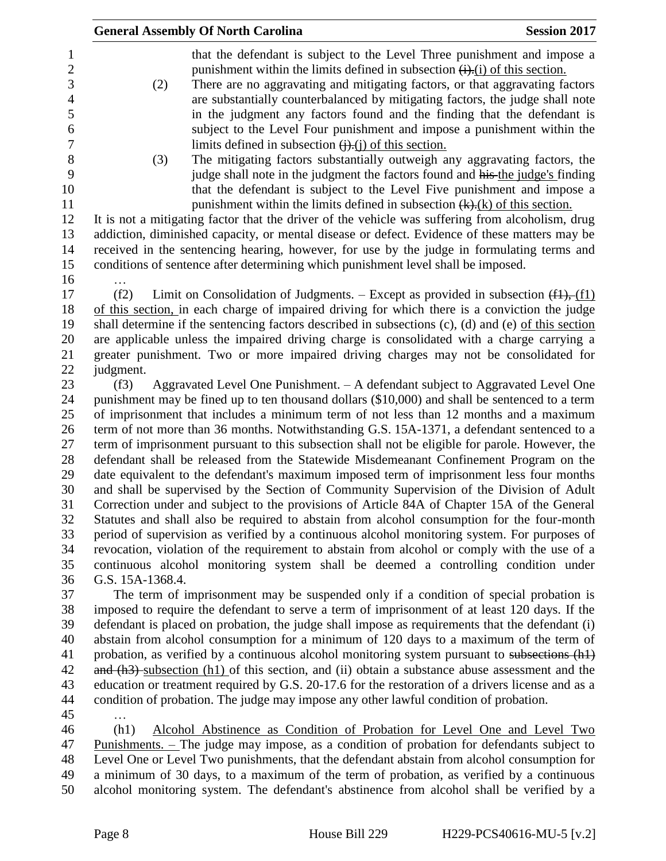|                                                                                   |                  | <b>General Assembly Of North Carolina</b>                                             | <b>Session 2017</b>                                                                                                                                                                                                                                                                                                                                                                                                                                                                |
|-----------------------------------------------------------------------------------|------------------|---------------------------------------------------------------------------------------|------------------------------------------------------------------------------------------------------------------------------------------------------------------------------------------------------------------------------------------------------------------------------------------------------------------------------------------------------------------------------------------------------------------------------------------------------------------------------------|
| $\mathbf{1}$<br>$\mathbf{2}$<br>3<br>$\overline{4}$<br>5<br>6<br>$\boldsymbol{7}$ | (2)              | limits defined in subsection $(i)$ . (i) of this section.                             | that the defendant is subject to the Level Three punishment and impose a<br>punishment within the limits defined in subsection $(i)$ . (i) of this section.<br>There are no aggravating and mitigating factors, or that aggravating factors<br>are substantially counterbalanced by mitigating factors, the judge shall note<br>in the judgment any factors found and the finding that the defendant is<br>subject to the Level Four punishment and impose a punishment within the |
| 8<br>9<br>10                                                                      | (3)              |                                                                                       | The mitigating factors substantially outweigh any aggravating factors, the<br>judge shall note in the judgment the factors found and his the judge's finding<br>that the defendant is subject to the Level Five punishment and impose a                                                                                                                                                                                                                                            |
| 11                                                                                |                  |                                                                                       | punishment within the limits defined in subsection $(k)$ . $(k)$ of this section.                                                                                                                                                                                                                                                                                                                                                                                                  |
| 12<br>13                                                                          |                  |                                                                                       | It is not a mitigating factor that the driver of the vehicle was suffering from alcoholism, drug                                                                                                                                                                                                                                                                                                                                                                                   |
| 14                                                                                |                  |                                                                                       | addiction, diminished capacity, or mental disease or defect. Evidence of these matters may be<br>received in the sentencing hearing, however, for use by the judge in formulating terms and                                                                                                                                                                                                                                                                                        |
| 15                                                                                |                  | conditions of sentence after determining which punishment level shall be imposed.     |                                                                                                                                                                                                                                                                                                                                                                                                                                                                                    |
| 16                                                                                |                  |                                                                                       |                                                                                                                                                                                                                                                                                                                                                                                                                                                                                    |
| 17                                                                                | (f2)             |                                                                                       | Limit on Consolidation of Judgments. – Except as provided in subsection $(f1), (f1)$                                                                                                                                                                                                                                                                                                                                                                                               |
| 18                                                                                |                  |                                                                                       | of this section, in each charge of impaired driving for which there is a conviction the judge                                                                                                                                                                                                                                                                                                                                                                                      |
| 19                                                                                |                  |                                                                                       | shall determine if the sentencing factors described in subsections (c), (d) and (e) of this section                                                                                                                                                                                                                                                                                                                                                                                |
| 20                                                                                |                  |                                                                                       | are applicable unless the impaired driving charge is consolidated with a charge carrying a                                                                                                                                                                                                                                                                                                                                                                                         |
| 21                                                                                |                  |                                                                                       | greater punishment. Two or more impaired driving charges may not be consolidated for                                                                                                                                                                                                                                                                                                                                                                                               |
| 22                                                                                | judgment.        |                                                                                       |                                                                                                                                                                                                                                                                                                                                                                                                                                                                                    |
| 23                                                                                | (f3)             |                                                                                       | Aggravated Level One Punishment. - A defendant subject to Aggravated Level One                                                                                                                                                                                                                                                                                                                                                                                                     |
| 24                                                                                |                  |                                                                                       | punishment may be fined up to ten thousand dollars (\$10,000) and shall be sentenced to a term                                                                                                                                                                                                                                                                                                                                                                                     |
| 25                                                                                |                  |                                                                                       | of imprisonment that includes a minimum term of not less than 12 months and a maximum                                                                                                                                                                                                                                                                                                                                                                                              |
| 26                                                                                |                  |                                                                                       | term of not more than 36 months. Notwithstanding G.S. 15A-1371, a defendant sentenced to a                                                                                                                                                                                                                                                                                                                                                                                         |
| 27                                                                                |                  |                                                                                       | term of imprisonment pursuant to this subsection shall not be eligible for parole. However, the                                                                                                                                                                                                                                                                                                                                                                                    |
| 28                                                                                |                  |                                                                                       | defendant shall be released from the Statewide Misdemeanant Confinement Program on the                                                                                                                                                                                                                                                                                                                                                                                             |
| 29<br>30                                                                          |                  |                                                                                       | date equivalent to the defendant's maximum imposed term of imprisonment less four months<br>and shall be supervised by the Section of Community Supervision of the Division of Adult                                                                                                                                                                                                                                                                                               |
| 31                                                                                |                  |                                                                                       | Correction under and subject to the provisions of Article 84A of Chapter 15A of the General                                                                                                                                                                                                                                                                                                                                                                                        |
| 32                                                                                |                  |                                                                                       | Statutes and shall also be required to abstain from alcohol consumption for the four-month                                                                                                                                                                                                                                                                                                                                                                                         |
| 33                                                                                |                  |                                                                                       | period of supervision as verified by a continuous alcohol monitoring system. For purposes of                                                                                                                                                                                                                                                                                                                                                                                       |
| 34                                                                                |                  |                                                                                       | revocation, violation of the requirement to abstain from alcohol or comply with the use of a                                                                                                                                                                                                                                                                                                                                                                                       |
| 35                                                                                |                  |                                                                                       | continuous alcohol monitoring system shall be deemed a controlling condition under                                                                                                                                                                                                                                                                                                                                                                                                 |
| 36                                                                                | G.S. 15A-1368.4. |                                                                                       |                                                                                                                                                                                                                                                                                                                                                                                                                                                                                    |
| 37                                                                                |                  |                                                                                       | The term of imprisonment may be suspended only if a condition of special probation is                                                                                                                                                                                                                                                                                                                                                                                              |
| 38                                                                                |                  |                                                                                       | imposed to require the defendant to serve a term of imprisonment of at least 120 days. If the                                                                                                                                                                                                                                                                                                                                                                                      |
| 39                                                                                |                  |                                                                                       | defendant is placed on probation, the judge shall impose as requirements that the defendant (i)                                                                                                                                                                                                                                                                                                                                                                                    |
| 40                                                                                |                  |                                                                                       | abstain from alcohol consumption for a minimum of 120 days to a maximum of the term of                                                                                                                                                                                                                                                                                                                                                                                             |
| 41                                                                                |                  |                                                                                       | probation, as verified by a continuous alcohol monitoring system pursuant to subsections (h1)                                                                                                                                                                                                                                                                                                                                                                                      |
| 42                                                                                |                  |                                                                                       | and $(h3)$ -subsection $(h1)$ of this section, and (ii) obtain a substance abuse assessment and the                                                                                                                                                                                                                                                                                                                                                                                |
| 43                                                                                |                  |                                                                                       | education or treatment required by G.S. 20-17.6 for the restoration of a drivers license and as a                                                                                                                                                                                                                                                                                                                                                                                  |
| 44                                                                                |                  | condition of probation. The judge may impose any other lawful condition of probation. |                                                                                                                                                                                                                                                                                                                                                                                                                                                                                    |
| 45                                                                                |                  |                                                                                       |                                                                                                                                                                                                                                                                                                                                                                                                                                                                                    |
| 46                                                                                | (h1)             |                                                                                       | Alcohol Abstinence as Condition of Probation for Level One and Level Two                                                                                                                                                                                                                                                                                                                                                                                                           |
| 47<br>48                                                                          |                  |                                                                                       | Punishments. - The judge may impose, as a condition of probation for defendants subject to                                                                                                                                                                                                                                                                                                                                                                                         |
| 49                                                                                |                  |                                                                                       | Level One or Level Two punishments, that the defendant abstain from alcohol consumption for<br>a minimum of 30 days, to a maximum of the term of probation, as verified by a continuous                                                                                                                                                                                                                                                                                            |
| 50                                                                                |                  |                                                                                       | alcohol monitoring system. The defendant's abstinence from alcohol shall be verified by a                                                                                                                                                                                                                                                                                                                                                                                          |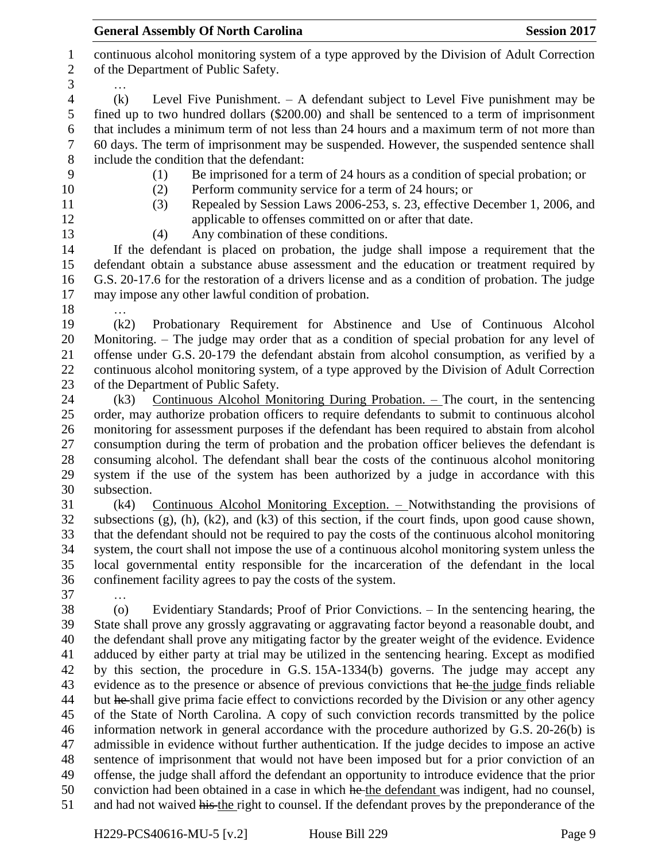|                                                                      | <b>General Assembly Of North Carolina</b>                                                                                                                                                                                                                                                                                                                                                                                                                                                                                                                                                                                                                                                                                                                                                                                                                                                                                                                                                                                                                                                                                                                                                            | <b>Session 2017</b> |
|----------------------------------------------------------------------|------------------------------------------------------------------------------------------------------------------------------------------------------------------------------------------------------------------------------------------------------------------------------------------------------------------------------------------------------------------------------------------------------------------------------------------------------------------------------------------------------------------------------------------------------------------------------------------------------------------------------------------------------------------------------------------------------------------------------------------------------------------------------------------------------------------------------------------------------------------------------------------------------------------------------------------------------------------------------------------------------------------------------------------------------------------------------------------------------------------------------------------------------------------------------------------------------|---------------------|
| $\mathbf{1}$<br>$\boldsymbol{2}$<br>3                                | continuous alcohol monitoring system of a type approved by the Division of Adult Correction<br>of the Department of Public Safety.                                                                                                                                                                                                                                                                                                                                                                                                                                                                                                                                                                                                                                                                                                                                                                                                                                                                                                                                                                                                                                                                   |                     |
| $\overline{4}$<br>5<br>6<br>7<br>$8\,$                               | (k)<br>Level Five Punishment. $-$ A defendant subject to Level Five punishment may be<br>fined up to two hundred dollars (\$200.00) and shall be sentenced to a term of imprisonment<br>that includes a minimum term of not less than 24 hours and a maximum term of not more than<br>60 days. The term of imprisonment may be suspended. However, the suspended sentence shall<br>include the condition that the defendant:                                                                                                                                                                                                                                                                                                                                                                                                                                                                                                                                                                                                                                                                                                                                                                         |                     |
| 9<br>10<br>11<br>12<br>13                                            | Be imprisoned for a term of 24 hours as a condition of special probation; or<br>(1)<br>Perform community service for a term of 24 hours; or<br>(2)<br>Repealed by Session Laws 2006-253, s. 23, effective December 1, 2006, and<br>(3)<br>applicable to offenses committed on or after that date.<br>Any combination of these conditions.<br>(4)                                                                                                                                                                                                                                                                                                                                                                                                                                                                                                                                                                                                                                                                                                                                                                                                                                                     |                     |
| 14<br>15<br>16<br>17<br>18                                           | If the defendant is placed on probation, the judge shall impose a requirement that the<br>defendant obtain a substance abuse assessment and the education or treatment required by<br>G.S. 20-17.6 for the restoration of a drivers license and as a condition of probation. The judge<br>may impose any other lawful condition of probation.                                                                                                                                                                                                                                                                                                                                                                                                                                                                                                                                                                                                                                                                                                                                                                                                                                                        |                     |
| 19<br>20<br>21<br>22<br>23                                           | Probationary Requirement for Abstinence and Use of Continuous Alcohol<br>(k2)<br>Monitoring. - The judge may order that as a condition of special probation for any level of<br>offense under G.S. 20-179 the defendant abstain from alcohol consumption, as verified by a<br>continuous alcohol monitoring system, of a type approved by the Division of Adult Correction<br>of the Department of Public Safety.                                                                                                                                                                                                                                                                                                                                                                                                                                                                                                                                                                                                                                                                                                                                                                                    |                     |
| 24<br>25<br>26<br>27<br>28<br>29                                     | Continuous Alcohol Monitoring During Probation. $-$ The court, in the sentencing<br>(k3)<br>order, may authorize probation officers to require defendants to submit to continuous alcohol<br>monitoring for assessment purposes if the defendant has been required to abstain from alcohol<br>consumption during the term of probation and the probation officer believes the defendant is<br>consuming alcohol. The defendant shall bear the costs of the continuous alcohol monitoring<br>system if the use of the system has been authorized by a judge in accordance with this                                                                                                                                                                                                                                                                                                                                                                                                                                                                                                                                                                                                                   |                     |
| 30<br>31<br>32<br>33<br>34<br>35<br>36<br>37                         | subsection.<br>Continuous Alcohol Monitoring Exception. – Notwithstanding the provisions of<br>(k4)<br>subsections (g), (h), (k2), and (k3) of this section, if the court finds, upon good cause shown,<br>that the defendant should not be required to pay the costs of the continuous alcohol monitoring<br>system, the court shall not impose the use of a continuous alcohol monitoring system unless the<br>local governmental entity responsible for the incarceration of the defendant in the local<br>confinement facility agrees to pay the costs of the system.                                                                                                                                                                                                                                                                                                                                                                                                                                                                                                                                                                                                                            |                     |
| 38<br>39<br>40<br>41<br>42<br>43<br>44<br>45<br>46<br>47<br>48<br>49 | (0)<br>Evidentiary Standards; Proof of Prior Convictions. – In the sentencing hearing, the<br>State shall prove any grossly aggravating or aggravating factor beyond a reasonable doubt, and<br>the defendant shall prove any mitigating factor by the greater weight of the evidence. Evidence<br>adduced by either party at trial may be utilized in the sentencing hearing. Except as modified<br>by this section, the procedure in G.S. 15A-1334(b) governs. The judge may accept any<br>evidence as to the presence or absence of previous convictions that he the judge finds reliable<br>but he shall give prima facie effect to convictions recorded by the Division or any other agency<br>of the State of North Carolina. A copy of such conviction records transmitted by the police<br>information network in general accordance with the procedure authorized by G.S. 20-26(b) is<br>admissible in evidence without further authentication. If the judge decides to impose an active<br>sentence of imprisonment that would not have been imposed but for a prior conviction of an<br>offense, the judge shall afford the defendant an opportunity to introduce evidence that the prior |                     |
| 50<br>51                                                             | conviction had been obtained in a case in which he the defendant was indigent, had no counsel,<br>and had not waived his the right to counsel. If the defendant proves by the preponderance of the                                                                                                                                                                                                                                                                                                                                                                                                                                                                                                                                                                                                                                                                                                                                                                                                                                                                                                                                                                                                   |                     |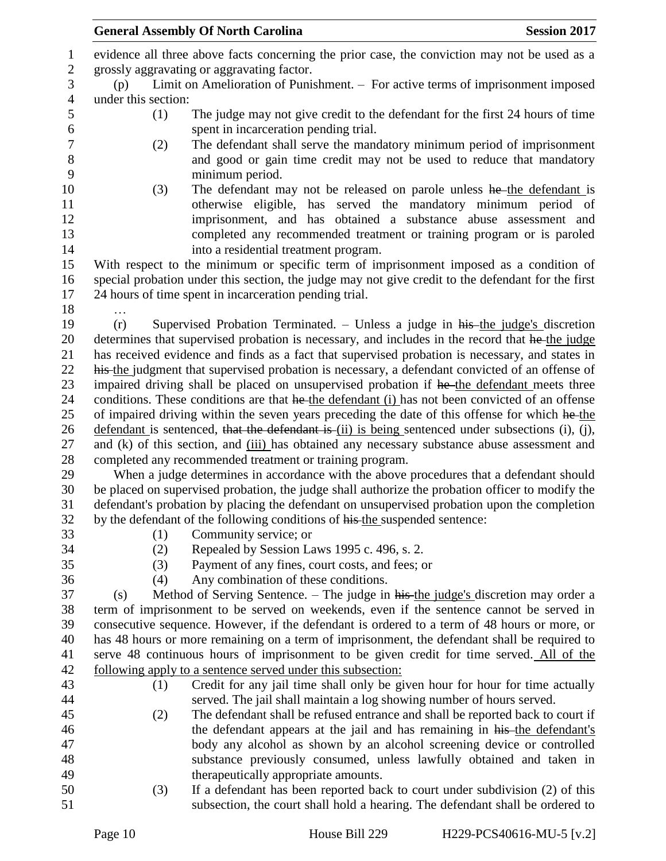|                     | <b>General Assembly Of North Carolina</b><br><b>Session 2017</b>                                                                                                                         |
|---------------------|------------------------------------------------------------------------------------------------------------------------------------------------------------------------------------------|
|                     | evidence all three above facts concerning the prior case, the conviction may not be used as a                                                                                            |
|                     | grossly aggravating or aggravating factor.                                                                                                                                               |
| (p)                 | Limit on Amelioration of Punishment. – For active terms of imprisonment imposed                                                                                                          |
| under this section: |                                                                                                                                                                                          |
| (1)                 | The judge may not give credit to the defendant for the first 24 hours of time                                                                                                            |
|                     | spent in incarceration pending trial.                                                                                                                                                    |
| (2)                 | The defendant shall serve the mandatory minimum period of imprisonment                                                                                                                   |
|                     | and good or gain time credit may not be used to reduce that mandatory                                                                                                                    |
|                     | minimum period.                                                                                                                                                                          |
| (3)                 | The defendant may not be released on parole unless he the defendant is                                                                                                                   |
|                     | otherwise eligible, has served the mandatory minimum period of                                                                                                                           |
|                     | imprisonment, and has obtained a substance abuse assessment and                                                                                                                          |
|                     |                                                                                                                                                                                          |
|                     | completed any recommended treatment or training program or is paroled<br>into a residential treatment program.                                                                           |
|                     |                                                                                                                                                                                          |
|                     | With respect to the minimum or specific term of imprisonment imposed as a condition of                                                                                                   |
|                     | special probation under this section, the judge may not give credit to the defendant for the first<br>24 hours of time spent in incarceration pending trial.                             |
|                     |                                                                                                                                                                                          |
| (r)                 |                                                                                                                                                                                          |
|                     | Supervised Probation Terminated. - Unless a judge in his the judge's discretion<br>determines that supervised probation is necessary, and includes in the record that he the judge       |
|                     |                                                                                                                                                                                          |
|                     | has received evidence and finds as a fact that supervised probation is necessary, and states in                                                                                          |
|                     | his the judgment that supervised probation is necessary, a defendant convicted of an offense of                                                                                          |
|                     | impaired driving shall be placed on unsupervised probation if he the defendant meets three                                                                                               |
|                     | conditions. These conditions are that he-the defendant (i) has not been convicted of an offense                                                                                          |
|                     | of impaired driving within the seven years preceding the date of this offense for which he the                                                                                           |
|                     | defendant is sentenced, that the defendant is (ii) is being sentenced under subsections (i), (j),                                                                                        |
|                     | and (k) of this section, and (iii) has obtained any necessary substance abuse assessment and                                                                                             |
|                     | completed any recommended treatment or training program.<br>When a judge determines in accordance with the above procedures that a defendant should                                      |
|                     |                                                                                                                                                                                          |
|                     | be placed on supervised probation, the judge shall authorize the probation officer to modify the                                                                                         |
|                     | defendant's probation by placing the defendant on unsupervised probation upon the completion                                                                                             |
|                     | by the defendant of the following conditions of his the suspended sentence:<br>Community service; or                                                                                     |
| (1)                 |                                                                                                                                                                                          |
| (2)                 | Repealed by Session Laws 1995 c. 496, s. 2.                                                                                                                                              |
| (3)                 | Payment of any fines, court costs, and fees; or                                                                                                                                          |
| (4)                 | Any combination of these conditions.                                                                                                                                                     |
| (s)                 | Method of Serving Sentence. - The judge in his the judge's discretion may order a<br>term of imprisonment to be served on weekends, even if the sentence cannot be served in             |
|                     |                                                                                                                                                                                          |
|                     | consecutive sequence. However, if the defendant is ordered to a term of 48 hours or more, or                                                                                             |
|                     | has 48 hours or more remaining on a term of imprisonment, the defendant shall be required to<br>serve 48 continuous hours of imprisonment to be given credit for time served. All of the |
|                     |                                                                                                                                                                                          |
|                     | <u>following apply to a sentence served under this subsection:</u>                                                                                                                       |
| (1)                 | Credit for any jail time shall only be given hour for hour for time actually                                                                                                             |
|                     | served. The jail shall maintain a log showing number of hours served.                                                                                                                    |
| (2)                 | The defendant shall be refused entrance and shall be reported back to court if                                                                                                           |
|                     | the defendant appears at the jail and has remaining in his the defendant's                                                                                                               |
|                     | body any alcohol as shown by an alcohol screening device or controlled                                                                                                                   |
|                     | substance previously consumed, unless lawfully obtained and taken in                                                                                                                     |
|                     | therapeutically appropriate amounts.<br>If a defendant has been reported back to court under subdivision (2) of this                                                                     |
| (3)                 | subsection, the court shall hold a hearing. The defendant shall be ordered to                                                                                                            |
|                     |                                                                                                                                                                                          |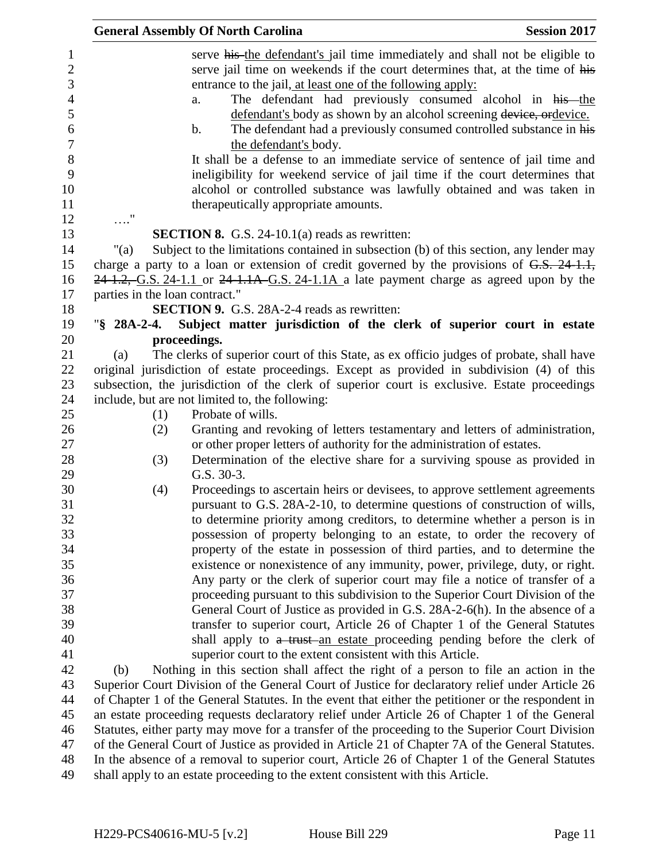|                                                                  |                                | <b>General Assembly Of North Carolina</b>                                                                                                                                                                                                                                                    | <b>Session 2017</b> |
|------------------------------------------------------------------|--------------------------------|----------------------------------------------------------------------------------------------------------------------------------------------------------------------------------------------------------------------------------------------------------------------------------------------|---------------------|
| $\mathbf{1}$<br>$\mathbf{2}$<br>$\mathfrak{Z}$<br>$\overline{4}$ |                                | serve his the defendant's jail time immediately and shall not be eligible to<br>serve jail time on weekends if the court determines that, at the time of his<br>entrance to the jail, at least one of the following apply:<br>The defendant had previously consumed alcohol in his the<br>a. |                     |
| 5<br>6<br>$\boldsymbol{7}$                                       |                                | defendant's body as shown by an alcohol screening device, ordevice.<br>The defendant had a previously consumed controlled substance in his<br>$\mathbf{b}$ .<br>the defendant's body.                                                                                                        |                     |
| $8\,$<br>9<br>10<br>11                                           |                                | It shall be a defense to an immediate service of sentence of jail time and<br>ineligibility for weekend service of jail time if the court determines that<br>alcohol or controlled substance was lawfully obtained and was taken in<br>therapeutically appropriate amounts.                  |                     |
| 12                                                               | $\ldots$ "                     |                                                                                                                                                                                                                                                                                              |                     |
| 13                                                               |                                | <b>SECTION 8.</b> G.S. 24-10.1(a) reads as rewritten:                                                                                                                                                                                                                                        |                     |
| 14                                                               | "(a)                           | Subject to the limitations contained in subsection (b) of this section, any lender may                                                                                                                                                                                                       |                     |
| 15<br>16                                                         |                                | charge a party to a loan or extension of credit governed by the provisions of $G.S. 24-1.1$ ,<br>$24-1.2$ , G.S. 24-1.1 or $24-1.1A$ G.S. 24-1.1A a late payment charge as agreed upon by the                                                                                                |                     |
| 17                                                               | parties in the loan contract." |                                                                                                                                                                                                                                                                                              |                     |
| 18                                                               |                                | <b>SECTION 9.</b> G.S. 28A-2-4 reads as rewritten:                                                                                                                                                                                                                                           |                     |
| 19                                                               | $\sqrt{8}$ 28A-2-4.            | Subject matter jurisdiction of the clerk of superior court in estate                                                                                                                                                                                                                         |                     |
| 20<br>21                                                         | (a)                            | proceedings.<br>The clerks of superior court of this State, as ex officio judges of probate, shall have                                                                                                                                                                                      |                     |
| 22                                                               |                                | original jurisdiction of estate proceedings. Except as provided in subdivision (4) of this                                                                                                                                                                                                   |                     |
| 23                                                               |                                | subsection, the jurisdiction of the clerk of superior court is exclusive. Estate proceedings                                                                                                                                                                                                 |                     |
| 24                                                               |                                | include, but are not limited to, the following:                                                                                                                                                                                                                                              |                     |
| 25                                                               | (1)                            | Probate of wills.                                                                                                                                                                                                                                                                            |                     |
| 26                                                               | (2)                            | Granting and revoking of letters testamentary and letters of administration,                                                                                                                                                                                                                 |                     |
| 27                                                               |                                | or other proper letters of authority for the administration of estates.                                                                                                                                                                                                                      |                     |
| 28                                                               | (3)                            | Determination of the elective share for a surviving spouse as provided in                                                                                                                                                                                                                    |                     |
| 29                                                               |                                | G.S. 30-3.                                                                                                                                                                                                                                                                                   |                     |
| 30                                                               | (4)                            | Proceedings to ascertain heirs or devisees, to approve settlement agreements                                                                                                                                                                                                                 |                     |
| 31                                                               |                                | pursuant to G.S. 28A-2-10, to determine questions of construction of wills,                                                                                                                                                                                                                  |                     |
| 32                                                               |                                | to determine priority among creditors, to determine whether a person is in                                                                                                                                                                                                                   |                     |
| 33                                                               |                                | possession of property belonging to an estate, to order the recovery of                                                                                                                                                                                                                      |                     |
| 34                                                               |                                | property of the estate in possession of third parties, and to determine the                                                                                                                                                                                                                  |                     |
| 35                                                               |                                | existence or nonexistence of any immunity, power, privilege, duty, or right.                                                                                                                                                                                                                 |                     |
| 36                                                               |                                | Any party or the clerk of superior court may file a notice of transfer of a                                                                                                                                                                                                                  |                     |
| 37                                                               |                                | proceeding pursuant to this subdivision to the Superior Court Division of the                                                                                                                                                                                                                |                     |
| 38                                                               |                                | General Court of Justice as provided in G.S. 28A-2-6(h). In the absence of a                                                                                                                                                                                                                 |                     |
| 39                                                               |                                | transfer to superior court, Article 26 of Chapter 1 of the General Statutes                                                                                                                                                                                                                  |                     |
| 40                                                               |                                | shall apply to a trust an estate proceeding pending before the clerk of                                                                                                                                                                                                                      |                     |
| 41                                                               |                                | superior court to the extent consistent with this Article.                                                                                                                                                                                                                                   |                     |
| 42                                                               | (b)                            | Nothing in this section shall affect the right of a person to file an action in the                                                                                                                                                                                                          |                     |
| 43                                                               |                                | Superior Court Division of the General Court of Justice for declaratory relief under Article 26                                                                                                                                                                                              |                     |
| 44                                                               |                                | of Chapter 1 of the General Statutes. In the event that either the petitioner or the respondent in                                                                                                                                                                                           |                     |
| 45<br>46                                                         |                                | an estate proceeding requests declaratory relief under Article 26 of Chapter 1 of the General                                                                                                                                                                                                |                     |
| 47                                                               |                                | Statutes, either party may move for a transfer of the proceeding to the Superior Court Division<br>of the General Court of Justice as provided in Article 21 of Chapter 7A of the General Statutes.                                                                                          |                     |
| 48                                                               |                                | In the absence of a removal to superior court, Article 26 of Chapter 1 of the General Statutes                                                                                                                                                                                               |                     |
| 49                                                               |                                | shall apply to an estate proceeding to the extent consistent with this Article.                                                                                                                                                                                                              |                     |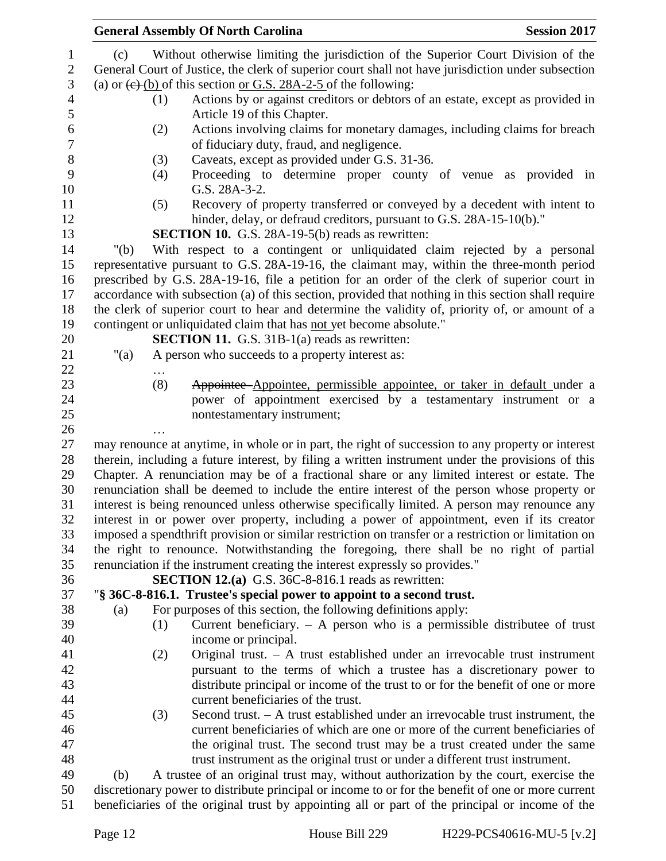|                  |                                                                    |     | <b>General Assembly Of North Carolina</b>                                                                                   | <b>Session 2017</b> |
|------------------|--------------------------------------------------------------------|-----|-----------------------------------------------------------------------------------------------------------------------------|---------------------|
| $\mathbf{1}$     | (c)                                                                |     | Without otherwise limiting the jurisdiction of the Superior Court Division of the                                           |                     |
| $\boldsymbol{2}$ |                                                                    |     | General Court of Justice, the clerk of superior court shall not have jurisdiction under subsection                          |                     |
| $\mathfrak{Z}$   | (a) or $(e)$ (b) of this section or G.S. 28A-2-5 of the following: |     |                                                                                                                             |                     |
| $\overline{4}$   |                                                                    | (1) | Actions by or against creditors or debtors of an estate, except as provided in                                              |                     |
| 5                |                                                                    |     | Article 19 of this Chapter.                                                                                                 |                     |
| 6                |                                                                    | (2) | Actions involving claims for monetary damages, including claims for breach                                                  |                     |
| $\boldsymbol{7}$ |                                                                    |     | of fiduciary duty, fraud, and negligence.                                                                                   |                     |
| 8                |                                                                    | (3) | Caveats, except as provided under G.S. 31-36.                                                                               |                     |
| 9                |                                                                    | (4) | Proceeding to determine proper county of venue as provided in                                                               |                     |
| 10               |                                                                    |     | G.S. 28A-3-2.                                                                                                               |                     |
| 11               |                                                                    | (5) | Recovery of property transferred or conveyed by a decedent with intent to                                                   |                     |
| 12               |                                                                    |     | hinder, delay, or defraud creditors, pursuant to G.S. 28A-15-10(b)."                                                        |                     |
| 13               |                                                                    |     | <b>SECTION 10.</b> G.S. 28A-19-5(b) reads as rewritten:                                                                     |                     |
| 14               | " $(b)$                                                            |     | With respect to a contingent or unliquidated claim rejected by a personal                                                   |                     |
| 15               |                                                                    |     | representative pursuant to G.S. 28A-19-16, the claimant may, within the three-month period                                  |                     |
| 16               |                                                                    |     | prescribed by G.S. 28A-19-16, file a petition for an order of the clerk of superior court in                                |                     |
| 17               |                                                                    |     | accordance with subsection (a) of this section, provided that nothing in this section shall require                         |                     |
| 18               |                                                                    |     | the clerk of superior court to hear and determine the validity of, priority of, or amount of a                              |                     |
| 19               |                                                                    |     | contingent or unliquidated claim that has not yet become absolute."<br><b>SECTION 11.</b> G.S. 31B-1(a) reads as rewritten: |                     |
| 20               |                                                                    |     |                                                                                                                             |                     |
| 21<br>22         | " $(a)$                                                            |     | A person who succeeds to a property interest as:                                                                            |                     |
| 23               |                                                                    | (8) | Appointee–Appointee, permissible appointee, or taker in default under a                                                     |                     |
| 24               |                                                                    |     | power of appointment exercised by a testamentary instrument or a                                                            |                     |
| 25               |                                                                    |     | nontestamentary instrument;                                                                                                 |                     |
| 26               |                                                                    |     |                                                                                                                             |                     |
| 27               |                                                                    |     | may renounce at anytime, in whole or in part, the right of succession to any property or interest                           |                     |
| 28               |                                                                    |     | therein, including a future interest, by filing a written instrument under the provisions of this                           |                     |
| 29               |                                                                    |     | Chapter. A renunciation may be of a fractional share or any limited interest or estate. The                                 |                     |
| 30               |                                                                    |     | renunciation shall be deemed to include the entire interest of the person whose property or                                 |                     |
| 31               |                                                                    |     | interest is being renounced unless otherwise specifically limited. A person may renounce any                                |                     |
| 32               |                                                                    |     | interest in or power over property, including a power of appointment, even if its creator                                   |                     |
| 33               |                                                                    |     | imposed a spendthrift provision or similar restriction on transfer or a restriction or limitation on                        |                     |
| 34               |                                                                    |     | the right to renounce. Notwithstanding the foregoing, there shall be no right of partial                                    |                     |
| 35               |                                                                    |     | renunciation if the instrument creating the interest expressly so provides."                                                |                     |
| 36               |                                                                    |     | <b>SECTION 12.(a)</b> G.S. 36C-8-816.1 reads as rewritten:                                                                  |                     |
| 37               |                                                                    |     | "§ 36C-8-816.1. Trustee's special power to appoint to a second trust.                                                       |                     |
| 38               | (a)                                                                |     | For purposes of this section, the following definitions apply:                                                              |                     |
| 39               |                                                                    | (1) | Current beneficiary. $-$ A person who is a permissible distributee of trust                                                 |                     |
| 40               |                                                                    |     | income or principal.                                                                                                        |                     |
| 41               |                                                                    | (2) | Original trust. $-$ A trust established under an irrevocable trust instrument                                               |                     |
| 42               |                                                                    |     | pursuant to the terms of which a trustee has a discretionary power to                                                       |                     |
| 43               |                                                                    |     | distribute principal or income of the trust to or for the benefit of one or more                                            |                     |
| 44               |                                                                    |     | current beneficiaries of the trust.                                                                                         |                     |
| 45               |                                                                    | (3) | Second trust. $- A$ trust established under an irrevocable trust instrument, the                                            |                     |
| 46               |                                                                    |     | current beneficiaries of which are one or more of the current beneficiaries of                                              |                     |
| 47               |                                                                    |     | the original trust. The second trust may be a trust created under the same                                                  |                     |
| 48               |                                                                    |     | trust instrument as the original trust or under a different trust instrument.                                               |                     |
| 49               | (b)                                                                |     | A trustee of an original trust may, without authorization by the court, exercise the                                        |                     |
| 50               |                                                                    |     | discretionary power to distribute principal or income to or for the benefit of one or more current                          |                     |
| 51               |                                                                    |     | beneficiaries of the original trust by appointing all or part of the principal or income of the                             |                     |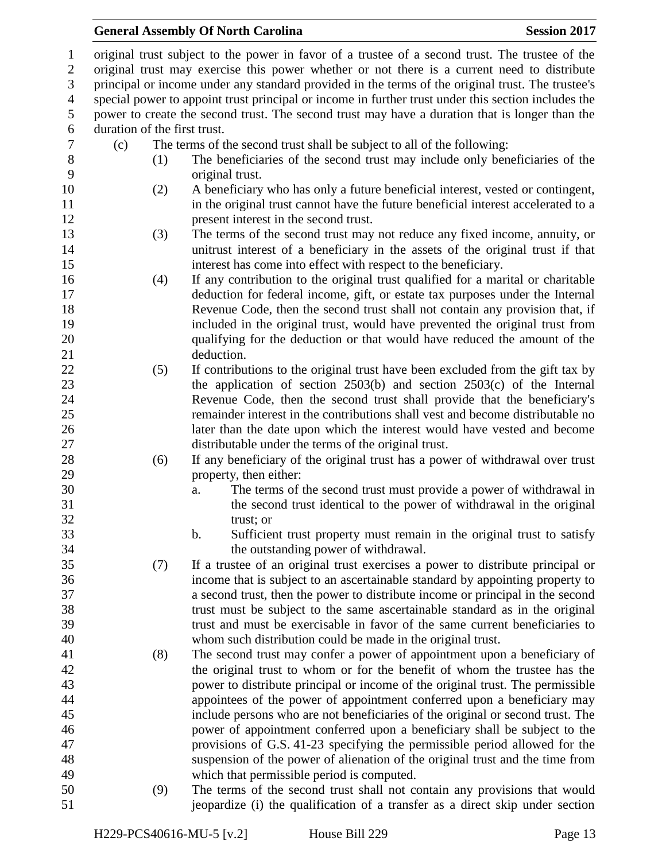original trust subject to the power in favor of a trustee of a second trust. The trustee of the original trust may exercise this power whether or not there is a current need to distribute principal or income under any standard provided in the terms of the original trust. The trustee's special power to appoint trust principal or income in further trust under this section includes the power to create the second trust. The second trust may have a duration that is longer than the 6 duration of the first trust.<br>  $\frac{7}{100}$  C The terms of t (c) The terms of the second trust shall be subject to all of the following: (1) The beneficiaries of the second trust may include only beneficiaries of the original trust. (2) A beneficiary who has only a future beneficial interest, vested or contingent, in the original trust cannot have the future beneficial interest accelerated to a present interest in the second trust. (3) The terms of the second trust may not reduce any fixed income, annuity, or unitrust interest of a beneficiary in the assets of the original trust if that interest has come into effect with respect to the beneficiary. (4) If any contribution to the original trust qualified for a marital or charitable deduction for federal income, gift, or estate tax purposes under the Internal Revenue Code, then the second trust shall not contain any provision that, if included in the original trust, would have prevented the original trust from qualifying for the deduction or that would have reduced the amount of the 21 deduction. (5) If contributions to the original trust have been excluded from the gift tax by the application of section 2503(b) and section 2503(c) of the Internal Revenue Code, then the second trust shall provide that the beneficiary's remainder interest in the contributions shall vest and become distributable no later than the date upon which the interest would have vested and become distributable under the terms of the original trust. (6) If any beneficiary of the original trust has a power of withdrawal over trust 29 property, then either: a. The terms of the second trust must provide a power of withdrawal in the second trust identical to the power of withdrawal in the original trust; or b. Sufficient trust property must remain in the original trust to satisfy the outstanding power of withdrawal. (7) If a trustee of an original trust exercises a power to distribute principal or income that is subject to an ascertainable standard by appointing property to a second trust, then the power to distribute income or principal in the second trust must be subject to the same ascertainable standard as in the original trust and must be exercisable in favor of the same current beneficiaries to whom such distribution could be made in the original trust. (8) The second trust may confer a power of appointment upon a beneficiary of the original trust to whom or for the benefit of whom the trustee has the power to distribute principal or income of the original trust. The permissible appointees of the power of appointment conferred upon a beneficiary may include persons who are not beneficiaries of the original or second trust. The power of appointment conferred upon a beneficiary shall be subject to the provisions of G.S. 41-23 specifying the permissible period allowed for the suspension of the power of alienation of the original trust and the time from which that permissible period is computed. (9) The terms of the second trust shall not contain any provisions that would jeopardize (i) the qualification of a transfer as a direct skip under section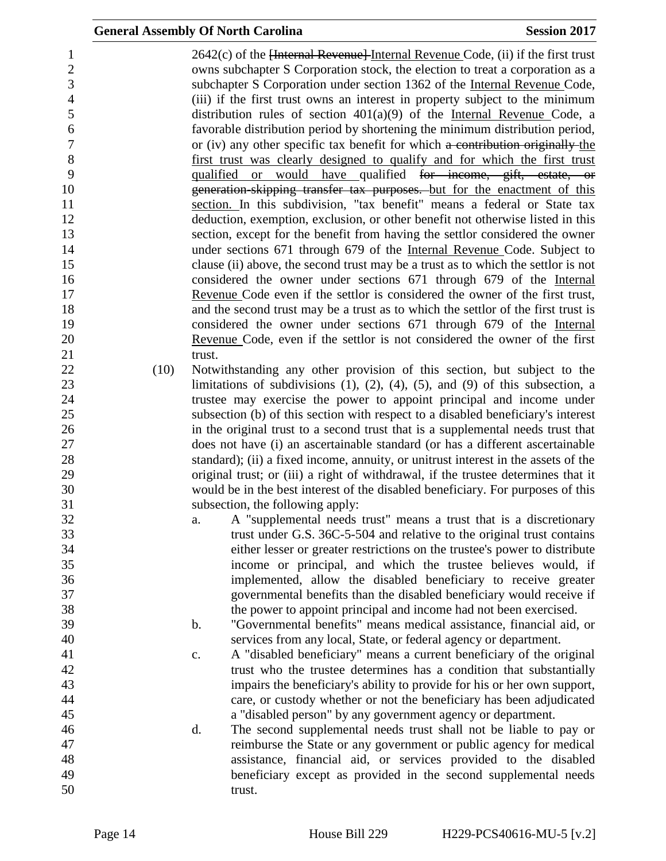| $\mathbf{1}$     |      | $2642(c)$ of the <del>[Internal Revenue]</del> Internal Revenue Code, (ii) if the first trust |
|------------------|------|-----------------------------------------------------------------------------------------------|
| $\overline{c}$   |      | owns subchapter S Corporation stock, the election to treat a corporation as a                 |
| $\overline{3}$   |      | subchapter S Corporation under section 1362 of the Internal Revenue Code,                     |
| $\overline{4}$   |      | (iii) if the first trust owns an interest in property subject to the minimum                  |
| 5                |      | distribution rules of section $401(a)(9)$ of the Internal Revenue Code, a                     |
| $\boldsymbol{6}$ |      | favorable distribution period by shortening the minimum distribution period,                  |
| $\tau$           |      | or (iv) any other specific tax benefit for which a contribution originally the                |
| $8\,$            |      | first trust was clearly designed to qualify and for which the first trust                     |
| 9                |      | qualified or would have qualified for income, gift, estate, or                                |
| 10               |      | generation skipping transfer tax purposes. but for the enactment of this                      |
| 11               |      | section. In this subdivision, "tax benefit" means a federal or State tax                      |
| 12               |      | deduction, exemption, exclusion, or other benefit not otherwise listed in this                |
|                  |      |                                                                                               |
| 13               |      | section, except for the benefit from having the settlor considered the owner                  |
| 14               |      | under sections 671 through 679 of the Internal Revenue Code. Subject to                       |
| 15               |      | clause (ii) above, the second trust may be a trust as to which the settlor is not             |
| 16               |      | considered the owner under sections 671 through 679 of the Internal                           |
| 17               |      | Revenue Code even if the settlor is considered the owner of the first trust,                  |
| 18               |      | and the second trust may be a trust as to which the settlor of the first trust is             |
| 19               |      | considered the owner under sections 671 through 679 of the Internal                           |
| 20               |      | Revenue Code, even if the settlor is not considered the owner of the first                    |
| 21               |      | trust.                                                                                        |
| 22               | (10) | Notwithstanding any other provision of this section, but subject to the                       |
| 23               |      | limitations of subdivisions $(1)$ , $(2)$ , $(4)$ , $(5)$ , and $(9)$ of this subsection, a   |
| 24               |      | trustee may exercise the power to appoint principal and income under                          |
| 25               |      | subsection (b) of this section with respect to a disabled beneficiary's interest              |
| 26               |      | in the original trust to a second trust that is a supplemental needs trust that               |
| 27               |      | does not have (i) an ascertainable standard (or has a different ascertainable                 |
| 28               |      | standard); (ii) a fixed income, annuity, or unitrust interest in the assets of the            |
| 29               |      | original trust; or (iii) a right of withdrawal, if the trustee determines that it             |
| 30               |      | would be in the best interest of the disabled beneficiary. For purposes of this               |
| 31               |      | subsection, the following apply:                                                              |
| 32               |      | A "supplemental needs trust" means a trust that is a discretionary<br>a.                      |
| 33               |      | trust under G.S. 36C-5-504 and relative to the original trust contains                        |
| 34               |      | either lesser or greater restrictions on the trustee's power to distribute                    |
| 35               |      | income or principal, and which the trustee believes would, if                                 |
| 36               |      | implemented, allow the disabled beneficiary to receive greater                                |
| 37               |      | governmental benefits than the disabled beneficiary would receive if                          |
| 38               |      | the power to appoint principal and income had not been exercised.                             |
| 39               |      | "Governmental benefits" means medical assistance, financial aid, or<br>$\mathbf b$ .          |
| 40               |      | services from any local, State, or federal agency or department.                              |
| 41               |      | A "disabled beneficiary" means a current beneficiary of the original<br>$\mathbf{c}.$         |
| 42               |      | trust who the trustee determines has a condition that substantially                           |
| 43               |      | impairs the beneficiary's ability to provide for his or her own support,                      |
| 44               |      | care, or custody whether or not the beneficiary has been adjudicated                          |
| 45               |      | a "disabled person" by any government agency or department.                                   |
| 46               |      | The second supplemental needs trust shall not be liable to pay or<br>d.                       |
| 47               |      | reimburse the State or any government or public agency for medical                            |
| 48               |      | assistance, financial aid, or services provided to the disabled                               |
| 49               |      | beneficiary except as provided in the second supplemental needs                               |
| 50               |      | trust.                                                                                        |
|                  |      |                                                                                               |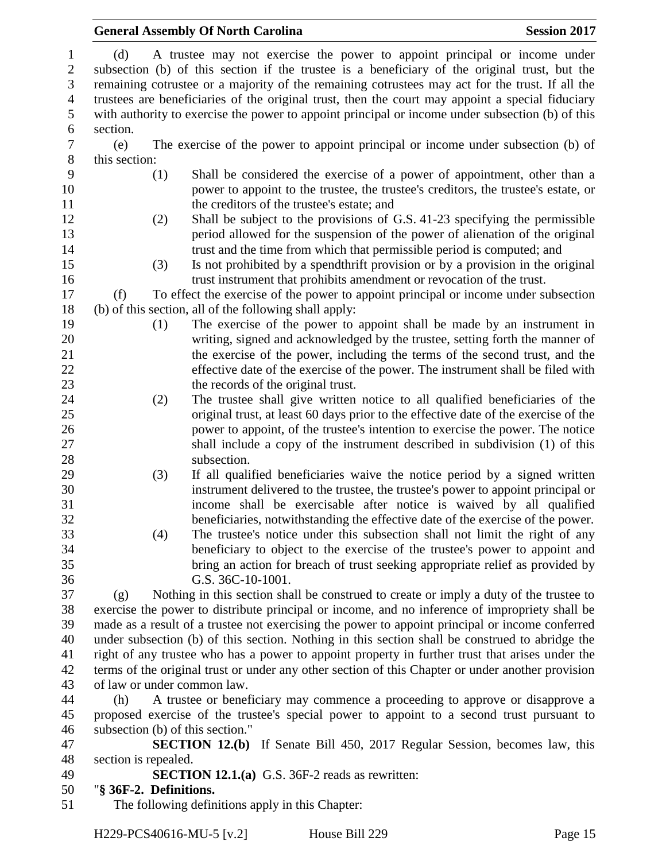| $\mathbf{1}$     | A trustee may not exercise the power to appoint principal or income under<br>(d)                  |
|------------------|---------------------------------------------------------------------------------------------------|
| $\boldsymbol{2}$ | subsection (b) of this section if the trustee is a beneficiary of the original trust, but the     |
| 3                | remaining cotrustee or a majority of the remaining cotrustees may act for the trust. If all the   |
| $\overline{4}$   | trustees are beneficiaries of the original trust, then the court may appoint a special fiduciary  |
| 5                | with authority to exercise the power to appoint principal or income under subsection (b) of this  |
| 6                | section.                                                                                          |
| $\boldsymbol{7}$ | The exercise of the power to appoint principal or income under subsection (b) of<br>(e)           |
| $8\,$            | this section:                                                                                     |
| 9                | Shall be considered the exercise of a power of appointment, other than a<br>(1)                   |
| 10               | power to appoint to the trustee, the trustee's creditors, the trustee's estate, or                |
| 11               | the creditors of the trustee's estate; and                                                        |
| 12               | Shall be subject to the provisions of G.S. 41-23 specifying the permissible<br>(2)                |
| 13               | period allowed for the suspension of the power of alienation of the original                      |
| 14               | trust and the time from which that permissible period is computed; and                            |
| 15               | Is not prohibited by a spendthrift provision or by a provision in the original<br>(3)             |
| 16               | trust instrument that prohibits amendment or revocation of the trust.                             |
| 17               | To effect the exercise of the power to appoint principal or income under subsection<br>(f)        |
| 18               | (b) of this section, all of the following shall apply:                                            |
| 19               | The exercise of the power to appoint shall be made by an instrument in<br>(1)                     |
| 20               | writing, signed and acknowledged by the trustee, setting forth the manner of                      |
| 21               | the exercise of the power, including the terms of the second trust, and the                       |
| 22               |                                                                                                   |
| 23               | effective date of the exercise of the power. The instrument shall be filed with                   |
| 24               | the records of the original trust.                                                                |
| 25               | The trustee shall give written notice to all qualified beneficiaries of the<br>(2)                |
|                  | original trust, at least 60 days prior to the effective date of the exercise of the               |
| 26<br>27         | power to appoint, of the trustee's intention to exercise the power. The notice                    |
|                  | shall include a copy of the instrument described in subdivision (1) of this<br>subsection.        |
| 28               |                                                                                                   |
| 29<br>30         | If all qualified beneficiaries waive the notice period by a signed written<br>(3)                 |
| 31               | instrument delivered to the trustee, the trustee's power to appoint principal or                  |
|                  | income shall be exercisable after notice is waived by all qualified                               |
| 32               | beneficiaries, notwithstanding the effective date of the exercise of the power.                   |
| 33               | The trustee's notice under this subsection shall not limit the right of any<br>(4)                |
| 34               | beneficiary to object to the exercise of the trustee's power to appoint and                       |
| 35               | bring an action for breach of trust seeking appropriate relief as provided by                     |
| 36               | G.S. 36C-10-1001.                                                                                 |
| 37               | Nothing in this section shall be construed to create or imply a duty of the trustee to<br>(g)     |
| 38               | exercise the power to distribute principal or income, and no inference of impropriety shall be    |
| 39               | made as a result of a trustee not exercising the power to appoint principal or income conferred   |
| 40               | under subsection (b) of this section. Nothing in this section shall be construed to abridge the   |
| 41               | right of any trustee who has a power to appoint property in further trust that arises under the   |
| 42               | terms of the original trust or under any other section of this Chapter or under another provision |
| 43               | of law or under common law.                                                                       |
| 44               | A trustee or beneficiary may commence a proceeding to approve or disapprove a<br>(h)              |
| 45               | proposed exercise of the trustee's special power to appoint to a second trust pursuant to         |
| 46               | subsection (b) of this section."                                                                  |
| 47               | <b>SECTION 12.(b)</b> If Senate Bill 450, 2017 Regular Session, becomes law, this                 |
| 48               | section is repealed.                                                                              |
| 49               | <b>SECTION 12.1.(a)</b> G.S. 36F-2 reads as rewritten:                                            |
| 50               | "§ 36F-2. Definitions.                                                                            |
| 51               | The following definitions apply in this Chapter:                                                  |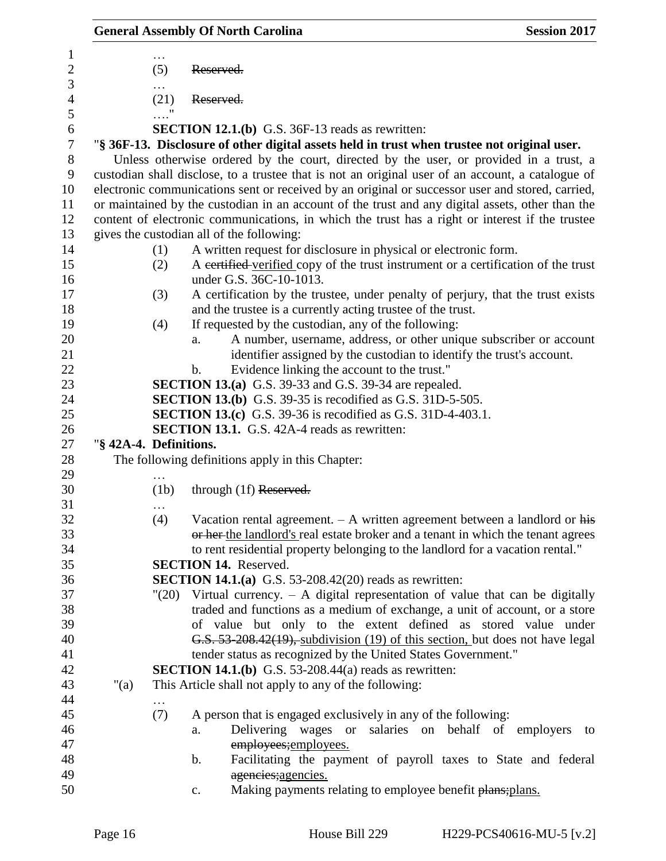|                        |          | <b>General Assembly Of North Carolina</b>                                                                                                    | <b>Session 2017</b> |
|------------------------|----------|----------------------------------------------------------------------------------------------------------------------------------------------|---------------------|
|                        | (5)      | Reserved.                                                                                                                                    |                     |
|                        | $\cdots$ |                                                                                                                                              |                     |
|                        | (21)     | Reserved.                                                                                                                                    |                     |
|                        |          | <b>SECTION 12.1.(b)</b> G.S. 36F-13 reads as rewritten:                                                                                      |                     |
|                        |          | "§ 36F-13. Disclosure of other digital assets held in trust when trustee not original user.                                                  |                     |
|                        |          | Unless otherwise ordered by the court, directed by the user, or provided in a trust, a                                                       |                     |
|                        |          | custodian shall disclose, to a trustee that is not an original user of an account, a catalogue of                                            |                     |
|                        |          | electronic communications sent or received by an original or successor user and stored, carried,                                             |                     |
|                        |          | or maintained by the custodian in an account of the trust and any digital assets, other than the                                             |                     |
|                        |          | content of electronic communications, in which the trust has a right or interest if the trustee<br>gives the custodian all of the following: |                     |
|                        | (1)      | A written request for disclosure in physical or electronic form.                                                                             |                     |
|                        | (2)      | A certified-verified copy of the trust instrument or a certification of the trust                                                            |                     |
|                        |          | under G.S. 36C-10-1013.                                                                                                                      |                     |
|                        | (3)      | A certification by the trustee, under penalty of perjury, that the trust exists                                                              |                     |
|                        |          | and the trustee is a currently acting trustee of the trust.                                                                                  |                     |
|                        | (4)      | If requested by the custodian, any of the following:                                                                                         |                     |
|                        |          | A number, username, address, or other unique subscriber or account<br>a.                                                                     |                     |
|                        |          | identifier assigned by the custodian to identify the trust's account.                                                                        |                     |
|                        |          | Evidence linking the account to the trust."<br>b.                                                                                            |                     |
|                        |          | <b>SECTION 13.(a)</b> G.S. 39-33 and G.S. 39-34 are repealed.                                                                                |                     |
|                        |          | <b>SECTION 13.(b)</b> G.S. 39-35 is recodified as G.S. 31D-5-505.                                                                            |                     |
|                        |          | <b>SECTION 13.(c)</b> G.S. 39-36 is recodified as G.S. 31D-4-403.1.<br><b>SECTION 13.1.</b> G.S. 42A-4 reads as rewritten:                   |                     |
| "§ 42A-4. Definitions. |          |                                                                                                                                              |                     |
|                        |          | The following definitions apply in this Chapter:                                                                                             |                     |
|                        |          |                                                                                                                                              |                     |
|                        | (1b)     | through (1f) Reserved.                                                                                                                       |                     |
|                        |          |                                                                                                                                              |                     |
|                        | (4)      | Vacation rental agreement. $- A$ written agreement between a landlord or his                                                                 |                     |
|                        |          | or her the landlord's real estate broker and a tenant in which the tenant agrees                                                             |                     |
|                        |          | to rent residential property belonging to the landlord for a vacation rental."                                                               |                     |
|                        |          | <b>SECTION 14. Reserved.</b><br><b>SECTION 14.1.(a)</b> G.S. 53-208.42(20) reads as rewritten:                                               |                     |
|                        | "(20)    | Virtual currency. $-$ A digital representation of value that can be digitally                                                                |                     |
|                        |          | traded and functions as a medium of exchange, a unit of account, or a store                                                                  |                     |
|                        |          | of value but only to the extent defined as stored value under                                                                                |                     |
|                        |          | G.S. 53-208.42(19), subdivision (19) of this section, but does not have legal                                                                |                     |
|                        |          | tender status as recognized by the United States Government."                                                                                |                     |
|                        |          | <b>SECTION 14.1.(b)</b> G.S. 53-208.44(a) reads as rewritten:                                                                                |                     |
| " $(a)$                |          | This Article shall not apply to any of the following:                                                                                        |                     |
|                        | .        |                                                                                                                                              |                     |
|                        | (7)      | A person that is engaged exclusively in any of the following:                                                                                |                     |
|                        |          | Delivering wages or salaries on behalf of employers<br>a.                                                                                    | to                  |
|                        |          | employees; employees.                                                                                                                        |                     |
|                        |          | Facilitating the payment of payroll taxes to State and federal<br>b.<br>agencies; agencies.                                                  |                     |
|                        |          | Making payments relating to employee benefit plans; plans.<br>c.                                                                             |                     |
|                        |          |                                                                                                                                              |                     |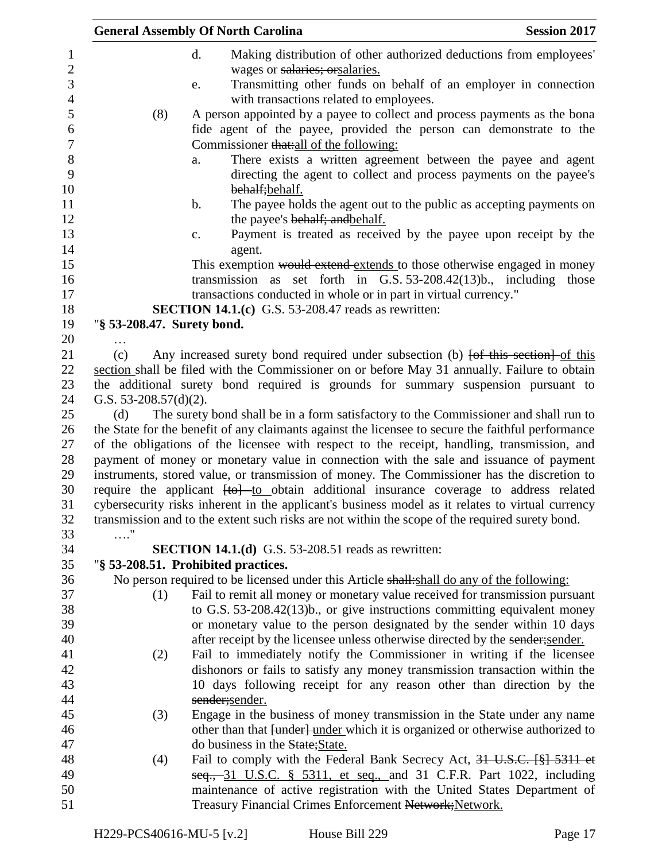|                            | <b>General Assembly Of North Carolina</b>                                                          | <b>Session 2017</b> |
|----------------------------|----------------------------------------------------------------------------------------------------|---------------------|
|                            | d.<br>Making distribution of other authorized deductions from employees'                           |                     |
|                            | wages or salaries; or salaries.                                                                    |                     |
|                            | Transmitting other funds on behalf of an employer in connection<br>e.                              |                     |
|                            | with transactions related to employees.                                                            |                     |
| (8)                        | A person appointed by a payee to collect and process payments as the bona                          |                     |
|                            | fide agent of the payee, provided the person can demonstrate to the                                |                     |
|                            | Commissioner that: all of the following:                                                           |                     |
|                            | There exists a written agreement between the payee and agent<br>a.                                 |                     |
|                            | directing the agent to collect and process payments on the payee's                                 |                     |
|                            | behalf; behalf.                                                                                    |                     |
|                            | The payee holds the agent out to the public as accepting payments on<br>b.                         |                     |
|                            | the payee's behalf; and behalf.                                                                    |                     |
|                            | Payment is treated as received by the payee upon receipt by the<br>$C_{\bullet}$                   |                     |
|                            | agent.                                                                                             |                     |
|                            | This exemption would extend extends to those otherwise engaged in money                            |                     |
|                            | transmission as set forth in $G.S. 53-208.42(13)b$ , including those                               |                     |
|                            | transactions conducted in whole or in part in virtual currency."                                   |                     |
|                            | <b>SECTION 14.1.(c)</b> G.S. 53-208.47 reads as rewritten:                                         |                     |
| "§ 53-208.47. Surety bond. |                                                                                                    |                     |
|                            |                                                                                                    |                     |
| (c)                        | Any increased surety bond required under subsection (b) [of this section] of this                  |                     |
|                            | section shall be filed with the Commissioner on or before May 31 annually. Failure to obtain       |                     |
|                            | the additional surety bond required is grounds for summary suspension pursuant to                  |                     |
| G.S. $53-208.57(d)(2)$ .   |                                                                                                    |                     |
| (d)                        | The surety bond shall be in a form satisfactory to the Commissioner and shall run to               |                     |
|                            | the State for the benefit of any claimants against the licensee to secure the faithful performance |                     |
|                            | of the obligations of the licensee with respect to the receipt, handling, transmission, and        |                     |
|                            | payment of money or monetary value in connection with the sale and issuance of payment             |                     |
|                            | instruments, stored value, or transmission of money. The Commissioner has the discretion to        |                     |
|                            | require the applicant [to] to obtain additional insurance coverage to address related              |                     |
|                            | cybersecurity risks inherent in the applicant's business model as it relates to virtual currency   |                     |
|                            | transmission and to the extent such risks are not within the scope of the required surety bond.    |                     |
| . "                        |                                                                                                    |                     |
|                            | <b>SECTION 14.1.(d)</b> G.S. 53-208.51 reads as rewritten:                                         |                     |
|                            | "§ 53-208.51. Prohibited practices.                                                                |                     |
|                            | No person required to be licensed under this Article shall: shall do any of the following:         |                     |
| (1)                        | Fail to remit all money or monetary value received for transmission pursuant                       |                     |
|                            | to G.S. $53-208.42(13)$ b., or give instructions committing equivalent money                       |                     |
|                            | or monetary value to the person designated by the sender within 10 days                            |                     |
|                            | after receipt by the licensee unless otherwise directed by the sender; sender.                     |                     |
| (2)                        | Fail to immediately notify the Commissioner in writing if the licensee                             |                     |
|                            | dishonors or fails to satisfy any money transmission transaction within the                        |                     |
|                            | 10 days following receipt for any reason other than direction by the                               |                     |
|                            | sender;sender.                                                                                     |                     |
| (3)                        | Engage in the business of money transmission in the State under any name                           |                     |
|                            | other than that [under] under which it is organized or otherwise authorized to                     |                     |
|                            | do business in the State; State.                                                                   |                     |
| (4)                        | Fail to comply with the Federal Bank Secrecy Act, 31 U.S.C. [§] 5311 et                            |                     |
|                            | seq., 31 U.S.C. § 5311, et seq., and 31 C.F.R. Part 1022, including                                |                     |
|                            | maintenance of active registration with the United States Department of                            |                     |
|                            | Treasury Financial Crimes Enforcement Network; Network.                                            |                     |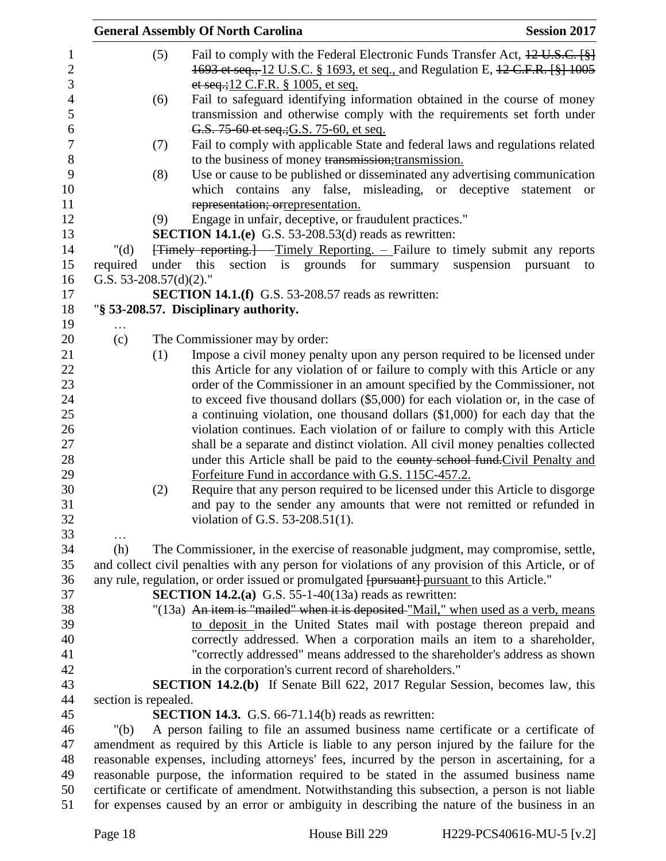|                                |                           |            | <b>General Assembly Of North Carolina</b>                                                                                                                                                 | <b>Session 2017</b> |
|--------------------------------|---------------------------|------------|-------------------------------------------------------------------------------------------------------------------------------------------------------------------------------------------|---------------------|
| 1<br>$\overline{c}$            |                           | (5)        | Fail to comply with the Federal Electronic Funds Transfer Act, 12 U.S.C. [§]<br>1693 et seq., 12 U.S.C. § 1693, et seq., and Regulation E, 12 C.F.R. [§] 1005                             |                     |
| 3<br>$\overline{4}$<br>5       |                           | (6)        | et seq.;12 C.F.R. § 1005, et seq.<br>Fail to safeguard identifying information obtained in the course of money<br>transmission and otherwise comply with the requirements set forth under |                     |
| $\sqrt{6}$<br>$\boldsymbol{7}$ |                           | (7)        | G.S. 75-60 et seq.; G.S. 75-60, et seq.<br>Fail to comply with applicable State and federal laws and regulations related                                                                  |                     |
| $8\,$<br>9                     |                           | (8)        | to the business of money transmission; transmission.<br>Use or cause to be published or disseminated any advertising communication                                                        |                     |
| 10                             |                           |            | which contains any false, misleading, or deceptive statement or                                                                                                                           |                     |
| 11                             |                           |            | representation; orrepresentation.                                                                                                                                                         |                     |
| 12                             |                           | (9)        | Engage in unfair, deceptive, or fraudulent practices."                                                                                                                                    |                     |
| 13<br>14                       | " $(d)$                   |            | <b>SECTION 14.1.(e)</b> G.S. 53-208.53(d) reads as rewritten:<br>[Timely reporting.] - Timely Reporting. - Failure to timely submit any reports                                           |                     |
| 15                             | required                  | under this | grounds for<br>section is<br>suspension<br>summary                                                                                                                                        | pursuant<br>to      |
| 16                             | G.S. $53-208.57(d)(2)$ ." |            |                                                                                                                                                                                           |                     |
| 17                             |                           |            | <b>SECTION 14.1.(f)</b> G.S. 53-208.57 reads as rewritten:                                                                                                                                |                     |
| 18                             |                           |            | "§ 53-208.57. Disciplinary authority.                                                                                                                                                     |                     |
| 19                             |                           |            |                                                                                                                                                                                           |                     |
| 20                             | (c)                       |            | The Commissioner may by order:                                                                                                                                                            |                     |
| 21                             |                           | (1)        | Impose a civil money penalty upon any person required to be licensed under                                                                                                                |                     |
| 22                             |                           |            | this Article for any violation of or failure to comply with this Article or any                                                                                                           |                     |
| 23<br>24                       |                           |            | order of the Commissioner in an amount specified by the Commissioner, not<br>to exceed five thousand dollars (\$5,000) for each violation or, in the case of                              |                     |
| 25                             |                           |            | a continuing violation, one thousand dollars (\$1,000) for each day that the                                                                                                              |                     |
| 26                             |                           |            | violation continues. Each violation of or failure to comply with this Article                                                                                                             |                     |
| 27                             |                           |            | shall be a separate and distinct violation. All civil money penalties collected                                                                                                           |                     |
| 28                             |                           |            | under this Article shall be paid to the county school fund. Civil Penalty and                                                                                                             |                     |
| 29                             |                           |            | Forfeiture Fund in accordance with G.S. 115C-457.2.                                                                                                                                       |                     |
| 30                             |                           | (2)        | Require that any person required to be licensed under this Article to disgorge                                                                                                            |                     |
| 31                             |                           |            | and pay to the sender any amounts that were not remitted or refunded in                                                                                                                   |                     |
| 32                             |                           |            | violation of G.S. 53-208.51(1).                                                                                                                                                           |                     |
| 33                             | .                         |            |                                                                                                                                                                                           |                     |
| 34                             | (h)                       |            | The Commissioner, in the exercise of reasonable judgment, may compromise, settle,                                                                                                         |                     |
| 35                             |                           |            | and collect civil penalties with any person for violations of any provision of this Article, or of                                                                                        |                     |
| 36                             |                           |            | any rule, regulation, or order issued or promulgated [pursuant]-pursuant to this Article."                                                                                                |                     |
| 37                             |                           |            | <b>SECTION 14.2.(a)</b> G.S. 55-1-40(13a) reads as rewritten:                                                                                                                             |                     |
| 38<br>39                       |                           |            | "(13a) An item is "mailed" when it is deposited "Mail," when used as a verb, means<br>to deposit in the United States mail with postage thereon prepaid and                               |                     |
| 40                             |                           |            | correctly addressed. When a corporation mails an item to a shareholder,                                                                                                                   |                     |
| 41                             |                           |            | "correctly addressed" means addressed to the shareholder's address as shown                                                                                                               |                     |
| 42                             |                           |            | in the corporation's current record of shareholders."                                                                                                                                     |                     |
| 43                             |                           |            | <b>SECTION 14.2.(b)</b> If Senate Bill 622, 2017 Regular Session, becomes law, this                                                                                                       |                     |
| 44                             | section is repealed.      |            |                                                                                                                                                                                           |                     |
| 45                             |                           |            | SECTION 14.3. G.S. 66-71.14(b) reads as rewritten:                                                                                                                                        |                     |
| 46                             | " $(b)$                   |            | A person failing to file an assumed business name certificate or a certificate of                                                                                                         |                     |
| 47                             |                           |            | amendment as required by this Article is liable to any person injured by the failure for the                                                                                              |                     |
| 48                             |                           |            | reasonable expenses, including attorneys' fees, incurred by the person in ascertaining, for a                                                                                             |                     |
| 49                             |                           |            | reasonable purpose, the information required to be stated in the assumed business name                                                                                                    |                     |
| 50                             |                           |            | certificate or certificate of amendment. Notwithstanding this subsection, a person is not liable                                                                                          |                     |
| 51                             |                           |            | for expenses caused by an error or ambiguity in describing the nature of the business in an                                                                                               |                     |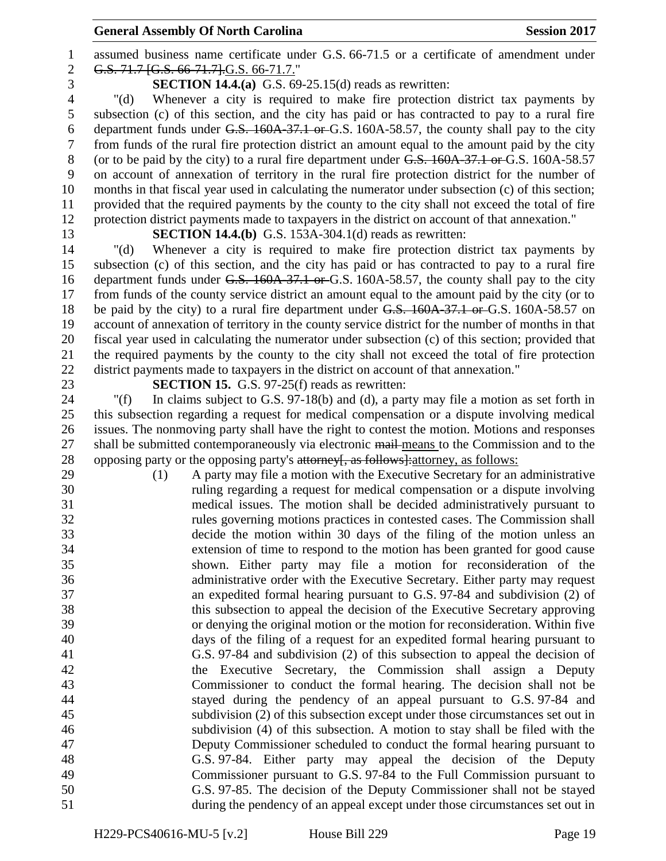assumed business name certificate under G.S. 66-71.5 or a certificate of amendment under 2 G.S. 71.7 [G.S. 66-71.7] [G.S. 66-71.7."

**SECTION 14.4.(a)** G.S. 69-25.15(d) reads as rewritten:

 "(d) Whenever a city is required to make fire protection district tax payments by subsection (c) of this section, and the city has paid or has contracted to pay to a rural fire department funds under G.S. 160A-37.1 or G.S. 160A-58.57, the county shall pay to the city from funds of the rural fire protection district an amount equal to the amount paid by the city (or to be paid by the city) to a rural fire department under G.S. 160A-37.1 or G.S. 160A-58.57 on account of annexation of territory in the rural fire protection district for the number of months in that fiscal year used in calculating the numerator under subsection (c) of this section; provided that the required payments by the county to the city shall not exceed the total of fire protection district payments made to taxpayers in the district on account of that annexation."

**SECTION 14.4.(b)** G.S. 153A-304.1(d) reads as rewritten:

 "(d) Whenever a city is required to make fire protection district tax payments by subsection (c) of this section, and the city has paid or has contracted to pay to a rural fire 16 department funds under G.S. 160A-37.1 or G.S. 160A-58.57, the county shall pay to the city from funds of the county service district an amount equal to the amount paid by the city (or to 18 be paid by the city) to a rural fire department under G.S. 160A-37.1 or G.S. 160A-58.57 on account of annexation of territory in the county service district for the number of months in that fiscal year used in calculating the numerator under subsection (c) of this section; provided that the required payments by the county to the city shall not exceed the total of fire protection district payments made to taxpayers in the district on account of that annexation."

# **SECTION 15.** G.S. 97-25(f) reads as rewritten:

 "(f) In claims subject to G.S. 97-18(b) and (d), a party may file a motion as set forth in this subsection regarding a request for medical compensation or a dispute involving medical issues. The nonmoving party shall have the right to contest the motion. Motions and responses 27 shall be submitted contemporaneously via electronic mail means to the Commission and to the 28 opposing party or the opposing party's attorney, as follows:  $\frac{1}{2}$  as follows:

| 29 | (1) | A party may file a motion with the Executive Secretary for an administrative   |
|----|-----|--------------------------------------------------------------------------------|
| 30 |     | ruling regarding a request for medical compensation or a dispute involving     |
| 31 |     | medical issues. The motion shall be decided administratively pursuant to       |
| 32 |     | rules governing motions practices in contested cases. The Commission shall     |
| 33 |     | decide the motion within 30 days of the filing of the motion unless an         |
| 34 |     | extension of time to respond to the motion has been granted for good cause     |
| 35 |     | shown. Either party may file a motion for reconsideration of the               |
| 36 |     | administrative order with the Executive Secretary. Either party may request    |
| 37 |     | an expedited formal hearing pursuant to G.S. $97-84$ and subdivision (2) of    |
| 38 |     | this subsection to appeal the decision of the Executive Secretary approving    |
| 39 |     | or denying the original motion or the motion for reconsideration. Within five  |
| 40 |     | days of the filing of a request for an expedited formal hearing pursuant to    |
| 41 |     | G.S. 97-84 and subdivision (2) of this subsection to appeal the decision of    |
| 42 |     | the Executive Secretary, the Commission shall assign a Deputy                  |
| 43 |     | Commissioner to conduct the formal hearing. The decision shall not be          |
| 44 |     | stayed during the pendency of an appeal pursuant to G.S. 97-84 and             |
| 45 |     | subdivision (2) of this subsection except under those circumstances set out in |
| 46 |     | subdivision (4) of this subsection. A motion to stay shall be filed with the   |
| 47 |     | Deputy Commissioner scheduled to conduct the formal hearing pursuant to        |
| 48 |     | G.S. 97-84. Either party may appeal the decision of the Deputy                 |
| 49 |     | Commissioner pursuant to G.S. 97-84 to the Full Commission pursuant to         |
| 50 |     | G.S. 97-85. The decision of the Deputy Commissioner shall not be stayed        |
| 51 |     | during the pendency of an appeal except under those circumstances set out in   |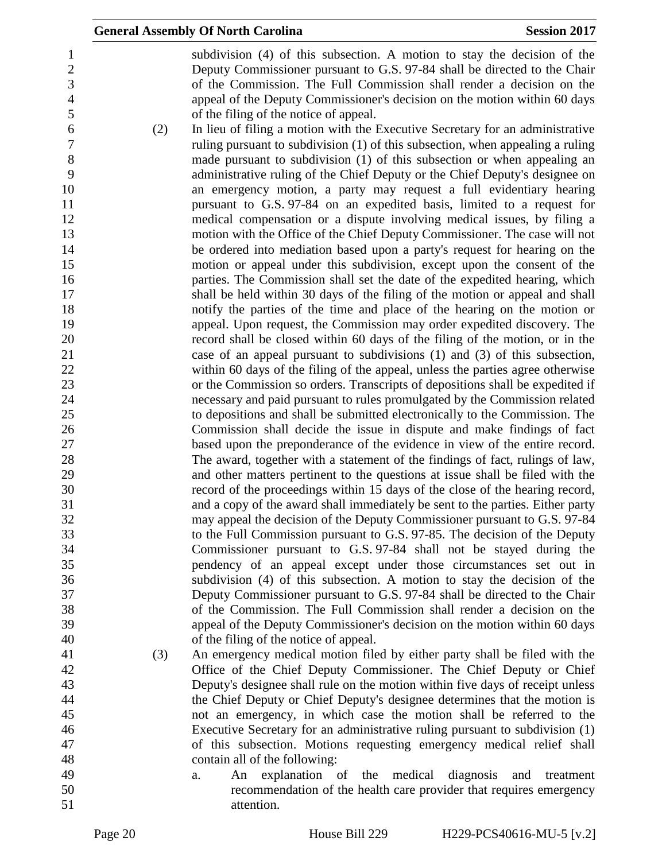|          |     | <b>General Assembly Of North Carolina</b>                                                                                                                                                                                                                                                                                                                                                                                                                                                                                                              | <b>Session 2017</b> |
|----------|-----|--------------------------------------------------------------------------------------------------------------------------------------------------------------------------------------------------------------------------------------------------------------------------------------------------------------------------------------------------------------------------------------------------------------------------------------------------------------------------------------------------------------------------------------------------------|---------------------|
|          |     | subdivision (4) of this subsection. A motion to stay the decision of the<br>Deputy Commissioner pursuant to G.S. 97-84 shall be directed to the Chair<br>of the Commission. The Full Commission shall render a decision on the<br>appeal of the Deputy Commissioner's decision on the motion within 60 days<br>of the filing of the notice of appeal.                                                                                                                                                                                                  |                     |
|          | (2) | In lieu of filing a motion with the Executive Secretary for an administrative<br>ruling pursuant to subdivision (1) of this subsection, when appealing a ruling<br>made pursuant to subdivision (1) of this subsection or when appealing an<br>administrative ruling of the Chief Deputy or the Chief Deputy's designee on<br>an emergency motion, a party may request a full evidentiary hearing<br>pursuant to G.S. 97-84 on an expedited basis, limited to a request for<br>medical compensation or a dispute involving medical issues, by filing a |                     |
|          |     | motion with the Office of the Chief Deputy Commissioner. The case will not                                                                                                                                                                                                                                                                                                                                                                                                                                                                             |                     |
|          |     | be ordered into mediation based upon a party's request for hearing on the                                                                                                                                                                                                                                                                                                                                                                                                                                                                              |                     |
|          |     | motion or appeal under this subdivision, except upon the consent of the                                                                                                                                                                                                                                                                                                                                                                                                                                                                                |                     |
| 16       |     | parties. The Commission shall set the date of the expedited hearing, which                                                                                                                                                                                                                                                                                                                                                                                                                                                                             |                     |
|          |     | shall be held within 30 days of the filing of the motion or appeal and shall                                                                                                                                                                                                                                                                                                                                                                                                                                                                           |                     |
| 18       |     | notify the parties of the time and place of the hearing on the motion or                                                                                                                                                                                                                                                                                                                                                                                                                                                                               |                     |
| 19       |     | appeal. Upon request, the Commission may order expedited discovery. The                                                                                                                                                                                                                                                                                                                                                                                                                                                                                |                     |
| 20       |     | record shall be closed within 60 days of the filing of the motion, or in the                                                                                                                                                                                                                                                                                                                                                                                                                                                                           |                     |
|          |     | case of an appeal pursuant to subdivisions (1) and (3) of this subsection,                                                                                                                                                                                                                                                                                                                                                                                                                                                                             |                     |
| 22<br>23 |     | within 60 days of the filing of the appeal, unless the parties agree otherwise<br>or the Commission so orders. Transcripts of depositions shall be expedited if                                                                                                                                                                                                                                                                                                                                                                                        |                     |
| 24       |     | necessary and paid pursuant to rules promulgated by the Commission related                                                                                                                                                                                                                                                                                                                                                                                                                                                                             |                     |
| 25       |     | to depositions and shall be submitted electronically to the Commission. The                                                                                                                                                                                                                                                                                                                                                                                                                                                                            |                     |
| 26       |     | Commission shall decide the issue in dispute and make findings of fact                                                                                                                                                                                                                                                                                                                                                                                                                                                                                 |                     |
| 27       |     | based upon the preponderance of the evidence in view of the entire record.                                                                                                                                                                                                                                                                                                                                                                                                                                                                             |                     |
| 28       |     | The award, together with a statement of the findings of fact, rulings of law,                                                                                                                                                                                                                                                                                                                                                                                                                                                                          |                     |
|          |     | and other matters pertinent to the questions at issue shall be filed with the                                                                                                                                                                                                                                                                                                                                                                                                                                                                          |                     |
| 30       |     | record of the proceedings within 15 days of the close of the hearing record,                                                                                                                                                                                                                                                                                                                                                                                                                                                                           |                     |
|          |     | and a copy of the award shall immediately be sent to the parties. Either party                                                                                                                                                                                                                                                                                                                                                                                                                                                                         |                     |
|          |     | may appeal the decision of the Deputy Commissioner pursuant to G.S. 97-84                                                                                                                                                                                                                                                                                                                                                                                                                                                                              |                     |
|          |     | to the Full Commission pursuant to G.S. 97-85. The decision of the Deputy                                                                                                                                                                                                                                                                                                                                                                                                                                                                              |                     |
|          |     | Commissioner pursuant to G.S. 97-84 shall not be stayed during the<br>pendency of an appeal except under those circumstances set out in                                                                                                                                                                                                                                                                                                                                                                                                                |                     |
| 36       |     | subdivision (4) of this subsection. A motion to stay the decision of the                                                                                                                                                                                                                                                                                                                                                                                                                                                                               |                     |
|          |     | Deputy Commissioner pursuant to G.S. 97-84 shall be directed to the Chair                                                                                                                                                                                                                                                                                                                                                                                                                                                                              |                     |
|          |     | of the Commission. The Full Commission shall render a decision on the                                                                                                                                                                                                                                                                                                                                                                                                                                                                                  |                     |
|          |     | appeal of the Deputy Commissioner's decision on the motion within 60 days                                                                                                                                                                                                                                                                                                                                                                                                                                                                              |                     |
|          |     | of the filing of the notice of appeal.                                                                                                                                                                                                                                                                                                                                                                                                                                                                                                                 |                     |
|          | (3) | An emergency medical motion filed by either party shall be filed with the                                                                                                                                                                                                                                                                                                                                                                                                                                                                              |                     |
|          |     | Office of the Chief Deputy Commissioner. The Chief Deputy or Chief                                                                                                                                                                                                                                                                                                                                                                                                                                                                                     |                     |
|          |     | Deputy's designee shall rule on the motion within five days of receipt unless                                                                                                                                                                                                                                                                                                                                                                                                                                                                          |                     |
|          |     | the Chief Deputy or Chief Deputy's designee determines that the motion is                                                                                                                                                                                                                                                                                                                                                                                                                                                                              |                     |
|          |     | not an emergency, in which case the motion shall be referred to the                                                                                                                                                                                                                                                                                                                                                                                                                                                                                    |                     |
|          |     | Executive Secretary for an administrative ruling pursuant to subdivision (1)                                                                                                                                                                                                                                                                                                                                                                                                                                                                           |                     |
|          |     | of this subsection. Motions requesting emergency medical relief shall                                                                                                                                                                                                                                                                                                                                                                                                                                                                                  |                     |
|          |     | contain all of the following:                                                                                                                                                                                                                                                                                                                                                                                                                                                                                                                          |                     |
|          |     | explanation of the medical diagnosis<br>and<br>An<br>a.<br>recommendation of the health care provider that requires emergency                                                                                                                                                                                                                                                                                                                                                                                                                          | treatment           |
|          |     | attention.                                                                                                                                                                                                                                                                                                                                                                                                                                                                                                                                             |                     |
|          |     |                                                                                                                                                                                                                                                                                                                                                                                                                                                                                                                                                        |                     |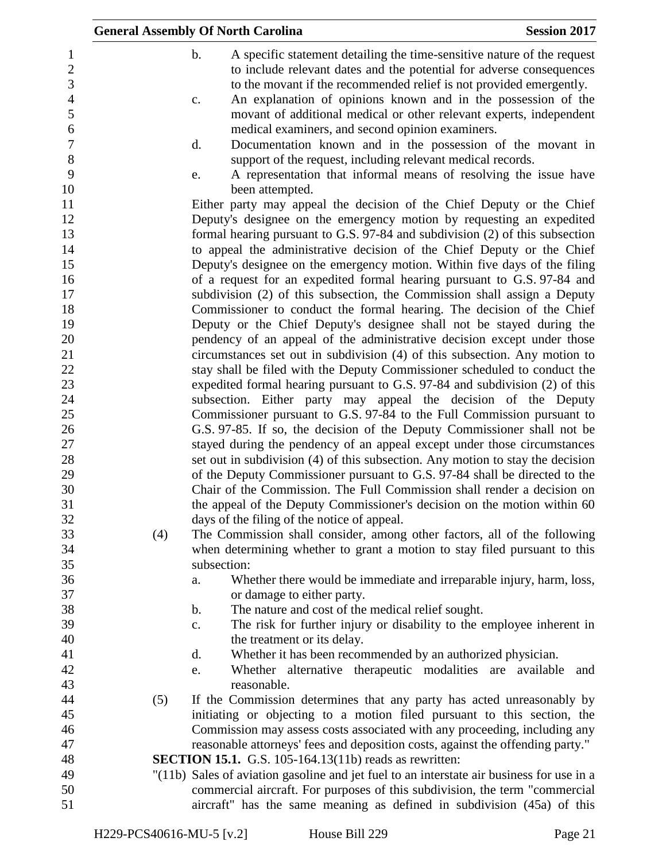|                              |     | <b>General Assembly Of North Carolina</b>                                                                                                                                                                                     | <b>Session 2017</b> |
|------------------------------|-----|-------------------------------------------------------------------------------------------------------------------------------------------------------------------------------------------------------------------------------|---------------------|
| $\mathbf{1}$<br>$\mathbf{2}$ |     | $\mathbf b$ .<br>A specific statement detailing the time-sensitive nature of the request<br>to include relevant dates and the potential for adverse consequences                                                              |                     |
| 3<br>$\overline{4}$<br>5     |     | to the movant if the recommended relief is not provided emergently.<br>An explanation of opinions known and in the possession of the<br>$\mathbf{c}$ .<br>movant of additional medical or other relevant experts, independent |                     |
| 6                            |     | medical examiners, and second opinion examiners.                                                                                                                                                                              |                     |
| $\overline{7}$<br>8          |     | Documentation known and in the possession of the movant in<br>d.<br>support of the request, including relevant medical records.                                                                                               |                     |
| 9<br>10                      |     | A representation that informal means of resolving the issue have<br>e.<br>been attempted.                                                                                                                                     |                     |
| 11                           |     | Either party may appeal the decision of the Chief Deputy or the Chief                                                                                                                                                         |                     |
| 12                           |     | Deputy's designee on the emergency motion by requesting an expedited                                                                                                                                                          |                     |
| 13                           |     | formal hearing pursuant to G.S. 97-84 and subdivision $(2)$ of this subsection                                                                                                                                                |                     |
| 14                           |     | to appeal the administrative decision of the Chief Deputy or the Chief                                                                                                                                                        |                     |
| 15                           |     | Deputy's designee on the emergency motion. Within five days of the filing                                                                                                                                                     |                     |
| 16                           |     | of a request for an expedited formal hearing pursuant to G.S. 97-84 and                                                                                                                                                       |                     |
| 17                           |     | subdivision (2) of this subsection, the Commission shall assign a Deputy                                                                                                                                                      |                     |
| 18                           |     | Commissioner to conduct the formal hearing. The decision of the Chief                                                                                                                                                         |                     |
| 19                           |     | Deputy or the Chief Deputy's designee shall not be stayed during the                                                                                                                                                          |                     |
| 20                           |     | pendency of an appeal of the administrative decision except under those                                                                                                                                                       |                     |
| 21                           |     | circumstances set out in subdivision (4) of this subsection. Any motion to                                                                                                                                                    |                     |
| 22                           |     | stay shall be filed with the Deputy Commissioner scheduled to conduct the                                                                                                                                                     |                     |
| 23                           |     | expedited formal hearing pursuant to G.S. 97-84 and subdivision (2) of this                                                                                                                                                   |                     |
| 24<br>25                     |     | subsection. Either party may appeal the decision of the Deputy<br>Commissioner pursuant to G.S. 97-84 to the Full Commission pursuant to                                                                                      |                     |
| 26                           |     | G.S. 97-85. If so, the decision of the Deputy Commissioner shall not be                                                                                                                                                       |                     |
| 27                           |     | stayed during the pendency of an appeal except under those circumstances                                                                                                                                                      |                     |
| 28                           |     | set out in subdivision (4) of this subsection. Any motion to stay the decision                                                                                                                                                |                     |
| 29                           |     | of the Deputy Commissioner pursuant to G.S. 97-84 shall be directed to the                                                                                                                                                    |                     |
| 30                           |     | Chair of the Commission. The Full Commission shall render a decision on                                                                                                                                                       |                     |
| 31                           |     | the appeal of the Deputy Commissioner's decision on the motion within 60                                                                                                                                                      |                     |
| 32                           |     | days of the filing of the notice of appeal.                                                                                                                                                                                   |                     |
| 33                           | (4) | The Commission shall consider, among other factors, all of the following                                                                                                                                                      |                     |
| 34                           |     | when determining whether to grant a motion to stay filed pursuant to this                                                                                                                                                     |                     |
| 35                           |     | subsection:                                                                                                                                                                                                                   |                     |
| 36                           |     | Whether there would be immediate and irreparable injury, harm, loss,<br>a.                                                                                                                                                    |                     |
| 37                           |     | or damage to either party.                                                                                                                                                                                                    |                     |
| 38                           |     | The nature and cost of the medical relief sought.<br>b.                                                                                                                                                                       |                     |
| 39                           |     | The risk for further injury or disability to the employee inherent in<br>c.                                                                                                                                                   |                     |
| 40                           |     | the treatment or its delay.                                                                                                                                                                                                   |                     |
| 41                           |     | Whether it has been recommended by an authorized physician.<br>d.                                                                                                                                                             |                     |
| 42                           |     | Whether alternative therapeutic modalities are available<br>e.                                                                                                                                                                | and                 |
| 43                           |     | reasonable.                                                                                                                                                                                                                   |                     |
| 44                           | (5) | If the Commission determines that any party has acted unreasonably by                                                                                                                                                         |                     |
| 45                           |     | initiating or objecting to a motion filed pursuant to this section, the                                                                                                                                                       |                     |
| 46                           |     | Commission may assess costs associated with any proceeding, including any                                                                                                                                                     |                     |
| 47                           |     | reasonable attorneys' fees and deposition costs, against the offending party."                                                                                                                                                |                     |
| 48                           |     | <b>SECTION 15.1.</b> G.S. 105-164.13(11b) reads as rewritten:                                                                                                                                                                 |                     |
| 49                           |     | "(11b) Sales of aviation gasoline and jet fuel to an interstate air business for use in a                                                                                                                                     |                     |
| 50                           |     | commercial aircraft. For purposes of this subdivision, the term "commercial                                                                                                                                                   |                     |
| 51                           |     | aircraft" has the same meaning as defined in subdivision (45a) of this                                                                                                                                                        |                     |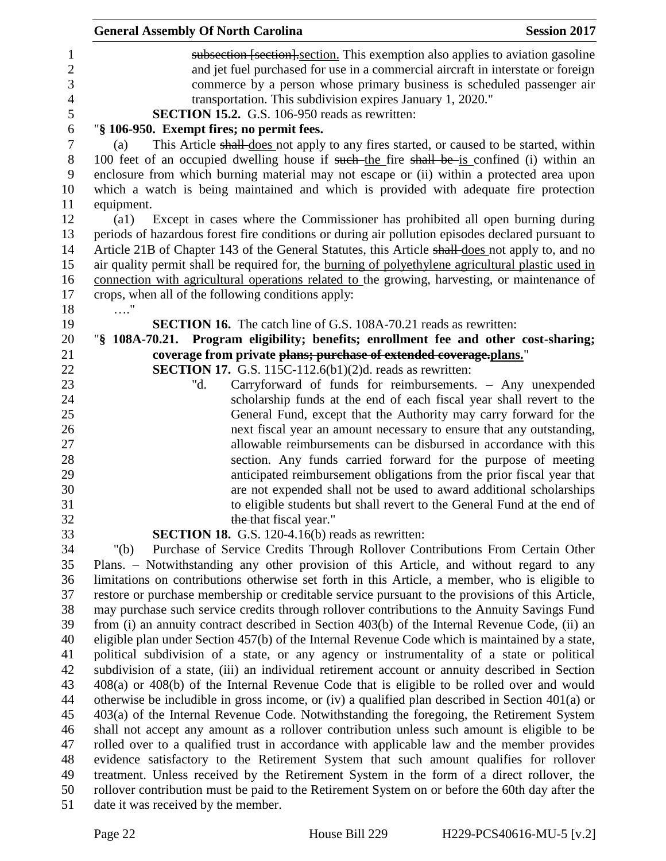|                                                    | <b>General Assembly Of North Carolina</b><br><b>Session 2017</b>                                                                                                                                                                                                                                                                                                                                                 |
|----------------------------------------------------|------------------------------------------------------------------------------------------------------------------------------------------------------------------------------------------------------------------------------------------------------------------------------------------------------------------------------------------------------------------------------------------------------------------|
| 1<br>$\mathbf{2}$<br>3<br>$\overline{4}$<br>5<br>6 | subsection [section] section. This exemption also applies to aviation gasoline<br>and jet fuel purchased for use in a commercial aircraft in interstate or foreign<br>commerce by a person whose primary business is scheduled passenger air<br>transportation. This subdivision expires January 1, 2020."<br><b>SECTION 15.2.</b> G.S. 106-950 reads as rewritten:<br>"§ 106-950. Exempt fires; no permit fees. |
| 7                                                  | This Article shall-does not apply to any fires started, or caused to be started, within                                                                                                                                                                                                                                                                                                                          |
|                                                    | (a)                                                                                                                                                                                                                                                                                                                                                                                                              |
| 8<br>9<br>10                                       | 100 feet of an occupied dwelling house if such the fire shall be is confined (i) within an<br>enclosure from which burning material may not escape or (ii) within a protected area upon<br>which a watch is being maintained and which is provided with adequate fire protection                                                                                                                                 |
| 11                                                 | equipment.                                                                                                                                                                                                                                                                                                                                                                                                       |
| 12                                                 | Except in cases where the Commissioner has prohibited all open burning during<br>$\left( \text{a1}\right)$                                                                                                                                                                                                                                                                                                       |
| 13                                                 | periods of hazardous forest fire conditions or during air pollution episodes declared pursuant to                                                                                                                                                                                                                                                                                                                |
| 14                                                 | Article 21B of Chapter 143 of the General Statutes, this Article shall does not apply to, and no                                                                                                                                                                                                                                                                                                                 |
| 15                                                 | air quality permit shall be required for, the burning of polyethylene agricultural plastic used in                                                                                                                                                                                                                                                                                                               |
| 16                                                 | connection with agricultural operations related to the growing, harvesting, or maintenance of                                                                                                                                                                                                                                                                                                                    |
| 17                                                 | crops, when all of the following conditions apply:                                                                                                                                                                                                                                                                                                                                                               |
| 18                                                 | $\ldots$                                                                                                                                                                                                                                                                                                                                                                                                         |
| 19                                                 | <b>SECTION 16.</b> The catch line of G.S. 108A-70.21 reads as rewritten:                                                                                                                                                                                                                                                                                                                                         |
| 20                                                 | "§ 108A-70.21. Program eligibility; benefits; enrollment fee and other cost-sharing;                                                                                                                                                                                                                                                                                                                             |
| 21                                                 | coverage from private plans; purchase of extended coverage.plans."                                                                                                                                                                                                                                                                                                                                               |
| 22                                                 | <b>SECTION 17.</b> G.S. 115C-112.6(b1) $(2)$ d. reads as rewritten:                                                                                                                                                                                                                                                                                                                                              |
| 23                                                 | "d.<br>Carryforward of funds for reimbursements. - Any unexpended                                                                                                                                                                                                                                                                                                                                                |
| 24                                                 | scholarship funds at the end of each fiscal year shall revert to the                                                                                                                                                                                                                                                                                                                                             |
| 25                                                 | General Fund, except that the Authority may carry forward for the                                                                                                                                                                                                                                                                                                                                                |
| 26                                                 | next fiscal year an amount necessary to ensure that any outstanding,                                                                                                                                                                                                                                                                                                                                             |
| 27                                                 | allowable reimbursements can be disbursed in accordance with this                                                                                                                                                                                                                                                                                                                                                |
| 28                                                 | section. Any funds carried forward for the purpose of meeting                                                                                                                                                                                                                                                                                                                                                    |
| 29                                                 | anticipated reimbursement obligations from the prior fiscal year that                                                                                                                                                                                                                                                                                                                                            |
| 30                                                 | are not expended shall not be used to award additional scholarships                                                                                                                                                                                                                                                                                                                                              |
| 31                                                 | to eligible students but shall revert to the General Fund at the end of                                                                                                                                                                                                                                                                                                                                          |
| 32                                                 | the that fiscal year."                                                                                                                                                                                                                                                                                                                                                                                           |
| 33                                                 | <b>SECTION 18.</b> G.S. 120-4.16(b) reads as rewritten:                                                                                                                                                                                                                                                                                                                                                          |
| 34                                                 | Purchase of Service Credits Through Rollover Contributions From Certain Other<br>" $(b)$                                                                                                                                                                                                                                                                                                                         |
| 35                                                 | Plans. – Notwithstanding any other provision of this Article, and without regard to any                                                                                                                                                                                                                                                                                                                          |
| 36                                                 | limitations on contributions otherwise set forth in this Article, a member, who is eligible to                                                                                                                                                                                                                                                                                                                   |
| 37                                                 | restore or purchase membership or creditable service pursuant to the provisions of this Article,                                                                                                                                                                                                                                                                                                                 |
| 38                                                 | may purchase such service credits through rollover contributions to the Annuity Savings Fund                                                                                                                                                                                                                                                                                                                     |
| 39                                                 | from (i) an annuity contract described in Section 403(b) of the Internal Revenue Code, (ii) an                                                                                                                                                                                                                                                                                                                   |
| 40                                                 | eligible plan under Section 457(b) of the Internal Revenue Code which is maintained by a state,                                                                                                                                                                                                                                                                                                                  |
| 41                                                 | political subdivision of a state, or any agency or instrumentality of a state or political                                                                                                                                                                                                                                                                                                                       |
| 42                                                 | subdivision of a state, (iii) an individual retirement account or annuity described in Section                                                                                                                                                                                                                                                                                                                   |
| 43                                                 | $408(a)$ or $408(b)$ of the Internal Revenue Code that is eligible to be rolled over and would                                                                                                                                                                                                                                                                                                                   |
| 44                                                 | otherwise be includible in gross income, or (iv) a qualified plan described in Section $401(a)$ or                                                                                                                                                                                                                                                                                                               |
| 45                                                 | 403(a) of the Internal Revenue Code. Notwithstanding the foregoing, the Retirement System                                                                                                                                                                                                                                                                                                                        |
| 46                                                 | shall not accept any amount as a rollover contribution unless such amount is eligible to be                                                                                                                                                                                                                                                                                                                      |
| 47                                                 | rolled over to a qualified trust in accordance with applicable law and the member provides                                                                                                                                                                                                                                                                                                                       |
| 48                                                 | evidence satisfactory to the Retirement System that such amount qualifies for rollover                                                                                                                                                                                                                                                                                                                           |
| 49                                                 | treatment. Unless received by the Retirement System in the form of a direct rollover, the                                                                                                                                                                                                                                                                                                                        |
| 50                                                 | rollover contribution must be paid to the Retirement System on or before the 60th day after the                                                                                                                                                                                                                                                                                                                  |
| 51                                                 | date it was received by the member.                                                                                                                                                                                                                                                                                                                                                                              |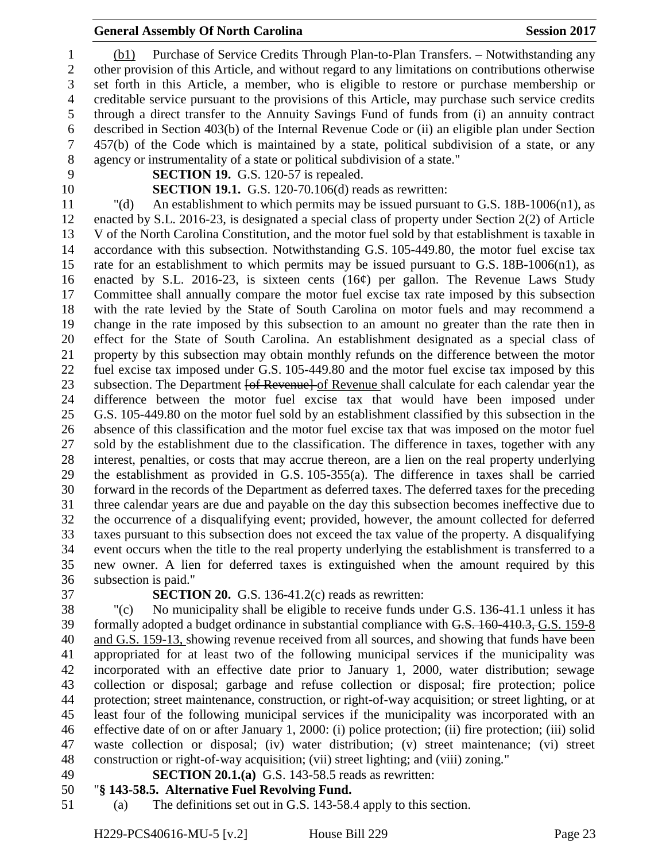(b1) Purchase of Service Credits Through Plan-to-Plan Transfers. – Notwithstanding any other provision of this Article, and without regard to any limitations on contributions otherwise set forth in this Article, a member, who is eligible to restore or purchase membership or creditable service pursuant to the provisions of this Article, may purchase such service credits through a direct transfer to the Annuity Savings Fund of funds from (i) an annuity contract described in Section 403(b) of the Internal Revenue Code or (ii) an eligible plan under Section 457(b) of the Code which is maintained by a state, political subdivision of a state, or any agency or instrumentality of a state or political subdivision of a state."

 **SECTION 19.** G.S. 120-57 is repealed. **SECTION 19.1.** G.S. 120-70.106(d) reads as rewritten:

 "(d) An establishment to which permits may be issued pursuant to G.S. 18B-1006(n1), as enacted by S.L. 2016-23, is designated a special class of property under Section 2(2) of Article V of the North Carolina Constitution, and the motor fuel sold by that establishment is taxable in accordance with this subsection. Notwithstanding G.S. 105-449.80, the motor fuel excise tax rate for an establishment to which permits may be issued pursuant to G.S. 18B-1006(n1), as enacted by S.L. 2016-23, is sixteen cents (16¢) per gallon. The Revenue Laws Study Committee shall annually compare the motor fuel excise tax rate imposed by this subsection with the rate levied by the State of South Carolina on motor fuels and may recommend a change in the rate imposed by this subsection to an amount no greater than the rate then in effect for the State of South Carolina. An establishment designated as a special class of property by this subsection may obtain monthly refunds on the difference between the motor fuel excise tax imposed under G.S. 105-449.80 and the motor fuel excise tax imposed by this 23 subsection. The Department <del>[of Revenue]</del> of Revenue shall calculate for each calendar year the difference between the motor fuel excise tax that would have been imposed under G.S. 105-449.80 on the motor fuel sold by an establishment classified by this subsection in the absence of this classification and the motor fuel excise tax that was imposed on the motor fuel sold by the establishment due to the classification. The difference in taxes, together with any interest, penalties, or costs that may accrue thereon, are a lien on the real property underlying the establishment as provided in G.S. 105-355(a). The difference in taxes shall be carried forward in the records of the Department as deferred taxes. The deferred taxes for the preceding three calendar years are due and payable on the day this subsection becomes ineffective due to the occurrence of a disqualifying event; provided, however, the amount collected for deferred taxes pursuant to this subsection does not exceed the tax value of the property. A disqualifying event occurs when the title to the real property underlying the establishment is transferred to a new owner. A lien for deferred taxes is extinguished when the amount required by this subsection is paid."

# **SECTION 20.** G.S. 136-41.2(c) reads as rewritten:

 "(c) No municipality shall be eligible to receive funds under G.S. 136-41.1 unless it has formally adopted a budget ordinance in substantial compliance with G.S. 160-410.3, G.S. 159-8 and G.S. 159-13, showing revenue received from all sources, and showing that funds have been appropriated for at least two of the following municipal services if the municipality was incorporated with an effective date prior to January 1, 2000, water distribution; sewage collection or disposal; garbage and refuse collection or disposal; fire protection; police protection; street maintenance, construction, or right-of-way acquisition; or street lighting, or at least four of the following municipal services if the municipality was incorporated with an effective date of on or after January 1, 2000: (i) police protection; (ii) fire protection; (iii) solid waste collection or disposal; (iv) water distribution; (v) street maintenance; (vi) street construction or right-of-way acquisition; (vii) street lighting; and (viii) zoning."

- 
- **SECTION 20.1.(a)** G.S. 143-58.5 reads as rewritten:

# "**§ 143-58.5. Alternative Fuel Revolving Fund.**

(a) The definitions set out in G.S. 143-58.4 apply to this section.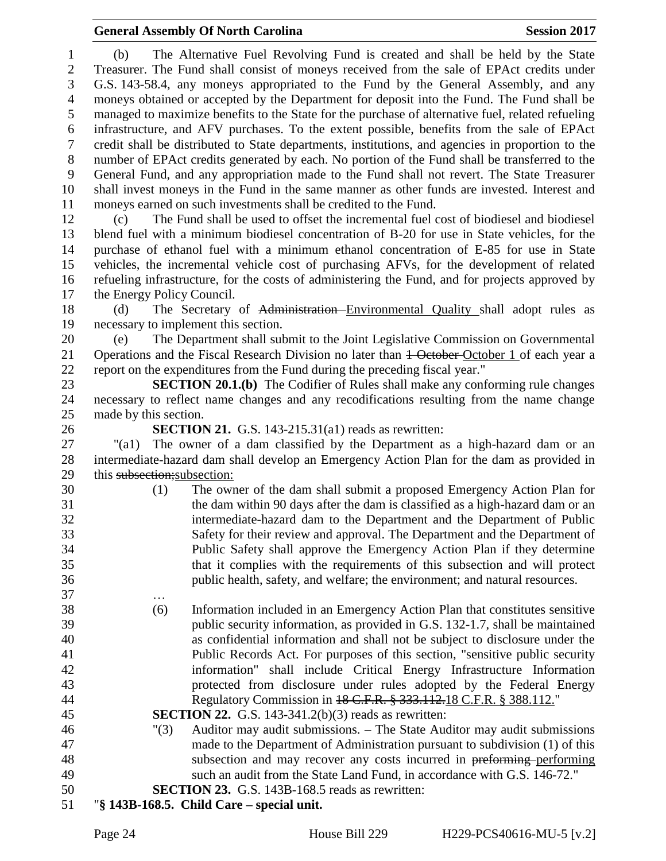(b) The Alternative Fuel Revolving Fund is created and shall be held by the State Treasurer. The Fund shall consist of moneys received from the sale of EPAct credits under G.S. 143-58.4, any moneys appropriated to the Fund by the General Assembly, and any moneys obtained or accepted by the Department for deposit into the Fund. The Fund shall be managed to maximize benefits to the State for the purchase of alternative fuel, related refueling infrastructure, and AFV purchases. To the extent possible, benefits from the sale of EPAct credit shall be distributed to State departments, institutions, and agencies in proportion to the number of EPAct credits generated by each. No portion of the Fund shall be transferred to the General Fund, and any appropriation made to the Fund shall not revert. The State Treasurer shall invest moneys in the Fund in the same manner as other funds are invested. Interest and moneys earned on such investments shall be credited to the Fund. (c) The Fund shall be used to offset the incremental fuel cost of biodiesel and biodiesel blend fuel with a minimum biodiesel concentration of B-20 for use in State vehicles, for the purchase of ethanol fuel with a minimum ethanol concentration of E-85 for use in State vehicles, the incremental vehicle cost of purchasing AFVs, for the development of related refueling infrastructure, for the costs of administering the Fund, and for projects approved by the Energy Policy Council. (d) The Secretary of Administration Environmental Quality shall adopt rules as necessary to implement this section. (e) The Department shall submit to the Joint Legislative Commission on Governmental 21 Operations and the Fiscal Research Division no later than <del>1 October</del> October 1 of each year a report on the expenditures from the Fund during the preceding fiscal year." **SECTION 20.1.(b)** The Codifier of Rules shall make any conforming rule changes necessary to reflect name changes and any recodifications resulting from the name change made by this section. **SECTION 21.** G.S. 143-215.31(a1) reads as rewritten: "(a1) The owner of a dam classified by the Department as a high-hazard dam or an intermediate-hazard dam shall develop an Emergency Action Plan for the dam as provided in 29 this subsection; subsection: (1) The owner of the dam shall submit a proposed Emergency Action Plan for the dam within 90 days after the dam is classified as a high-hazard dam or an intermediate-hazard dam to the Department and the Department of Public Safety for their review and approval. The Department and the Department of Public Safety shall approve the Emergency Action Plan if they determine that it complies with the requirements of this subsection and will protect public health, safety, and welfare; the environment; and natural resources. … (6) Information included in an Emergency Action Plan that constitutes sensitive public security information, as provided in G.S. 132-1.7, shall be maintained as confidential information and shall not be subject to disclosure under the Public Records Act. For purposes of this section, "sensitive public security information" shall include Critical Energy Infrastructure Information protected from disclosure under rules adopted by the Federal Energy Regulatory Commission in 18 C.F.R. § 333.112.18 C.F.R. § 388.112." **SECTION 22.** G.S. 143-341.2(b)(3) reads as rewritten: "(3) Auditor may audit submissions. – The State Auditor may audit submissions made to the Department of Administration pursuant to subdivision (1) of this 48 subsection and may recover any costs incurred in preforming performing such an audit from the State Land Fund, in accordance with G.S. 146-72." **SECTION 23.** G.S. 143B-168.5 reads as rewritten: "**§ 143B-168.5. Child Care – special unit.**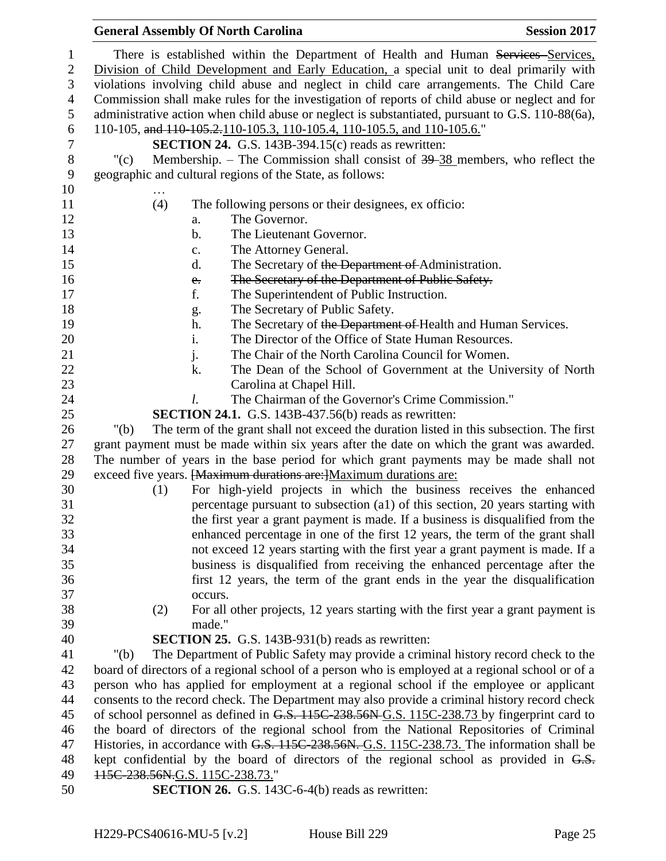|                 | <b>General Assembly Of North Carolina</b>                                                                                                                                                    | <b>Session 2017</b> |
|-----------------|----------------------------------------------------------------------------------------------------------------------------------------------------------------------------------------------|---------------------|
|                 | There is established within the Department of Health and Human Services-Services,                                                                                                            |                     |
|                 | Division of Child Development and Early Education, a special unit to deal primarily with                                                                                                     |                     |
|                 | violations involving child abuse and neglect in child care arrangements. The Child Care                                                                                                      |                     |
|                 | Commission shall make rules for the investigation of reports of child abuse or neglect and for                                                                                               |                     |
|                 | administrative action when child abuse or neglect is substantiated, pursuant to G.S. 110-88(6a),                                                                                             |                     |
|                 | 110-105, and 110-105.2.110-105.3, 110-105.4, 110-105.5, and 110-105.6.                                                                                                                       |                     |
|                 | <b>SECTION 24.</b> G.S. 143B-394.15 $(c)$ reads as rewritten:                                                                                                                                |                     |
| " $(c)$         | Membership. – The Commission shall consist of $39-38$ members, who reflect the                                                                                                               |                     |
|                 | geographic and cultural regions of the State, as follows:                                                                                                                                    |                     |
| $\cdots$<br>(4) |                                                                                                                                                                                              |                     |
|                 | The following persons or their designees, ex officio:<br>The Governor.                                                                                                                       |                     |
|                 | a.<br>The Lieutenant Governor.<br>b.                                                                                                                                                         |                     |
|                 | The Attorney General.<br>c.                                                                                                                                                                  |                     |
|                 | The Secretary of the Department of Administration.<br>d.                                                                                                                                     |                     |
|                 | The Secretary of the Department of Public Safety.                                                                                                                                            |                     |
|                 | e.<br>f.<br>The Superintendent of Public Instruction.                                                                                                                                        |                     |
|                 | The Secretary of Public Safety.<br>g.                                                                                                                                                        |                     |
|                 | The Secretary of the Department of Health and Human Services.<br>h.                                                                                                                          |                     |
|                 | The Director of the Office of State Human Resources.<br>1.                                                                                                                                   |                     |
|                 | The Chair of the North Carolina Council for Women.<br>J <sub>1</sub>                                                                                                                         |                     |
|                 | k.<br>The Dean of the School of Government at the University of North                                                                                                                        |                     |
|                 | Carolina at Chapel Hill.                                                                                                                                                                     |                     |
|                 | The Chairman of the Governor's Crime Commission."<br>$l_{\cdot}$                                                                                                                             |                     |
|                 | <b>SECTION 24.1.</b> G.S. 143B-437.56(b) reads as rewritten:                                                                                                                                 |                     |
| " $(b)$         | The term of the grant shall not exceed the duration listed in this subsection. The first                                                                                                     |                     |
|                 | grant payment must be made within six years after the date on which the grant was awarded.                                                                                                   |                     |
|                 | The number of years in the base period for which grant payments may be made shall not                                                                                                        |                     |
|                 | exceed five years. [Maximum durations are:]Maximum durations are:                                                                                                                            |                     |
| (1)             | For high-yield projects in which the business receives the enhanced                                                                                                                          |                     |
|                 | percentage pursuant to subsection (a1) of this section, 20 years starting with                                                                                                               |                     |
|                 | the first year a grant payment is made. If a business is disqualified from the                                                                                                               |                     |
|                 | enhanced percentage in one of the first 12 years, the term of the grant shall                                                                                                                |                     |
|                 | not exceed 12 years starting with the first year a grant payment is made. If a                                                                                                               |                     |
|                 | business is disqualified from receiving the enhanced percentage after the                                                                                                                    |                     |
|                 | first 12 years, the term of the grant ends in the year the disqualification                                                                                                                  |                     |
|                 | occurs.                                                                                                                                                                                      |                     |
| (2)             | For all other projects, 12 years starting with the first year a grant payment is                                                                                                             |                     |
|                 | made."                                                                                                                                                                                       |                     |
|                 | <b>SECTION 25.</b> G.S. 143B-931(b) reads as rewritten:                                                                                                                                      |                     |
| " $(b)$         | The Department of Public Safety may provide a criminal history record check to the                                                                                                           |                     |
|                 | board of directors of a regional school of a person who is employed at a regional school or of a                                                                                             |                     |
|                 | person who has applied for employment at a regional school if the employee or applicant                                                                                                      |                     |
|                 | consents to the record check. The Department may also provide a criminal history record check<br>of school personnel as defined in G.S. 115C-238.56N-G.S. 115C-238.73 by fingerprint card to |                     |
|                 | the board of directors of the regional school from the National Repositories of Criminal                                                                                                     |                     |
|                 | Histories, in accordance with G.S. 115C-238.56N. G.S. 115C-238.73. The information shall be                                                                                                  |                     |
|                 | kept confidential by the board of directors of the regional school as provided in $G.S.$                                                                                                     |                     |
|                 | 115C-238.56N.G.S. 115C-238.73."                                                                                                                                                              |                     |
|                 | SECTION 26. G.S. 143C-6-4(b) reads as rewritten:                                                                                                                                             |                     |
|                 |                                                                                                                                                                                              |                     |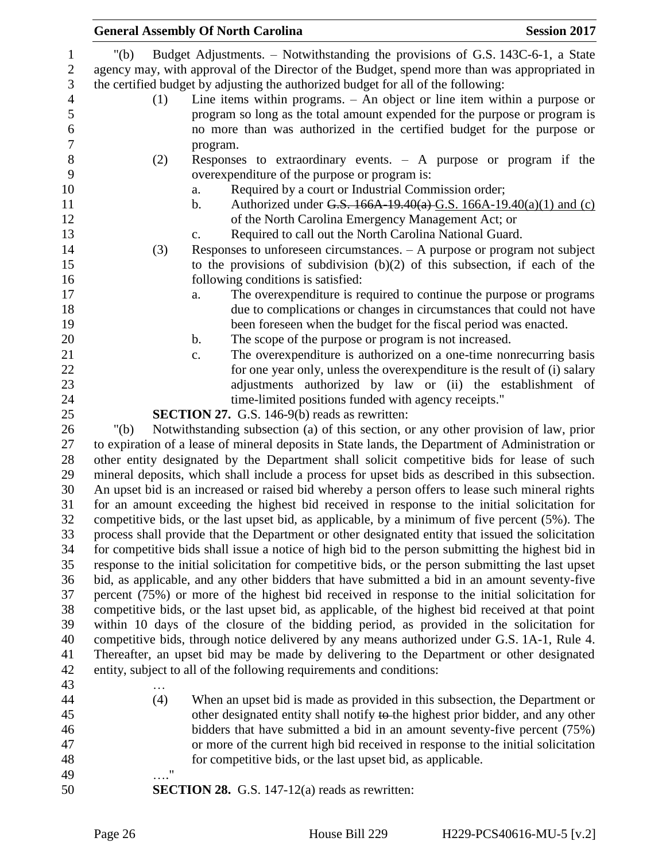|                    | <b>General Assembly Of North Carolina</b>                                                          | <b>Session 2017</b> |
|--------------------|----------------------------------------------------------------------------------------------------|---------------------|
| " $(b)$            | Budget Adjustments. – Notwithstanding the provisions of G.S. 143C-6-1, a State                     |                     |
|                    | agency may, with approval of the Director of the Budget, spend more than was appropriated in       |                     |
|                    | the certified budget by adjusting the authorized budget for all of the following:                  |                     |
|                    |                                                                                                    |                     |
| (1)                | Line items within programs. $-$ An object or line item within a purpose or                         |                     |
|                    | program so long as the total amount expended for the purpose or program is                         |                     |
|                    | no more than was authorized in the certified budget for the purpose or                             |                     |
|                    | program.                                                                                           |                     |
| (2)                | Responses to extraordinary events. $-$ A purpose or program if the                                 |                     |
|                    | overexpenditure of the purpose or program is:                                                      |                     |
|                    | Required by a court or Industrial Commission order;<br>a.                                          |                     |
|                    | Authorized under G.S. 166A-19.40(a) G.S. 166A-19.40(a)(1) and (c)<br>b.                            |                     |
|                    | of the North Carolina Emergency Management Act; or                                                 |                     |
|                    | Required to call out the North Carolina National Guard.<br>c.                                      |                     |
| (3)                | Responses to unforeseen circumstances. $- A$ purpose or program not subject                        |                     |
|                    |                                                                                                    |                     |
|                    | to the provisions of subdivision $(b)(2)$ of this subsection, if each of the                       |                     |
|                    | following conditions is satisfied:                                                                 |                     |
|                    | The overexpenditure is required to continue the purpose or programs<br>a.                          |                     |
|                    | due to complications or changes in circumstances that could not have                               |                     |
|                    | been foreseen when the budget for the fiscal period was enacted.                                   |                     |
|                    | The scope of the purpose or program is not increased.<br>$\mathbf b$ .                             |                     |
|                    | The overexpenditure is authorized on a one-time nonrecurring basis<br>c.                           |                     |
|                    | for one year only, unless the overexpenditure is the result of (i) salary                          |                     |
|                    | adjustments authorized by law or (ii) the establishment of                                         |                     |
|                    | time-limited positions funded with agency receipts."                                               |                     |
|                    | <b>SECTION 27.</b> G.S. 146-9(b) reads as rewritten:                                               |                     |
| " $(b)$            | Notwithstanding subsection (a) of this section, or any other provision of law, prior               |                     |
|                    | to expiration of a lease of mineral deposits in State lands, the Department of Administration or   |                     |
|                    | other entity designated by the Department shall solicit competitive bids for lease of such         |                     |
|                    |                                                                                                    |                     |
|                    | mineral deposits, which shall include a process for upset bids as described in this subsection.    |                     |
|                    | An upset bid is an increased or raised bid whereby a person offers to lease such mineral rights    |                     |
|                    | for an amount exceeding the highest bid received in response to the initial solicitation for       |                     |
|                    | competitive bids, or the last upset bid, as applicable, by a minimum of five percent (5%). The     |                     |
|                    | process shall provide that the Department or other designated entity that issued the solicitation  |                     |
|                    | for competitive bids shall issue a notice of high bid to the person submitting the highest bid in  |                     |
|                    | response to the initial solicitation for competitive bids, or the person submitting the last upset |                     |
|                    | bid, as applicable, and any other bidders that have submitted a bid in an amount seventy-five      |                     |
|                    | percent (75%) or more of the highest bid received in response to the initial solicitation for      |                     |
|                    | competitive bids, or the last upset bid, as applicable, of the highest bid received at that point  |                     |
|                    | within 10 days of the closure of the bidding period, as provided in the solicitation for           |                     |
|                    | competitive bids, through notice delivered by any means authorized under G.S. 1A-1, Rule 4.        |                     |
|                    | Thereafter, an upset bid may be made by delivering to the Department or other designated           |                     |
|                    | entity, subject to all of the following requirements and conditions:                               |                     |
|                    |                                                                                                    |                     |
|                    |                                                                                                    |                     |
| (4)                | When an upset bid is made as provided in this subsection, the Department or                        |                     |
|                    | other designated entity shall notify to the highest prior bidder, and any other                    |                     |
|                    | bidders that have submitted a bid in an amount seventy-five percent (75%)                          |                     |
|                    | or more of the current high bid received in response to the initial solicitation                   |                     |
|                    |                                                                                                    |                     |
|                    | for competitive bids, or the last upset bid, as applicable.                                        |                     |
| $\pmb{\mathsf{H}}$ |                                                                                                    |                     |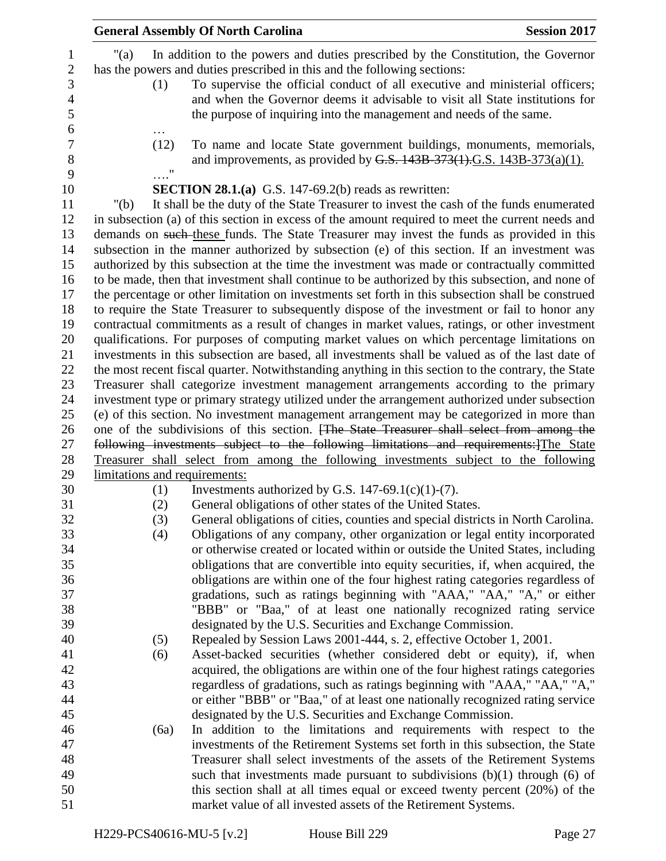|                  |                               | <b>General Assembly Of North Carolina</b>                                                                                         | <b>Session 2017</b> |
|------------------|-------------------------------|-----------------------------------------------------------------------------------------------------------------------------------|---------------------|
| 1                | " $(a)$                       | In addition to the powers and duties prescribed by the Constitution, the Governor                                                 |                     |
| $\boldsymbol{2}$ |                               | has the powers and duties prescribed in this and the following sections:                                                          |                     |
| 3                | (1)                           | To supervise the official conduct of all executive and ministerial officers;                                                      |                     |
| $\overline{4}$   |                               | and when the Governor deems it advisable to visit all State institutions for                                                      |                     |
| 5                |                               | the purpose of inquiring into the management and needs of the same.                                                               |                     |
| 6                |                               |                                                                                                                                   |                     |
| 7                | (12)                          | To name and locate State government buildings, monuments, memorials,                                                              |                     |
| 8                |                               | and improvements, as provided by $G.S. 143B-373(1)G.S. 143B-373(a)(1)$ .                                                          |                     |
| 9                | $\ldots$ "                    |                                                                                                                                   |                     |
| 10               |                               | <b>SECTION 28.1.(a)</b> G.S. 147-69.2(b) reads as rewritten:                                                                      |                     |
| 11               | " $(b)$                       | It shall be the duty of the State Treasurer to invest the cash of the funds enumerated                                            |                     |
| 12               |                               | in subsection (a) of this section in excess of the amount required to meet the current needs and                                  |                     |
| 13               |                               | demands on such these funds. The State Treasurer may invest the funds as provided in this                                         |                     |
| 14               |                               | subsection in the manner authorized by subsection (e) of this section. If an investment was                                       |                     |
| 15               |                               | authorized by this subsection at the time the investment was made or contractually committed                                      |                     |
| 16               |                               | to be made, then that investment shall continue to be authorized by this subsection, and none of                                  |                     |
| 17               |                               | the percentage or other limitation on investments set forth in this subsection shall be construed                                 |                     |
| 18               |                               | to require the State Treasurer to subsequently dispose of the investment or fail to honor any                                     |                     |
| 19               |                               | contractual commitments as a result of changes in market values, ratings, or other investment                                     |                     |
| 20               |                               | qualifications. For purposes of computing market values on which percentage limitations on                                        |                     |
| 21               |                               | investments in this subsection are based, all investments shall be valued as of the last date of                                  |                     |
| 22               |                               | the most recent fiscal quarter. Notwithstanding anything in this section to the contrary, the State                               |                     |
| 23               |                               | Treasurer shall categorize investment management arrangements according to the primary                                            |                     |
| 24               |                               | investment type or primary strategy utilized under the arrangement authorized under subsection                                    |                     |
| 25               |                               | (e) of this section. No investment management arrangement may be categorized in more than                                         |                     |
| 26               |                               | one of the subdivisions of this section. [The State Treasurer shall select from among the                                         |                     |
| 27               |                               | following investments subject to the following limitations and requirements: The State                                            |                     |
| 28               |                               | Treasurer shall select from among the following investments subject to the following                                              |                     |
| 29               | limitations and requirements: |                                                                                                                                   |                     |
| 30               | (1)                           | Investments authorized by G.S. $147-69.1(c)(1)-(7)$ .                                                                             |                     |
| 31               | (2)                           | General obligations of other states of the United States.                                                                         |                     |
| 32               | (3)                           | General obligations of cities, counties and special districts in North Carolina.                                                  |                     |
| 33               | (4)                           | Obligations of any company, other organization or legal entity incorporated                                                       |                     |
| 34               |                               | or otherwise created or located within or outside the United States, including                                                    |                     |
| 35               |                               | obligations that are convertible into equity securities, if, when acquired, the                                                   |                     |
| 36               |                               | obligations are within one of the four highest rating categories regardless of                                                    |                     |
| 37<br>38         |                               | gradations, such as ratings beginning with "AAA," "AA," "A," or either                                                            |                     |
| 39               |                               | "BBB" or "Baa," of at least one nationally recognized rating service                                                              |                     |
| 40               |                               | designated by the U.S. Securities and Exchange Commission.<br>Repealed by Session Laws 2001-444, s. 2, effective October 1, 2001. |                     |
| 41               | (5)<br>(6)                    | Asset-backed securities (whether considered debt or equity), if, when                                                             |                     |
| 42               |                               | acquired, the obligations are within one of the four highest ratings categories                                                   |                     |
| 43               |                               | regardless of gradations, such as ratings beginning with "AAA," "AA," "A,"                                                        |                     |
| 44               |                               | or either "BBB" or "Baa," of at least one nationally recognized rating service                                                    |                     |
| 45               |                               | designated by the U.S. Securities and Exchange Commission.                                                                        |                     |
| 46               | (6a)                          | In addition to the limitations and requirements with respect to the                                                               |                     |
| 47               |                               | investments of the Retirement Systems set forth in this subsection, the State                                                     |                     |
| 48               |                               | Treasurer shall select investments of the assets of the Retirement Systems                                                        |                     |
| 49               |                               | such that investments made pursuant to subdivisions $(b)(1)$ through $(6)$ of                                                     |                     |
| 50               |                               | this section shall at all times equal or exceed twenty percent (20%) of the                                                       |                     |
| 51               |                               | market value of all invested assets of the Retirement Systems.                                                                    |                     |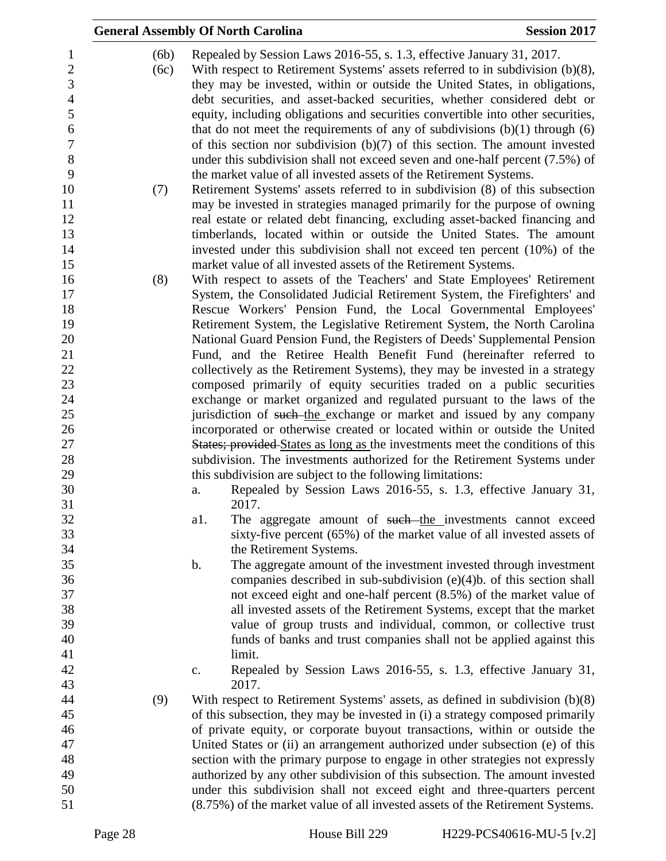|              |                                                            | <b>Session 2017</b>                                                                                                                                                                                                                                                                                                                                                                                                                                                                                                                                                                                                                                                                                                                                                                                                                                                                                                                                                                                                                                                                                                                                                                                                                                                                                                                                                                                                                                                                                                                                                                                                                                                                                                                                                                                                                                                                                                                                                                                                                                                                                                                                                                                                                                                                                                                                                                                                                                                                                                                                                                                                                                                                                                                                                                                                                                                                                                                                                                                                                                                                                                                                                                                                                                                                                                                                                                                                                                                                                                                                                                                                                                                                                                            |
|--------------|------------------------------------------------------------|--------------------------------------------------------------------------------------------------------------------------------------------------------------------------------------------------------------------------------------------------------------------------------------------------------------------------------------------------------------------------------------------------------------------------------------------------------------------------------------------------------------------------------------------------------------------------------------------------------------------------------------------------------------------------------------------------------------------------------------------------------------------------------------------------------------------------------------------------------------------------------------------------------------------------------------------------------------------------------------------------------------------------------------------------------------------------------------------------------------------------------------------------------------------------------------------------------------------------------------------------------------------------------------------------------------------------------------------------------------------------------------------------------------------------------------------------------------------------------------------------------------------------------------------------------------------------------------------------------------------------------------------------------------------------------------------------------------------------------------------------------------------------------------------------------------------------------------------------------------------------------------------------------------------------------------------------------------------------------------------------------------------------------------------------------------------------------------------------------------------------------------------------------------------------------------------------------------------------------------------------------------------------------------------------------------------------------------------------------------------------------------------------------------------------------------------------------------------------------------------------------------------------------------------------------------------------------------------------------------------------------------------------------------------------------------------------------------------------------------------------------------------------------------------------------------------------------------------------------------------------------------------------------------------------------------------------------------------------------------------------------------------------------------------------------------------------------------------------------------------------------------------------------------------------------------------------------------------------------------------------------------------------------------------------------------------------------------------------------------------------------------------------------------------------------------------------------------------------------------------------------------------------------------------------------------------------------------------------------------------------------------------------------------------------------------------------------------------------------|
| (6b)<br>(6c) |                                                            |                                                                                                                                                                                                                                                                                                                                                                                                                                                                                                                                                                                                                                                                                                                                                                                                                                                                                                                                                                                                                                                                                                                                                                                                                                                                                                                                                                                                                                                                                                                                                                                                                                                                                                                                                                                                                                                                                                                                                                                                                                                                                                                                                                                                                                                                                                                                                                                                                                                                                                                                                                                                                                                                                                                                                                                                                                                                                                                                                                                                                                                                                                                                                                                                                                                                                                                                                                                                                                                                                                                                                                                                                                                                                                                                |
|              |                                                            |                                                                                                                                                                                                                                                                                                                                                                                                                                                                                                                                                                                                                                                                                                                                                                                                                                                                                                                                                                                                                                                                                                                                                                                                                                                                                                                                                                                                                                                                                                                                                                                                                                                                                                                                                                                                                                                                                                                                                                                                                                                                                                                                                                                                                                                                                                                                                                                                                                                                                                                                                                                                                                                                                                                                                                                                                                                                                                                                                                                                                                                                                                                                                                                                                                                                                                                                                                                                                                                                                                                                                                                                                                                                                                                                |
|              |                                                            |                                                                                                                                                                                                                                                                                                                                                                                                                                                                                                                                                                                                                                                                                                                                                                                                                                                                                                                                                                                                                                                                                                                                                                                                                                                                                                                                                                                                                                                                                                                                                                                                                                                                                                                                                                                                                                                                                                                                                                                                                                                                                                                                                                                                                                                                                                                                                                                                                                                                                                                                                                                                                                                                                                                                                                                                                                                                                                                                                                                                                                                                                                                                                                                                                                                                                                                                                                                                                                                                                                                                                                                                                                                                                                                                |
|              |                                                            |                                                                                                                                                                                                                                                                                                                                                                                                                                                                                                                                                                                                                                                                                                                                                                                                                                                                                                                                                                                                                                                                                                                                                                                                                                                                                                                                                                                                                                                                                                                                                                                                                                                                                                                                                                                                                                                                                                                                                                                                                                                                                                                                                                                                                                                                                                                                                                                                                                                                                                                                                                                                                                                                                                                                                                                                                                                                                                                                                                                                                                                                                                                                                                                                                                                                                                                                                                                                                                                                                                                                                                                                                                                                                                                                |
|              |                                                            |                                                                                                                                                                                                                                                                                                                                                                                                                                                                                                                                                                                                                                                                                                                                                                                                                                                                                                                                                                                                                                                                                                                                                                                                                                                                                                                                                                                                                                                                                                                                                                                                                                                                                                                                                                                                                                                                                                                                                                                                                                                                                                                                                                                                                                                                                                                                                                                                                                                                                                                                                                                                                                                                                                                                                                                                                                                                                                                                                                                                                                                                                                                                                                                                                                                                                                                                                                                                                                                                                                                                                                                                                                                                                                                                |
|              |                                                            |                                                                                                                                                                                                                                                                                                                                                                                                                                                                                                                                                                                                                                                                                                                                                                                                                                                                                                                                                                                                                                                                                                                                                                                                                                                                                                                                                                                                                                                                                                                                                                                                                                                                                                                                                                                                                                                                                                                                                                                                                                                                                                                                                                                                                                                                                                                                                                                                                                                                                                                                                                                                                                                                                                                                                                                                                                                                                                                                                                                                                                                                                                                                                                                                                                                                                                                                                                                                                                                                                                                                                                                                                                                                                                                                |
|              |                                                            |                                                                                                                                                                                                                                                                                                                                                                                                                                                                                                                                                                                                                                                                                                                                                                                                                                                                                                                                                                                                                                                                                                                                                                                                                                                                                                                                                                                                                                                                                                                                                                                                                                                                                                                                                                                                                                                                                                                                                                                                                                                                                                                                                                                                                                                                                                                                                                                                                                                                                                                                                                                                                                                                                                                                                                                                                                                                                                                                                                                                                                                                                                                                                                                                                                                                                                                                                                                                                                                                                                                                                                                                                                                                                                                                |
|              |                                                            |                                                                                                                                                                                                                                                                                                                                                                                                                                                                                                                                                                                                                                                                                                                                                                                                                                                                                                                                                                                                                                                                                                                                                                                                                                                                                                                                                                                                                                                                                                                                                                                                                                                                                                                                                                                                                                                                                                                                                                                                                                                                                                                                                                                                                                                                                                                                                                                                                                                                                                                                                                                                                                                                                                                                                                                                                                                                                                                                                                                                                                                                                                                                                                                                                                                                                                                                                                                                                                                                                                                                                                                                                                                                                                                                |
|              |                                                            |                                                                                                                                                                                                                                                                                                                                                                                                                                                                                                                                                                                                                                                                                                                                                                                                                                                                                                                                                                                                                                                                                                                                                                                                                                                                                                                                                                                                                                                                                                                                                                                                                                                                                                                                                                                                                                                                                                                                                                                                                                                                                                                                                                                                                                                                                                                                                                                                                                                                                                                                                                                                                                                                                                                                                                                                                                                                                                                                                                                                                                                                                                                                                                                                                                                                                                                                                                                                                                                                                                                                                                                                                                                                                                                                |
|              |                                                            |                                                                                                                                                                                                                                                                                                                                                                                                                                                                                                                                                                                                                                                                                                                                                                                                                                                                                                                                                                                                                                                                                                                                                                                                                                                                                                                                                                                                                                                                                                                                                                                                                                                                                                                                                                                                                                                                                                                                                                                                                                                                                                                                                                                                                                                                                                                                                                                                                                                                                                                                                                                                                                                                                                                                                                                                                                                                                                                                                                                                                                                                                                                                                                                                                                                                                                                                                                                                                                                                                                                                                                                                                                                                                                                                |
|              |                                                            |                                                                                                                                                                                                                                                                                                                                                                                                                                                                                                                                                                                                                                                                                                                                                                                                                                                                                                                                                                                                                                                                                                                                                                                                                                                                                                                                                                                                                                                                                                                                                                                                                                                                                                                                                                                                                                                                                                                                                                                                                                                                                                                                                                                                                                                                                                                                                                                                                                                                                                                                                                                                                                                                                                                                                                                                                                                                                                                                                                                                                                                                                                                                                                                                                                                                                                                                                                                                                                                                                                                                                                                                                                                                                                                                |
|              |                                                            |                                                                                                                                                                                                                                                                                                                                                                                                                                                                                                                                                                                                                                                                                                                                                                                                                                                                                                                                                                                                                                                                                                                                                                                                                                                                                                                                                                                                                                                                                                                                                                                                                                                                                                                                                                                                                                                                                                                                                                                                                                                                                                                                                                                                                                                                                                                                                                                                                                                                                                                                                                                                                                                                                                                                                                                                                                                                                                                                                                                                                                                                                                                                                                                                                                                                                                                                                                                                                                                                                                                                                                                                                                                                                                                                |
|              |                                                            |                                                                                                                                                                                                                                                                                                                                                                                                                                                                                                                                                                                                                                                                                                                                                                                                                                                                                                                                                                                                                                                                                                                                                                                                                                                                                                                                                                                                                                                                                                                                                                                                                                                                                                                                                                                                                                                                                                                                                                                                                                                                                                                                                                                                                                                                                                                                                                                                                                                                                                                                                                                                                                                                                                                                                                                                                                                                                                                                                                                                                                                                                                                                                                                                                                                                                                                                                                                                                                                                                                                                                                                                                                                                                                                                |
|              |                                                            |                                                                                                                                                                                                                                                                                                                                                                                                                                                                                                                                                                                                                                                                                                                                                                                                                                                                                                                                                                                                                                                                                                                                                                                                                                                                                                                                                                                                                                                                                                                                                                                                                                                                                                                                                                                                                                                                                                                                                                                                                                                                                                                                                                                                                                                                                                                                                                                                                                                                                                                                                                                                                                                                                                                                                                                                                                                                                                                                                                                                                                                                                                                                                                                                                                                                                                                                                                                                                                                                                                                                                                                                                                                                                                                                |
|              |                                                            |                                                                                                                                                                                                                                                                                                                                                                                                                                                                                                                                                                                                                                                                                                                                                                                                                                                                                                                                                                                                                                                                                                                                                                                                                                                                                                                                                                                                                                                                                                                                                                                                                                                                                                                                                                                                                                                                                                                                                                                                                                                                                                                                                                                                                                                                                                                                                                                                                                                                                                                                                                                                                                                                                                                                                                                                                                                                                                                                                                                                                                                                                                                                                                                                                                                                                                                                                                                                                                                                                                                                                                                                                                                                                                                                |
|              |                                                            |                                                                                                                                                                                                                                                                                                                                                                                                                                                                                                                                                                                                                                                                                                                                                                                                                                                                                                                                                                                                                                                                                                                                                                                                                                                                                                                                                                                                                                                                                                                                                                                                                                                                                                                                                                                                                                                                                                                                                                                                                                                                                                                                                                                                                                                                                                                                                                                                                                                                                                                                                                                                                                                                                                                                                                                                                                                                                                                                                                                                                                                                                                                                                                                                                                                                                                                                                                                                                                                                                                                                                                                                                                                                                                                                |
|              |                                                            |                                                                                                                                                                                                                                                                                                                                                                                                                                                                                                                                                                                                                                                                                                                                                                                                                                                                                                                                                                                                                                                                                                                                                                                                                                                                                                                                                                                                                                                                                                                                                                                                                                                                                                                                                                                                                                                                                                                                                                                                                                                                                                                                                                                                                                                                                                                                                                                                                                                                                                                                                                                                                                                                                                                                                                                                                                                                                                                                                                                                                                                                                                                                                                                                                                                                                                                                                                                                                                                                                                                                                                                                                                                                                                                                |
|              |                                                            |                                                                                                                                                                                                                                                                                                                                                                                                                                                                                                                                                                                                                                                                                                                                                                                                                                                                                                                                                                                                                                                                                                                                                                                                                                                                                                                                                                                                                                                                                                                                                                                                                                                                                                                                                                                                                                                                                                                                                                                                                                                                                                                                                                                                                                                                                                                                                                                                                                                                                                                                                                                                                                                                                                                                                                                                                                                                                                                                                                                                                                                                                                                                                                                                                                                                                                                                                                                                                                                                                                                                                                                                                                                                                                                                |
|              |                                                            |                                                                                                                                                                                                                                                                                                                                                                                                                                                                                                                                                                                                                                                                                                                                                                                                                                                                                                                                                                                                                                                                                                                                                                                                                                                                                                                                                                                                                                                                                                                                                                                                                                                                                                                                                                                                                                                                                                                                                                                                                                                                                                                                                                                                                                                                                                                                                                                                                                                                                                                                                                                                                                                                                                                                                                                                                                                                                                                                                                                                                                                                                                                                                                                                                                                                                                                                                                                                                                                                                                                                                                                                                                                                                                                                |
|              |                                                            |                                                                                                                                                                                                                                                                                                                                                                                                                                                                                                                                                                                                                                                                                                                                                                                                                                                                                                                                                                                                                                                                                                                                                                                                                                                                                                                                                                                                                                                                                                                                                                                                                                                                                                                                                                                                                                                                                                                                                                                                                                                                                                                                                                                                                                                                                                                                                                                                                                                                                                                                                                                                                                                                                                                                                                                                                                                                                                                                                                                                                                                                                                                                                                                                                                                                                                                                                                                                                                                                                                                                                                                                                                                                                                                                |
|              |                                                            |                                                                                                                                                                                                                                                                                                                                                                                                                                                                                                                                                                                                                                                                                                                                                                                                                                                                                                                                                                                                                                                                                                                                                                                                                                                                                                                                                                                                                                                                                                                                                                                                                                                                                                                                                                                                                                                                                                                                                                                                                                                                                                                                                                                                                                                                                                                                                                                                                                                                                                                                                                                                                                                                                                                                                                                                                                                                                                                                                                                                                                                                                                                                                                                                                                                                                                                                                                                                                                                                                                                                                                                                                                                                                                                                |
|              |                                                            |                                                                                                                                                                                                                                                                                                                                                                                                                                                                                                                                                                                                                                                                                                                                                                                                                                                                                                                                                                                                                                                                                                                                                                                                                                                                                                                                                                                                                                                                                                                                                                                                                                                                                                                                                                                                                                                                                                                                                                                                                                                                                                                                                                                                                                                                                                                                                                                                                                                                                                                                                                                                                                                                                                                                                                                                                                                                                                                                                                                                                                                                                                                                                                                                                                                                                                                                                                                                                                                                                                                                                                                                                                                                                                                                |
|              |                                                            |                                                                                                                                                                                                                                                                                                                                                                                                                                                                                                                                                                                                                                                                                                                                                                                                                                                                                                                                                                                                                                                                                                                                                                                                                                                                                                                                                                                                                                                                                                                                                                                                                                                                                                                                                                                                                                                                                                                                                                                                                                                                                                                                                                                                                                                                                                                                                                                                                                                                                                                                                                                                                                                                                                                                                                                                                                                                                                                                                                                                                                                                                                                                                                                                                                                                                                                                                                                                                                                                                                                                                                                                                                                                                                                                |
|              |                                                            |                                                                                                                                                                                                                                                                                                                                                                                                                                                                                                                                                                                                                                                                                                                                                                                                                                                                                                                                                                                                                                                                                                                                                                                                                                                                                                                                                                                                                                                                                                                                                                                                                                                                                                                                                                                                                                                                                                                                                                                                                                                                                                                                                                                                                                                                                                                                                                                                                                                                                                                                                                                                                                                                                                                                                                                                                                                                                                                                                                                                                                                                                                                                                                                                                                                                                                                                                                                                                                                                                                                                                                                                                                                                                                                                |
|              |                                                            |                                                                                                                                                                                                                                                                                                                                                                                                                                                                                                                                                                                                                                                                                                                                                                                                                                                                                                                                                                                                                                                                                                                                                                                                                                                                                                                                                                                                                                                                                                                                                                                                                                                                                                                                                                                                                                                                                                                                                                                                                                                                                                                                                                                                                                                                                                                                                                                                                                                                                                                                                                                                                                                                                                                                                                                                                                                                                                                                                                                                                                                                                                                                                                                                                                                                                                                                                                                                                                                                                                                                                                                                                                                                                                                                |
|              |                                                            |                                                                                                                                                                                                                                                                                                                                                                                                                                                                                                                                                                                                                                                                                                                                                                                                                                                                                                                                                                                                                                                                                                                                                                                                                                                                                                                                                                                                                                                                                                                                                                                                                                                                                                                                                                                                                                                                                                                                                                                                                                                                                                                                                                                                                                                                                                                                                                                                                                                                                                                                                                                                                                                                                                                                                                                                                                                                                                                                                                                                                                                                                                                                                                                                                                                                                                                                                                                                                                                                                                                                                                                                                                                                                                                                |
|              | this subdivision are subject to the following limitations: |                                                                                                                                                                                                                                                                                                                                                                                                                                                                                                                                                                                                                                                                                                                                                                                                                                                                                                                                                                                                                                                                                                                                                                                                                                                                                                                                                                                                                                                                                                                                                                                                                                                                                                                                                                                                                                                                                                                                                                                                                                                                                                                                                                                                                                                                                                                                                                                                                                                                                                                                                                                                                                                                                                                                                                                                                                                                                                                                                                                                                                                                                                                                                                                                                                                                                                                                                                                                                                                                                                                                                                                                                                                                                                                                |
|              | a.                                                         |                                                                                                                                                                                                                                                                                                                                                                                                                                                                                                                                                                                                                                                                                                                                                                                                                                                                                                                                                                                                                                                                                                                                                                                                                                                                                                                                                                                                                                                                                                                                                                                                                                                                                                                                                                                                                                                                                                                                                                                                                                                                                                                                                                                                                                                                                                                                                                                                                                                                                                                                                                                                                                                                                                                                                                                                                                                                                                                                                                                                                                                                                                                                                                                                                                                                                                                                                                                                                                                                                                                                                                                                                                                                                                                                |
|              | 2017.                                                      |                                                                                                                                                                                                                                                                                                                                                                                                                                                                                                                                                                                                                                                                                                                                                                                                                                                                                                                                                                                                                                                                                                                                                                                                                                                                                                                                                                                                                                                                                                                                                                                                                                                                                                                                                                                                                                                                                                                                                                                                                                                                                                                                                                                                                                                                                                                                                                                                                                                                                                                                                                                                                                                                                                                                                                                                                                                                                                                                                                                                                                                                                                                                                                                                                                                                                                                                                                                                                                                                                                                                                                                                                                                                                                                                |
|              |                                                            |                                                                                                                                                                                                                                                                                                                                                                                                                                                                                                                                                                                                                                                                                                                                                                                                                                                                                                                                                                                                                                                                                                                                                                                                                                                                                                                                                                                                                                                                                                                                                                                                                                                                                                                                                                                                                                                                                                                                                                                                                                                                                                                                                                                                                                                                                                                                                                                                                                                                                                                                                                                                                                                                                                                                                                                                                                                                                                                                                                                                                                                                                                                                                                                                                                                                                                                                                                                                                                                                                                                                                                                                                                                                                                                                |
|              |                                                            |                                                                                                                                                                                                                                                                                                                                                                                                                                                                                                                                                                                                                                                                                                                                                                                                                                                                                                                                                                                                                                                                                                                                                                                                                                                                                                                                                                                                                                                                                                                                                                                                                                                                                                                                                                                                                                                                                                                                                                                                                                                                                                                                                                                                                                                                                                                                                                                                                                                                                                                                                                                                                                                                                                                                                                                                                                                                                                                                                                                                                                                                                                                                                                                                                                                                                                                                                                                                                                                                                                                                                                                                                                                                                                                                |
|              |                                                            |                                                                                                                                                                                                                                                                                                                                                                                                                                                                                                                                                                                                                                                                                                                                                                                                                                                                                                                                                                                                                                                                                                                                                                                                                                                                                                                                                                                                                                                                                                                                                                                                                                                                                                                                                                                                                                                                                                                                                                                                                                                                                                                                                                                                                                                                                                                                                                                                                                                                                                                                                                                                                                                                                                                                                                                                                                                                                                                                                                                                                                                                                                                                                                                                                                                                                                                                                                                                                                                                                                                                                                                                                                                                                                                                |
|              |                                                            |                                                                                                                                                                                                                                                                                                                                                                                                                                                                                                                                                                                                                                                                                                                                                                                                                                                                                                                                                                                                                                                                                                                                                                                                                                                                                                                                                                                                                                                                                                                                                                                                                                                                                                                                                                                                                                                                                                                                                                                                                                                                                                                                                                                                                                                                                                                                                                                                                                                                                                                                                                                                                                                                                                                                                                                                                                                                                                                                                                                                                                                                                                                                                                                                                                                                                                                                                                                                                                                                                                                                                                                                                                                                                                                                |
|              |                                                            |                                                                                                                                                                                                                                                                                                                                                                                                                                                                                                                                                                                                                                                                                                                                                                                                                                                                                                                                                                                                                                                                                                                                                                                                                                                                                                                                                                                                                                                                                                                                                                                                                                                                                                                                                                                                                                                                                                                                                                                                                                                                                                                                                                                                                                                                                                                                                                                                                                                                                                                                                                                                                                                                                                                                                                                                                                                                                                                                                                                                                                                                                                                                                                                                                                                                                                                                                                                                                                                                                                                                                                                                                                                                                                                                |
|              |                                                            |                                                                                                                                                                                                                                                                                                                                                                                                                                                                                                                                                                                                                                                                                                                                                                                                                                                                                                                                                                                                                                                                                                                                                                                                                                                                                                                                                                                                                                                                                                                                                                                                                                                                                                                                                                                                                                                                                                                                                                                                                                                                                                                                                                                                                                                                                                                                                                                                                                                                                                                                                                                                                                                                                                                                                                                                                                                                                                                                                                                                                                                                                                                                                                                                                                                                                                                                                                                                                                                                                                                                                                                                                                                                                                                                |
|              |                                                            |                                                                                                                                                                                                                                                                                                                                                                                                                                                                                                                                                                                                                                                                                                                                                                                                                                                                                                                                                                                                                                                                                                                                                                                                                                                                                                                                                                                                                                                                                                                                                                                                                                                                                                                                                                                                                                                                                                                                                                                                                                                                                                                                                                                                                                                                                                                                                                                                                                                                                                                                                                                                                                                                                                                                                                                                                                                                                                                                                                                                                                                                                                                                                                                                                                                                                                                                                                                                                                                                                                                                                                                                                                                                                                                                |
|              |                                                            |                                                                                                                                                                                                                                                                                                                                                                                                                                                                                                                                                                                                                                                                                                                                                                                                                                                                                                                                                                                                                                                                                                                                                                                                                                                                                                                                                                                                                                                                                                                                                                                                                                                                                                                                                                                                                                                                                                                                                                                                                                                                                                                                                                                                                                                                                                                                                                                                                                                                                                                                                                                                                                                                                                                                                                                                                                                                                                                                                                                                                                                                                                                                                                                                                                                                                                                                                                                                                                                                                                                                                                                                                                                                                                                                |
|              |                                                            |                                                                                                                                                                                                                                                                                                                                                                                                                                                                                                                                                                                                                                                                                                                                                                                                                                                                                                                                                                                                                                                                                                                                                                                                                                                                                                                                                                                                                                                                                                                                                                                                                                                                                                                                                                                                                                                                                                                                                                                                                                                                                                                                                                                                                                                                                                                                                                                                                                                                                                                                                                                                                                                                                                                                                                                                                                                                                                                                                                                                                                                                                                                                                                                                                                                                                                                                                                                                                                                                                                                                                                                                                                                                                                                                |
|              |                                                            |                                                                                                                                                                                                                                                                                                                                                                                                                                                                                                                                                                                                                                                                                                                                                                                                                                                                                                                                                                                                                                                                                                                                                                                                                                                                                                                                                                                                                                                                                                                                                                                                                                                                                                                                                                                                                                                                                                                                                                                                                                                                                                                                                                                                                                                                                                                                                                                                                                                                                                                                                                                                                                                                                                                                                                                                                                                                                                                                                                                                                                                                                                                                                                                                                                                                                                                                                                                                                                                                                                                                                                                                                                                                                                                                |
|              |                                                            |                                                                                                                                                                                                                                                                                                                                                                                                                                                                                                                                                                                                                                                                                                                                                                                                                                                                                                                                                                                                                                                                                                                                                                                                                                                                                                                                                                                                                                                                                                                                                                                                                                                                                                                                                                                                                                                                                                                                                                                                                                                                                                                                                                                                                                                                                                                                                                                                                                                                                                                                                                                                                                                                                                                                                                                                                                                                                                                                                                                                                                                                                                                                                                                                                                                                                                                                                                                                                                                                                                                                                                                                                                                                                                                                |
|              |                                                            |                                                                                                                                                                                                                                                                                                                                                                                                                                                                                                                                                                                                                                                                                                                                                                                                                                                                                                                                                                                                                                                                                                                                                                                                                                                                                                                                                                                                                                                                                                                                                                                                                                                                                                                                                                                                                                                                                                                                                                                                                                                                                                                                                                                                                                                                                                                                                                                                                                                                                                                                                                                                                                                                                                                                                                                                                                                                                                                                                                                                                                                                                                                                                                                                                                                                                                                                                                                                                                                                                                                                                                                                                                                                                                                                |
|              |                                                            |                                                                                                                                                                                                                                                                                                                                                                                                                                                                                                                                                                                                                                                                                                                                                                                                                                                                                                                                                                                                                                                                                                                                                                                                                                                                                                                                                                                                                                                                                                                                                                                                                                                                                                                                                                                                                                                                                                                                                                                                                                                                                                                                                                                                                                                                                                                                                                                                                                                                                                                                                                                                                                                                                                                                                                                                                                                                                                                                                                                                                                                                                                                                                                                                                                                                                                                                                                                                                                                                                                                                                                                                                                                                                                                                |
|              |                                                            |                                                                                                                                                                                                                                                                                                                                                                                                                                                                                                                                                                                                                                                                                                                                                                                                                                                                                                                                                                                                                                                                                                                                                                                                                                                                                                                                                                                                                                                                                                                                                                                                                                                                                                                                                                                                                                                                                                                                                                                                                                                                                                                                                                                                                                                                                                                                                                                                                                                                                                                                                                                                                                                                                                                                                                                                                                                                                                                                                                                                                                                                                                                                                                                                                                                                                                                                                                                                                                                                                                                                                                                                                                                                                                                                |
|              |                                                            |                                                                                                                                                                                                                                                                                                                                                                                                                                                                                                                                                                                                                                                                                                                                                                                                                                                                                                                                                                                                                                                                                                                                                                                                                                                                                                                                                                                                                                                                                                                                                                                                                                                                                                                                                                                                                                                                                                                                                                                                                                                                                                                                                                                                                                                                                                                                                                                                                                                                                                                                                                                                                                                                                                                                                                                                                                                                                                                                                                                                                                                                                                                                                                                                                                                                                                                                                                                                                                                                                                                                                                                                                                                                                                                                |
|              |                                                            |                                                                                                                                                                                                                                                                                                                                                                                                                                                                                                                                                                                                                                                                                                                                                                                                                                                                                                                                                                                                                                                                                                                                                                                                                                                                                                                                                                                                                                                                                                                                                                                                                                                                                                                                                                                                                                                                                                                                                                                                                                                                                                                                                                                                                                                                                                                                                                                                                                                                                                                                                                                                                                                                                                                                                                                                                                                                                                                                                                                                                                                                                                                                                                                                                                                                                                                                                                                                                                                                                                                                                                                                                                                                                                                                |
|              |                                                            |                                                                                                                                                                                                                                                                                                                                                                                                                                                                                                                                                                                                                                                                                                                                                                                                                                                                                                                                                                                                                                                                                                                                                                                                                                                                                                                                                                                                                                                                                                                                                                                                                                                                                                                                                                                                                                                                                                                                                                                                                                                                                                                                                                                                                                                                                                                                                                                                                                                                                                                                                                                                                                                                                                                                                                                                                                                                                                                                                                                                                                                                                                                                                                                                                                                                                                                                                                                                                                                                                                                                                                                                                                                                                                                                |
|              |                                                            |                                                                                                                                                                                                                                                                                                                                                                                                                                                                                                                                                                                                                                                                                                                                                                                                                                                                                                                                                                                                                                                                                                                                                                                                                                                                                                                                                                                                                                                                                                                                                                                                                                                                                                                                                                                                                                                                                                                                                                                                                                                                                                                                                                                                                                                                                                                                                                                                                                                                                                                                                                                                                                                                                                                                                                                                                                                                                                                                                                                                                                                                                                                                                                                                                                                                                                                                                                                                                                                                                                                                                                                                                                                                                                                                |
|              |                                                            |                                                                                                                                                                                                                                                                                                                                                                                                                                                                                                                                                                                                                                                                                                                                                                                                                                                                                                                                                                                                                                                                                                                                                                                                                                                                                                                                                                                                                                                                                                                                                                                                                                                                                                                                                                                                                                                                                                                                                                                                                                                                                                                                                                                                                                                                                                                                                                                                                                                                                                                                                                                                                                                                                                                                                                                                                                                                                                                                                                                                                                                                                                                                                                                                                                                                                                                                                                                                                                                                                                                                                                                                                                                                                                                                |
|              | (7)<br>(8)<br>(9)                                          | <b>General Assembly Of North Carolina</b><br>Repealed by Session Laws 2016-55, s. 1.3, effective January 31, 2017.<br>With respect to Retirement Systems' assets referred to in subdivision (b)(8),<br>they may be invested, within or outside the United States, in obligations,<br>debt securities, and asset-backed securities, whether considered debt or<br>equity, including obligations and securities convertible into other securities,<br>that do not meet the requirements of any of subdivisions $(b)(1)$ through $(6)$<br>of this section nor subdivision $(b)(7)$ of this section. The amount invested<br>under this subdivision shall not exceed seven and one-half percent $(7.5\%)$ of<br>the market value of all invested assets of the Retirement Systems.<br>Retirement Systems' assets referred to in subdivision (8) of this subsection<br>may be invested in strategies managed primarily for the purpose of owning<br>real estate or related debt financing, excluding asset-backed financing and<br>timberlands, located within or outside the United States. The amount<br>invested under this subdivision shall not exceed ten percent (10%) of the<br>market value of all invested assets of the Retirement Systems.<br>With respect to assets of the Teachers' and State Employees' Retirement<br>System, the Consolidated Judicial Retirement System, the Firefighters' and<br>Rescue Workers' Pension Fund, the Local Governmental Employees'<br>Retirement System, the Legislative Retirement System, the North Carolina<br>National Guard Pension Fund, the Registers of Deeds' Supplemental Pension<br>Fund, and the Retiree Health Benefit Fund (hereinafter referred to<br>collectively as the Retirement Systems), they may be invested in a strategy<br>composed primarily of equity securities traded on a public securities<br>exchange or market organized and regulated pursuant to the laws of the<br>jurisdiction of such the exchange or market and issued by any company<br>incorporated or otherwise created or located within or outside the United<br><b>States; provided States as long as the investments meet the conditions of this</b><br>subdivision. The investments authorized for the Retirement Systems under<br>Repealed by Session Laws 2016-55, s. 1.3, effective January 31,<br>The aggregate amount of such the investments cannot exceed<br>a1.<br>sixty-five percent (65%) of the market value of all invested assets of<br>the Retirement Systems.<br>The aggregate amount of the investment invested through investment<br>b.<br>companies described in sub-subdivision (e)(4)b. of this section shall<br>not exceed eight and one-half percent (8.5%) of the market value of<br>all invested assets of the Retirement Systems, except that the market<br>value of group trusts and individual, common, or collective trust<br>funds of banks and trust companies shall not be applied against this<br>limit.<br>Repealed by Session Laws 2016-55, s. 1.3, effective January 31,<br>c.<br>2017.<br>With respect to Retirement Systems' assets, as defined in subdivision (b)(8)<br>of this subsection, they may be invested in (i) a strategy composed primarily<br>of private equity, or corporate buyout transactions, within or outside the<br>United States or (ii) an arrangement authorized under subsection (e) of this<br>section with the primary purpose to engage in other strategies not expressly<br>authorized by any other subdivision of this subsection. The amount invested<br>under this subdivision shall not exceed eight and three-quarters percent<br>(8.75%) of the market value of all invested assets of the Retirement Systems. |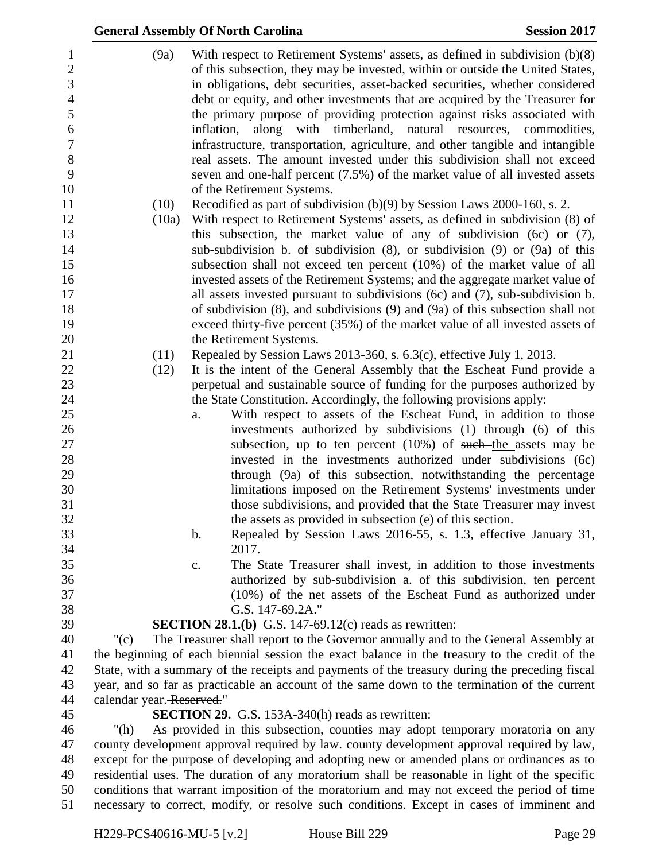|                                                                                              | <b>General Assembly Of North Carolina</b><br><b>Session 2017</b>                                                                                                                                                                                                                                                                                                                                                                                                                                                                                                                                                                                                                                                                                                                                                                                              |
|----------------------------------------------------------------------------------------------|---------------------------------------------------------------------------------------------------------------------------------------------------------------------------------------------------------------------------------------------------------------------------------------------------------------------------------------------------------------------------------------------------------------------------------------------------------------------------------------------------------------------------------------------------------------------------------------------------------------------------------------------------------------------------------------------------------------------------------------------------------------------------------------------------------------------------------------------------------------|
| 1<br>$\overline{c}$<br>3<br>$\overline{4}$<br>5<br>6<br>$\overline{7}$<br>8<br>9<br>10<br>11 | (9a)<br>With respect to Retirement Systems' assets, as defined in subdivision $(b)(8)$<br>of this subsection, they may be invested, within or outside the United States,<br>in obligations, debt securities, asset-backed securities, whether considered<br>debt or equity, and other investments that are acquired by the Treasurer for<br>the primary purpose of providing protection against risks associated with<br>along with timberland, natural resources, commodities,<br>inflation,<br>infrastructure, transportation, agriculture, and other tangible and intangible<br>real assets. The amount invested under this subdivision shall not exceed<br>seven and one-half percent (7.5%) of the market value of all invested assets<br>of the Retirement Systems.<br>Recodified as part of subdivision (b)(9) by Session Laws 2000-160, s. 2.<br>(10) |
| 12<br>13<br>14<br>15<br>16<br>17<br>18<br>19<br>20                                           | With respect to Retirement Systems' assets, as defined in subdivision (8) of<br>(10a)<br>this subsection, the market value of any of subdivision (6c) or $(7)$ ,<br>sub-subdivision b. of subdivision $(8)$ , or subdivision $(9)$ or $(9a)$ of this<br>subsection shall not exceed ten percent (10%) of the market value of all<br>invested assets of the Retirement Systems; and the aggregate market value of<br>all assets invested pursuant to subdivisions (6c) and (7), sub-subdivision b.<br>of subdivision (8), and subdivisions (9) and (9a) of this subsection shall not<br>exceed thirty-five percent (35%) of the market value of all invested assets of<br>the Retirement Systems.                                                                                                                                                              |
| 21<br>22<br>23<br>24<br>25                                                                   | Repealed by Session Laws 2013-360, s. 6.3(c), effective July 1, 2013.<br>(11)<br>It is the intent of the General Assembly that the Escheat Fund provide a<br>(12)<br>perpetual and sustainable source of funding for the purposes authorized by<br>the State Constitution. Accordingly, the following provisions apply:<br>With respect to assets of the Escheat Fund, in addition to those<br>a.                                                                                                                                                                                                                                                                                                                                                                                                                                                             |
| 26<br>27<br>28<br>29<br>30<br>31<br>32<br>33<br>34                                           | investments authorized by subdivisions (1) through (6) of this<br>subsection, up to ten percent $(10%)$ of such the assets may be<br>invested in the investments authorized under subdivisions (6c)<br>through (9a) of this subsection, notwithstanding the percentage<br>limitations imposed on the Retirement Systems' investments under<br>those subdivisions, and provided that the State Treasurer may invest<br>the assets as provided in subsection (e) of this section.<br>Repealed by Session Laws 2016-55, s. 1.3, effective January 31,<br>b.<br>2017.                                                                                                                                                                                                                                                                                             |
| 35<br>36<br>37<br>38<br>39                                                                   | The State Treasurer shall invest, in addition to those investments<br>$\mathbf{c}$ .<br>authorized by sub-subdivision a. of this subdivision, ten percent<br>(10%) of the net assets of the Escheat Fund as authorized under<br>G.S. 147-69.2A."<br><b>SECTION 28.1.(b)</b> G.S. 147-69.12(c) reads as rewritten:                                                                                                                                                                                                                                                                                                                                                                                                                                                                                                                                             |
| 40<br>41<br>42<br>43<br>44                                                                   | The Treasurer shall report to the Governor annually and to the General Assembly at<br>" $(c)$<br>the beginning of each biennial session the exact balance in the treasury to the credit of the<br>State, with a summary of the receipts and payments of the treasury during the preceding fiscal<br>year, and so far as practicable an account of the same down to the termination of the current<br>calendar year. Reserved."                                                                                                                                                                                                                                                                                                                                                                                                                                |
| 45<br>46<br>47<br>48<br>49<br>50<br>51                                                       | <b>SECTION 29.</b> G.S. 153A-340(h) reads as rewritten:<br>As provided in this subsection, counties may adopt temporary moratoria on any<br>" $(h)$<br>county development approval required by law. county development approval required by law,<br>except for the purpose of developing and adopting new or amended plans or ordinances as to<br>residential uses. The duration of any moratorium shall be reasonable in light of the specific<br>conditions that warrant imposition of the moratorium and may not exceed the period of time<br>necessary to correct, modify, or resolve such conditions. Except in cases of imminent and                                                                                                                                                                                                                    |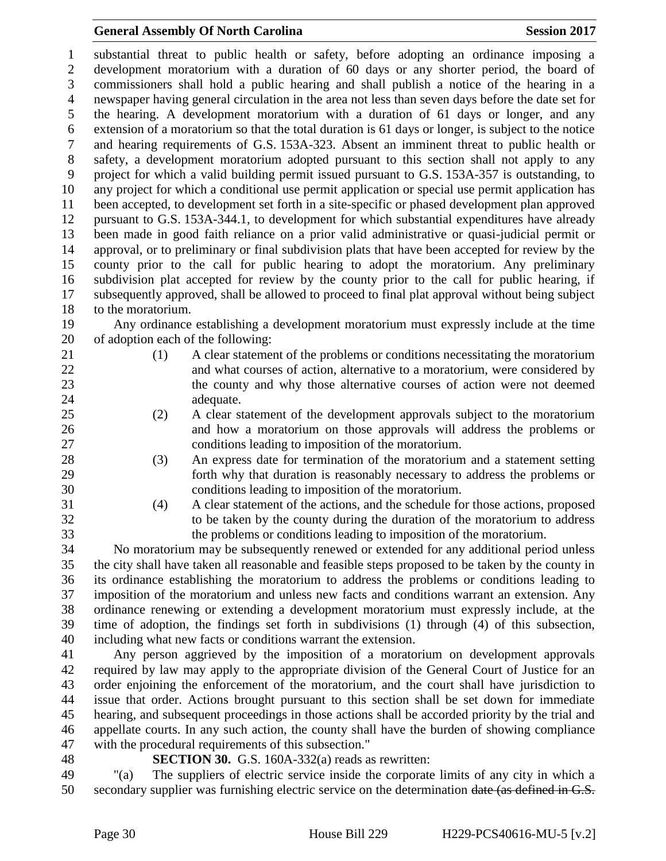substantial threat to public health or safety, before adopting an ordinance imposing a development moratorium with a duration of 60 days or any shorter period, the board of commissioners shall hold a public hearing and shall publish a notice of the hearing in a newspaper having general circulation in the area not less than seven days before the date set for the hearing. A development moratorium with a duration of 61 days or longer, and any extension of a moratorium so that the total duration is 61 days or longer, is subject to the notice and hearing requirements of G.S. 153A-323. Absent an imminent threat to public health or safety, a development moratorium adopted pursuant to this section shall not apply to any project for which a valid building permit issued pursuant to G.S. 153A-357 is outstanding, to any project for which a conditional use permit application or special use permit application has been accepted, to development set forth in a site-specific or phased development plan approved pursuant to G.S. 153A-344.1, to development for which substantial expenditures have already been made in good faith reliance on a prior valid administrative or quasi-judicial permit or approval, or to preliminary or final subdivision plats that have been accepted for review by the county prior to the call for public hearing to adopt the moratorium. Any preliminary subdivision plat accepted for review by the county prior to the call for public hearing, if subsequently approved, shall be allowed to proceed to final plat approval without being subject to the moratorium.

 Any ordinance establishing a development moratorium must expressly include at the time of adoption each of the following:

- 
- (1) A clear statement of the problems or conditions necessitating the moratorium and what courses of action, alternative to a moratorium, were considered by the county and why those alternative courses of action were not deemed 24 adequate.
- (2) A clear statement of the development approvals subject to the moratorium and how a moratorium on those approvals will address the problems or conditions leading to imposition of the moratorium.
- 
- (3) An express date for termination of the moratorium and a statement setting forth why that duration is reasonably necessary to address the problems or conditions leading to imposition of the moratorium.
- (4) A clear statement of the actions, and the schedule for those actions, proposed to be taken by the county during the duration of the moratorium to address the problems or conditions leading to imposition of the moratorium.

 No moratorium may be subsequently renewed or extended for any additional period unless the city shall have taken all reasonable and feasible steps proposed to be taken by the county in its ordinance establishing the moratorium to address the problems or conditions leading to imposition of the moratorium and unless new facts and conditions warrant an extension. Any ordinance renewing or extending a development moratorium must expressly include, at the time of adoption, the findings set forth in subdivisions (1) through (4) of this subsection, including what new facts or conditions warrant the extension.

- Any person aggrieved by the imposition of a moratorium on development approvals required by law may apply to the appropriate division of the General Court of Justice for an order enjoining the enforcement of the moratorium, and the court shall have jurisdiction to issue that order. Actions brought pursuant to this section shall be set down for immediate hearing, and subsequent proceedings in those actions shall be accorded priority by the trial and appellate courts. In any such action, the county shall have the burden of showing compliance with the procedural requirements of this subsection."
- 

#### **SECTION 30.** G.S. 160A-332(a) reads as rewritten:

 "(a) The suppliers of electric service inside the corporate limits of any city in which a 50 secondary supplier was furnishing electric service on the determination date (as defined in G.S.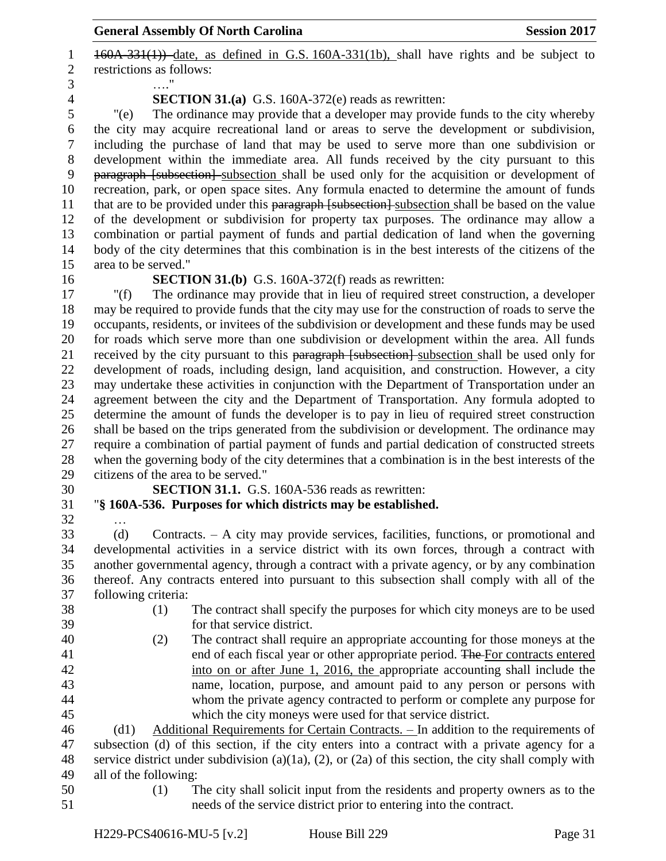160A-331(1)) date, as defined in G.S. 160A-331(1b), shall have rights and be subject to restrictions as follows: …."

## **SECTION 31.(a)** G.S. 160A-372(e) reads as rewritten:

 "(e) The ordinance may provide that a developer may provide funds to the city whereby the city may acquire recreational land or areas to serve the development or subdivision, including the purchase of land that may be used to serve more than one subdivision or development within the immediate area. All funds received by the city pursuant to this paragraph [subsection] subsection shall be used only for the acquisition or development of recreation, park, or open space sites. Any formula enacted to determine the amount of funds 11 that are to be provided under this paragraph [subsection] subsection shall be based on the value of the development or subdivision for property tax purposes. The ordinance may allow a combination or partial payment of funds and partial dedication of land when the governing body of the city determines that this combination is in the best interests of the citizens of the area to be served."

#### **SECTION 31.(b)** G.S. 160A-372(f) reads as rewritten:

 "(f) The ordinance may provide that in lieu of required street construction, a developer may be required to provide funds that the city may use for the construction of roads to serve the occupants, residents, or invitees of the subdivision or development and these funds may be used for roads which serve more than one subdivision or development within the area. All funds 21 received by the city pursuant to this paragraph [subsection] subsection shall be used only for development of roads, including design, land acquisition, and construction. However, a city may undertake these activities in conjunction with the Department of Transportation under an agreement between the city and the Department of Transportation. Any formula adopted to determine the amount of funds the developer is to pay in lieu of required street construction shall be based on the trips generated from the subdivision or development. The ordinance may require a combination of partial payment of funds and partial dedication of constructed streets when the governing body of the city determines that a combination is in the best interests of the citizens of the area to be served."

#### **SECTION 31.1.** G.S. 160A-536 reads as rewritten:

# "**§ 160A-536. Purposes for which districts may be established.**

…

 (d) Contracts. – A city may provide services, facilities, functions, or promotional and developmental activities in a service district with its own forces, through a contract with another governmental agency, through a contract with a private agency, or by any combination thereof. Any contracts entered into pursuant to this subsection shall comply with all of the following criteria:

- 
- (1) The contract shall specify the purposes for which city moneys are to be used for that service district.
- (2) The contract shall require an appropriate accounting for those moneys at the

41 end of each fiscal year or other appropriate period. The For contracts entered into on or after June 1, 2016, the appropriate accounting shall include the name, location, purpose, and amount paid to any person or persons with whom the private agency contracted to perform or complete any purpose for which the city moneys were used for that service district.

 (d1) Additional Requirements for Certain Contracts. – In addition to the requirements of subsection (d) of this section, if the city enters into a contract with a private agency for a service district under subdivision (a)(1a), (2), or (2a) of this section, the city shall comply with all of the following: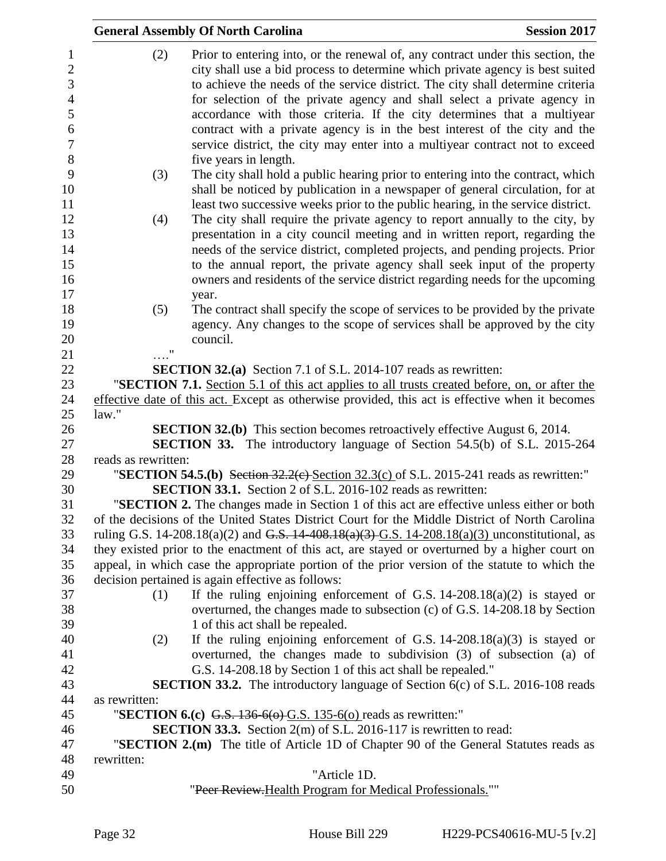|                     | <b>General Assembly Of North Carolina</b>                                                                                                                                                                                                                                                                                                                                                                                                                                                                                                                                                         | <b>Session 2017</b> |
|---------------------|---------------------------------------------------------------------------------------------------------------------------------------------------------------------------------------------------------------------------------------------------------------------------------------------------------------------------------------------------------------------------------------------------------------------------------------------------------------------------------------------------------------------------------------------------------------------------------------------------|---------------------|
| (2)                 | Prior to entering into, or the renewal of, any contract under this section, the<br>city shall use a bid process to determine which private agency is best suited<br>to achieve the needs of the service district. The city shall determine criteria<br>for selection of the private agency and shall select a private agency in<br>accordance with those criteria. If the city determines that a multiyear<br>contract with a private agency is in the best interest of the city and the<br>service district, the city may enter into a multiyear contract not to exceed<br>five years in length. |                     |
| (3)                 | The city shall hold a public hearing prior to entering into the contract, which<br>shall be noticed by publication in a newspaper of general circulation, for at<br>least two successive weeks prior to the public hearing, in the service district.                                                                                                                                                                                                                                                                                                                                              |                     |
| (4)                 | The city shall require the private agency to report annually to the city, by<br>presentation in a city council meeting and in written report, regarding the<br>needs of the service district, completed projects, and pending projects. Prior<br>to the annual report, the private agency shall seek input of the property<br>owners and residents of the service district regarding needs for the upcoming<br>year.                                                                                                                                                                              |                     |
| (5)                 | The contract shall specify the scope of services to be provided by the private<br>agency. Any changes to the scope of services shall be approved by the city                                                                                                                                                                                                                                                                                                                                                                                                                                      |                     |
|                     | council.                                                                                                                                                                                                                                                                                                                                                                                                                                                                                                                                                                                          |                     |
|                     | 11                                                                                                                                                                                                                                                                                                                                                                                                                                                                                                                                                                                                |                     |
|                     | <b>SECTION 32.(a)</b> Section 7.1 of S.L. 2014-107 reads as rewritten:                                                                                                                                                                                                                                                                                                                                                                                                                                                                                                                            |                     |
|                     | "SECTION 7.1. Section 5.1 of this act applies to all trusts created before, on, or after the<br>effective date of this act. Except as otherwise provided, this act is effective when it becomes                                                                                                                                                                                                                                                                                                                                                                                                   |                     |
| law."               |                                                                                                                                                                                                                                                                                                                                                                                                                                                                                                                                                                                                   |                     |
|                     | <b>SECTION 32.(b)</b> This section becomes retroactively effective August 6, 2014.<br><b>SECTION 33.</b> The introductory language of Section 54.5(b) of S.L. 2015-264                                                                                                                                                                                                                                                                                                                                                                                                                            |                     |
| reads as rewritten: |                                                                                                                                                                                                                                                                                                                                                                                                                                                                                                                                                                                                   |                     |
|                     | "SECTION 54.5.(b) Section $32.2(e)$ Section $32.3(e)$ of S.L. 2015-241 reads as rewritten:"                                                                                                                                                                                                                                                                                                                                                                                                                                                                                                       |                     |
|                     | SECTION 33.1. Section 2 of S.L. 2016-102 reads as rewritten:                                                                                                                                                                                                                                                                                                                                                                                                                                                                                                                                      |                     |
|                     | "SECTION 2. The changes made in Section 1 of this act are effective unless either or both                                                                                                                                                                                                                                                                                                                                                                                                                                                                                                         |                     |
|                     | of the decisions of the United States District Court for the Middle District of North Carolina<br>ruling G.S. 14-208.18(a)(2) and G.S. 14-408.18(a)(3) G.S. 14-208.18(a)(3) unconstitutional, as                                                                                                                                                                                                                                                                                                                                                                                                  |                     |
|                     | they existed prior to the enactment of this act, are stayed or overturned by a higher court on                                                                                                                                                                                                                                                                                                                                                                                                                                                                                                    |                     |
|                     | appeal, in which case the appropriate portion of the prior version of the statute to which the                                                                                                                                                                                                                                                                                                                                                                                                                                                                                                    |                     |
|                     | decision pertained is again effective as follows:                                                                                                                                                                                                                                                                                                                                                                                                                                                                                                                                                 |                     |
| (1)                 | If the ruling enjoining enforcement of G.S. $14-208.18(a)(2)$ is stayed or                                                                                                                                                                                                                                                                                                                                                                                                                                                                                                                        |                     |
|                     | overturned, the changes made to subsection (c) of G.S. 14-208.18 by Section                                                                                                                                                                                                                                                                                                                                                                                                                                                                                                                       |                     |
|                     | 1 of this act shall be repealed.                                                                                                                                                                                                                                                                                                                                                                                                                                                                                                                                                                  |                     |
| (2)                 | If the ruling enjoining enforcement of G.S. $14-208.18(a)(3)$ is stayed or<br>overturned, the changes made to subdivision (3) of subsection (a) of                                                                                                                                                                                                                                                                                                                                                                                                                                                |                     |
|                     | G.S. 14-208.18 by Section 1 of this act shall be repealed."                                                                                                                                                                                                                                                                                                                                                                                                                                                                                                                                       |                     |
|                     | <b>SECTION 33.2.</b> The introductory language of Section 6(c) of S.L. 2016-108 reads                                                                                                                                                                                                                                                                                                                                                                                                                                                                                                             |                     |
| as rewritten:       |                                                                                                                                                                                                                                                                                                                                                                                                                                                                                                                                                                                                   |                     |
|                     | "SECTION 6.(c) G.S. $136-6(0)$ G.S. $135-6(0)$ reads as rewritten:"                                                                                                                                                                                                                                                                                                                                                                                                                                                                                                                               |                     |
|                     | <b>SECTION 33.3.</b> Section $2(m)$ of S.L. 2016-117 is rewritten to read:                                                                                                                                                                                                                                                                                                                                                                                                                                                                                                                        |                     |
|                     | "SECTION 2.(m) The title of Article 1D of Chapter 90 of the General Statutes reads as                                                                                                                                                                                                                                                                                                                                                                                                                                                                                                             |                     |
| rewritten:          |                                                                                                                                                                                                                                                                                                                                                                                                                                                                                                                                                                                                   |                     |
|                     | "Article 1D.                                                                                                                                                                                                                                                                                                                                                                                                                                                                                                                                                                                      |                     |
|                     | "Peer Review. Health Program for Medical Professionals.""                                                                                                                                                                                                                                                                                                                                                                                                                                                                                                                                         |                     |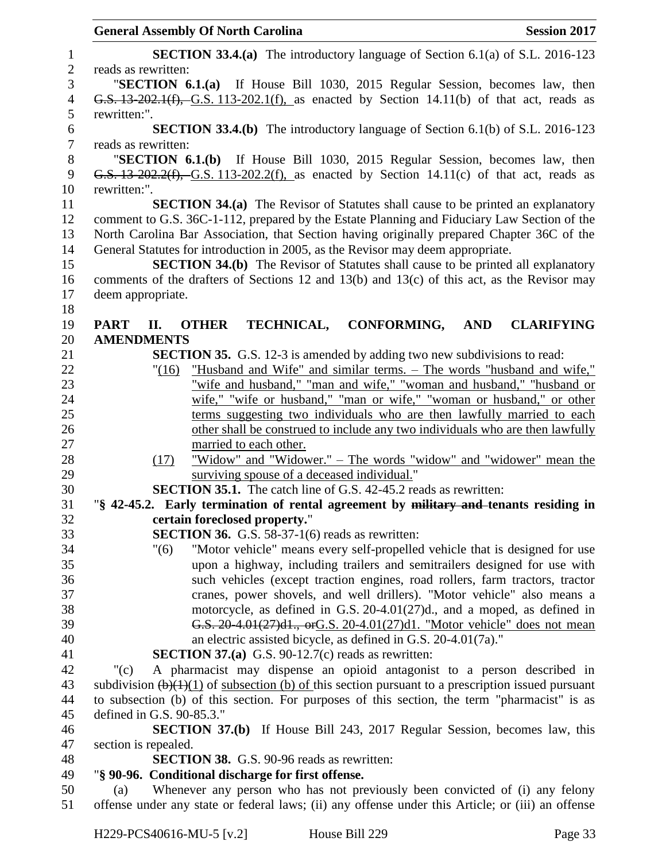| $\mathbf{1}$     |                           | <b>SECTION 33.4.(a)</b> The introductory language of Section 6.1(a) of S.L. 2016-123                     |
|------------------|---------------------------|----------------------------------------------------------------------------------------------------------|
| $\overline{c}$   | reads as rewritten:       |                                                                                                          |
| 3                |                           | "SECTION 6.1.(a) If House Bill 1030, 2015 Regular Session, becomes law, then                             |
| $\overline{4}$   |                           | G.S. $13\text{--}202.1(f)$ , $-G.S. 113-202.1(f)$ , as enacted by Section 14.11(b) of that act, reads as |
| 5                | rewritten:".              |                                                                                                          |
| 6                |                           | <b>SECTION 33.4.(b)</b> The introductory language of Section 6.1(b) of S.L. 2016-123                     |
| $\boldsymbol{7}$ | reads as rewritten:       |                                                                                                          |
| $8\,$            |                           | "SECTION 6.1.(b) If House Bill 1030, 2015 Regular Session, becomes law, then                             |
| 9                |                           | G.S. $13-202.2(f)$ , G.S. 113-202.2(f), as enacted by Section 14.11(c) of that act, reads as             |
| 10               | rewritten:".              |                                                                                                          |
| 11               |                           | <b>SECTION 34.(a)</b> The Revisor of Statutes shall cause to be printed an explanatory                   |
| 12               |                           | comment to G.S. 36C-1-112, prepared by the Estate Planning and Fiduciary Law Section of the              |
| 13               |                           | North Carolina Bar Association, that Section having originally prepared Chapter 36C of the               |
| 14               |                           |                                                                                                          |
|                  |                           | General Statutes for introduction in 2005, as the Revisor may deem appropriate.                          |
| 15               |                           | <b>SECTION 34.(b)</b> The Revisor of Statutes shall cause to be printed all explanatory                  |
| 16               |                           | comments of the drafters of Sections 12 and 13(b) and 13(c) of this act, as the Revisor may              |
| 17               | deem appropriate.         |                                                                                                          |
| 18               |                           |                                                                                                          |
| 19               | <b>PART</b><br>П.         | <b>CONFORMING,</b><br><b>TECHNICAL,</b><br><b>AND</b><br><b>CLARIFYING</b><br><b>OTHER</b>               |
| 20               | <b>AMENDMENTS</b>         |                                                                                                          |
| 21               |                           | <b>SECTION 35.</b> G.S. 12-3 is amended by adding two new subdivisions to read:                          |
| 22               | "(16)                     | "Husband and Wife" and similar terms. - The words "husband and wife,"                                    |
| 23               |                           | "wife and husband," "man and wife," "woman and husband," "husband or                                     |
| 24               |                           | wife," "wife or husband," "man or wife," "woman or husband," or other                                    |
| 25               |                           | terms suggesting two individuals who are then lawfully married to each                                   |
| 26               |                           | other shall be construed to include any two individuals who are then lawfully                            |
| 27               |                           | married to each other.                                                                                   |
| 28               | (17)                      | "Widow" and "Widower." – The words "widow" and "widower" mean the                                        |
| 29               |                           | surviving spouse of a deceased individual."                                                              |
| 30               |                           | <b>SECTION 35.1.</b> The catch line of G.S. 42-45.2 reads as rewritten:                                  |
| 31               |                           | "\\$ 42-45.2. Early termination of rental agreement by military and tenants residing in                  |
| 32               |                           | certain foreclosed property."                                                                            |
| 33               |                           | <b>SECTION 36.</b> G.S. 58-37-1(6) reads as rewritten:                                                   |
| 34               | "(6)                      | "Motor vehicle" means every self-propelled vehicle that is designed for use                              |
| 35               |                           | upon a highway, including trailers and semitrailers designed for use with                                |
|                  |                           |                                                                                                          |
| 36               |                           | such vehicles (except traction engines, road rollers, farm tractors, tractor                             |
| 37               |                           | cranes, power shovels, and well drillers). "Motor vehicle" also means a                                  |
| 38               |                           | motorcycle, as defined in G.S. 20-4.01(27)d., and a moped, as defined in                                 |
| 39               |                           | G.S. 20-4.01(27)d1., orG.S. 20-4.01(27)d1. "Motor vehicle" does not mean                                 |
| 40               |                           | an electric assisted bicycle, as defined in G.S. 20-4.01(7a)."                                           |
| 41               |                           | <b>SECTION 37.(a)</b> G.S. 90-12.7(c) reads as rewritten:                                                |
| 42               | " $(c)$                   | A pharmacist may dispense an opioid antagonist to a person described in                                  |
| 43               |                           | subdivision $(b)(1)(1)$ of subsection (b) of this section pursuant to a prescription issued pursuant     |
| 44               |                           | to subsection (b) of this section. For purposes of this section, the term "pharmacist" is as             |
| 45               | defined in G.S. 90-85.3." |                                                                                                          |
| 46               |                           | <b>SECTION 37.(b)</b> If House Bill 243, 2017 Regular Session, becomes law, this                         |
| 47               | section is repealed.      |                                                                                                          |
| 48               |                           | <b>SECTION 38.</b> G.S. 90-96 reads as rewritten:                                                        |
| 49               |                           | "§ 90-96. Conditional discharge for first offense.                                                       |
| 50               | (a)                       | Whenever any person who has not previously been convicted of (i) any felony                              |
| 51               |                           | offense under any state or federal laws; (ii) any offense under this Article; or (iii) an offense        |
|                  |                           |                                                                                                          |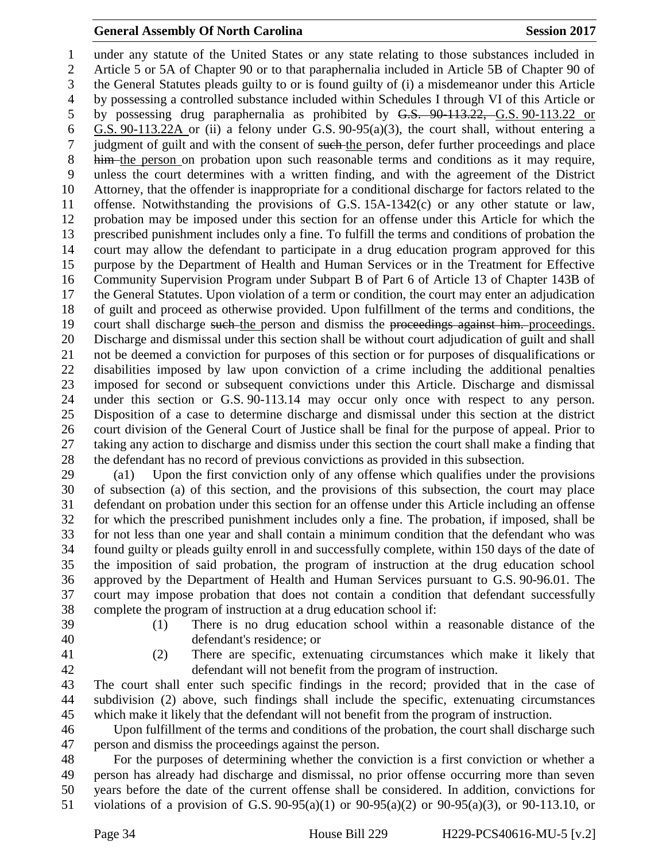under any statute of the United States or any state relating to those substances included in Article 5 or 5A of Chapter 90 or to that paraphernalia included in Article 5B of Chapter 90 of the General Statutes pleads guilty to or is found guilty of (i) a misdemeanor under this Article by possessing a controlled substance included within Schedules I through VI of this Article or by possessing drug paraphernalia as prohibited by G.S. 90-113.22, G.S. 90-113.22 or G.S. 90-113.22A or (ii) a felony under G.S. 90-95(a)(3), the court shall, without entering a judgment of guilt and with the consent of such the person, defer further proceedings and place him the person on probation upon such reasonable terms and conditions as it may require, unless the court determines with a written finding, and with the agreement of the District Attorney, that the offender is inappropriate for a conditional discharge for factors related to the offense. Notwithstanding the provisions of G.S. 15A-1342(c) or any other statute or law, probation may be imposed under this section for an offense under this Article for which the prescribed punishment includes only a fine. To fulfill the terms and conditions of probation the court may allow the defendant to participate in a drug education program approved for this purpose by the Department of Health and Human Services or in the Treatment for Effective Community Supervision Program under Subpart B of Part 6 of Article 13 of Chapter 143B of the General Statutes. Upon violation of a term or condition, the court may enter an adjudication of guilt and proceed as otherwise provided. Upon fulfillment of the terms and conditions, the 19 court shall discharge such the person and dismiss the proceedings against him. proceedings. Discharge and dismissal under this section shall be without court adjudication of guilt and shall not be deemed a conviction for purposes of this section or for purposes of disqualifications or disabilities imposed by law upon conviction of a crime including the additional penalties imposed for second or subsequent convictions under this Article. Discharge and dismissal under this section or G.S. 90-113.14 may occur only once with respect to any person. Disposition of a case to determine discharge and dismissal under this section at the district court division of the General Court of Justice shall be final for the purpose of appeal. Prior to taking any action to discharge and dismiss under this section the court shall make a finding that the defendant has no record of previous convictions as provided in this subsection.

 (a1) Upon the first conviction only of any offense which qualifies under the provisions of subsection (a) of this section, and the provisions of this subsection, the court may place defendant on probation under this section for an offense under this Article including an offense for which the prescribed punishment includes only a fine. The probation, if imposed, shall be for not less than one year and shall contain a minimum condition that the defendant who was found guilty or pleads guilty enroll in and successfully complete, within 150 days of the date of the imposition of said probation, the program of instruction at the drug education school approved by the Department of Health and Human Services pursuant to G.S. 90-96.01. The court may impose probation that does not contain a condition that defendant successfully complete the program of instruction at a drug education school if:

- 
- 
- (1) There is no drug education school within a reasonable distance of the defendant's residence; or
- (2) There are specific, extenuating circumstances which make it likely that defendant will not benefit from the program of instruction.

 The court shall enter such specific findings in the record; provided that in the case of subdivision (2) above, such findings shall include the specific, extenuating circumstances which make it likely that the defendant will not benefit from the program of instruction.

 Upon fulfillment of the terms and conditions of the probation, the court shall discharge such person and dismiss the proceedings against the person.

 For the purposes of determining whether the conviction is a first conviction or whether a person has already had discharge and dismissal, no prior offense occurring more than seven years before the date of the current offense shall be considered. In addition, convictions for violations of a provision of G.S. 90-95(a)(1) or 90-95(a)(2) or 90-95(a)(3), or 90-113.10, or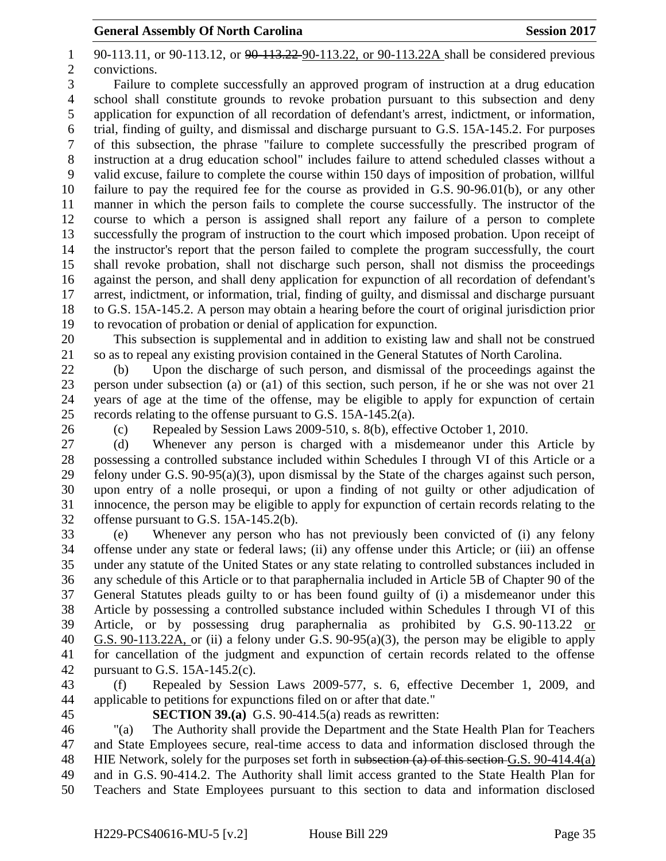1 90-113.11, or 90-113.12, or 90-113.22-90-113.22, or 90-113.22A shall be considered previous convictions. Failure to complete successfully an approved program of instruction at a drug education school shall constitute grounds to revoke probation pursuant to this subsection and deny application for expunction of all recordation of defendant's arrest, indictment, or information, trial, finding of guilty, and dismissal and discharge pursuant to G.S. 15A-145.2. For purposes of this subsection, the phrase "failure to complete successfully the prescribed program of instruction at a drug education school" includes failure to attend scheduled classes without a valid excuse, failure to complete the course within 150 days of imposition of probation, willful failure to pay the required fee for the course as provided in G.S. 90-96.01(b), or any other manner in which the person fails to complete the course successfully. The instructor of the course to which a person is assigned shall report any failure of a person to complete successfully the program of instruction to the court which imposed probation. Upon receipt of the instructor's report that the person failed to complete the program successfully, the court shall revoke probation, shall not discharge such person, shall not dismiss the proceedings against the person, and shall deny application for expunction of all recordation of defendant's arrest, indictment, or information, trial, finding of guilty, and dismissal and discharge pursuant to G.S. 15A-145.2. A person may obtain a hearing before the court of original jurisdiction prior to revocation of probation or denial of application for expunction.

 This subsection is supplemental and in addition to existing law and shall not be construed so as to repeal any existing provision contained in the General Statutes of North Carolina.

 (b) Upon the discharge of such person, and dismissal of the proceedings against the person under subsection (a) or (a1) of this section, such person, if he or she was not over 21 years of age at the time of the offense, may be eligible to apply for expunction of certain records relating to the offense pursuant to G.S. 15A-145.2(a).

(c) Repealed by Session Laws 2009-510, s. 8(b), effective October 1, 2010.

 (d) Whenever any person is charged with a misdemeanor under this Article by possessing a controlled substance included within Schedules I through VI of this Article or a felony under G.S. 90-95(a)(3), upon dismissal by the State of the charges against such person, upon entry of a nolle prosequi, or upon a finding of not guilty or other adjudication of innocence, the person may be eligible to apply for expunction of certain records relating to the offense pursuant to G.S. 15A-145.2(b).

 (e) Whenever any person who has not previously been convicted of (i) any felony offense under any state or federal laws; (ii) any offense under this Article; or (iii) an offense under any statute of the United States or any state relating to controlled substances included in any schedule of this Article or to that paraphernalia included in Article 5B of Chapter 90 of the General Statutes pleads guilty to or has been found guilty of (i) a misdemeanor under this Article by possessing a controlled substance included within Schedules I through VI of this Article, or by possessing drug paraphernalia as prohibited by G.S. 90-113.22 or G.S. 90-113.22A, or (ii) a felony under G.S. 90-95(a)(3), the person may be eligible to apply for cancellation of the judgment and expunction of certain records related to the offense pursuant to G.S. 15A-145.2(c).

 (f) Repealed by Session Laws 2009-577, s. 6, effective December 1, 2009, and applicable to petitions for expunctions filed on or after that date."

**SECTION 39.(a)** G.S. 90-414.5(a) reads as rewritten:

 "(a) The Authority shall provide the Department and the State Health Plan for Teachers and State Employees secure, real-time access to data and information disclosed through the 48 HIE Network, solely for the purposes set forth in subsection (a) of this section G.S. 90-414.4(a) and in G.S. 90-414.2. The Authority shall limit access granted to the State Health Plan for Teachers and State Employees pursuant to this section to data and information disclosed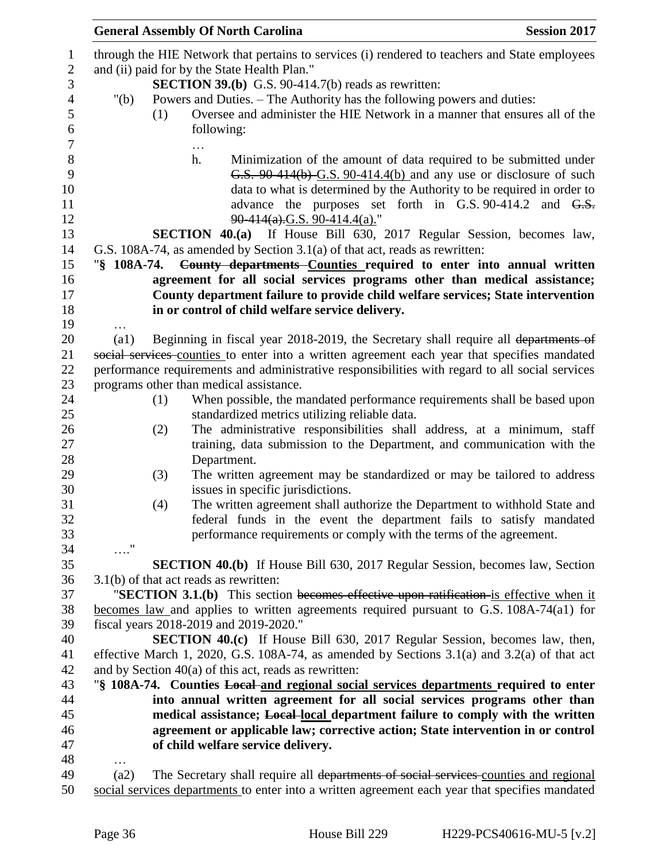| <b>General Assembly Of North Carolina</b>                                                                | <b>Session 2017</b> |
|----------------------------------------------------------------------------------------------------------|---------------------|
| through the HIE Network that pertains to services (i) rendered to teachers and State employees           |                     |
| and (ii) paid for by the State Health Plan."                                                             |                     |
| <b>SECTION 39.(b)</b> G.S. 90-414.7(b) reads as rewritten:                                               |                     |
| " $(b)$<br>Powers and Duties. – The Authority has the following powers and duties:                       |                     |
| Oversee and administer the HIE Network in a manner that ensures all of the<br>(1)                        |                     |
| following:                                                                                               |                     |
|                                                                                                          |                     |
| h.<br>Minimization of the amount of data required to be submitted under                                  |                     |
| G.S. 90-414(b) G.S. 90-414.4(b) and any use or disclosure of such                                        |                     |
| data to what is determined by the Authority to be required in order to                                   |                     |
| advance the purposes set forth in G.S. 90-414.2 and G.S.                                                 |                     |
| $90-414(a)$ .G.S. 90-414.4(a)."                                                                          |                     |
| <b>SECTION 40.(a)</b> If House Bill 630, 2017 Regular Session, becomes law,                              |                     |
| G.S. 108A-74, as amended by Section 3.1(a) of that act, reads as rewritten:                              |                     |
| "§ 108A-74.<br>County departments Counties required to enter into annual written                         |                     |
| agreement for all social services programs other than medical assistance;                                |                     |
| County department failure to provide child welfare services; State intervention                          |                     |
| in or control of child welfare service delivery.                                                         |                     |
| $\cdots$                                                                                                 |                     |
| Beginning in fiscal year 2018-2019, the Secretary shall require all departments of<br>$\left( a1\right)$ |                     |
| social services counties to enter into a written agreement each year that specifies mandated             |                     |
| performance requirements and administrative responsibilities with regard to all social services          |                     |
| programs other than medical assistance.                                                                  |                     |
| When possible, the mandated performance requirements shall be based upon<br>(1)                          |                     |
| standardized metrics utilizing reliable data.                                                            |                     |
| The administrative responsibilities shall address, at a minimum, staff<br>(2)                            |                     |
| training, data submission to the Department, and communication with the                                  |                     |
| Department.                                                                                              |                     |
| The written agreement may be standardized or may be tailored to address<br>(3)                           |                     |
| issues in specific jurisdictions.                                                                        |                     |
| The written agreement shall authorize the Department to withhold State and<br>(4)                        |                     |
| federal funds in the event the department fails to satisfy mandated                                      |                     |
| performance requirements or comply with the terms of the agreement.                                      |                     |
| $\ldots$ "                                                                                               |                     |
| <b>SECTION 40.(b)</b> If House Bill 630, 2017 Regular Session, becomes law, Section                      |                     |
| $3.1(b)$ of that act reads as rewritten:                                                                 |                     |
| "SECTION 3.1.(b) This section becomes effective upon ratification is effective when it                   |                     |
| becomes law and applies to written agreements required pursuant to G.S. 108A-74(a1) for                  |                     |
| fiscal years 2018-2019 and 2019-2020."                                                                   |                     |
| <b>SECTION 40.(c)</b> If House Bill 630, 2017 Regular Session, becomes law, then,                        |                     |
| effective March 1, 2020, G.S. 108A-74, as amended by Sections $3.1(a)$ and $3.2(a)$ of that act          |                     |
| and by Section $40(a)$ of this act, reads as rewritten:                                                  |                     |
| "§ 108A-74. Counties Local and regional social services departments required to enter                    |                     |
|                                                                                                          |                     |
|                                                                                                          |                     |
| into annual written agreement for all social services programs other than                                |                     |
| medical assistance; Local-local department failure to comply with the written                            |                     |
| agreement or applicable law; corrective action; State intervention in or control                         |                     |
| of child welfare service delivery.                                                                       |                     |
| $\ldots$<br>The Secretary shall require all departments of social services counties and regional<br>(a2) |                     |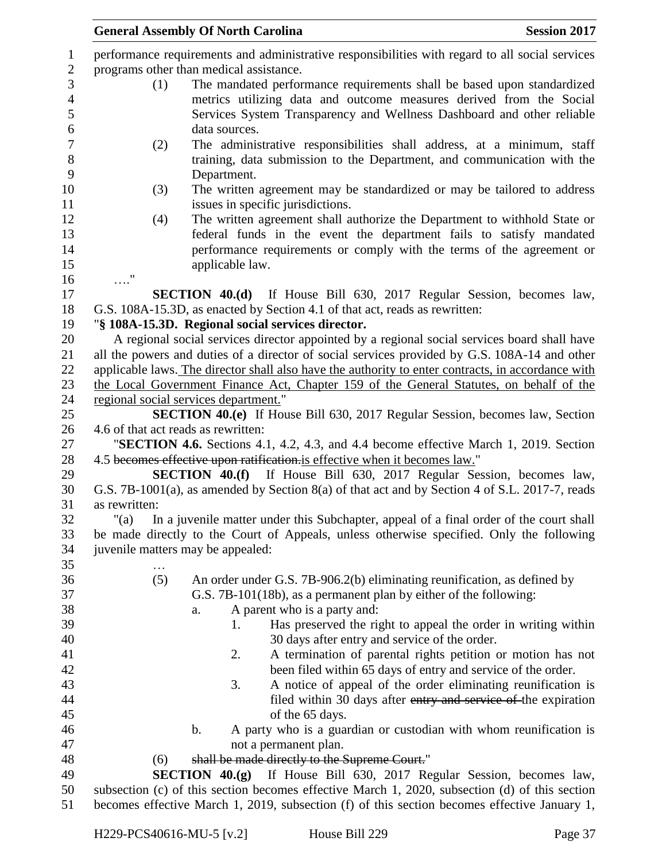| <b>General Assembly Of North Carolina</b> |                  |                                                                             | <b>Session 2017</b>                                                                                |
|-------------------------------------------|------------------|-----------------------------------------------------------------------------|----------------------------------------------------------------------------------------------------|
|                                           |                  |                                                                             | performance requirements and administrative responsibilities with regard to all social services    |
| programs other than medical assistance.   |                  |                                                                             |                                                                                                    |
| (1)                                       |                  |                                                                             | The mandated performance requirements shall be based upon standardized                             |
|                                           |                  |                                                                             | metrics utilizing data and outcome measures derived from the Social                                |
|                                           |                  |                                                                             | Services System Transparency and Wellness Dashboard and other reliable                             |
|                                           | data sources.    |                                                                             |                                                                                                    |
| (2)                                       |                  |                                                                             | The administrative responsibilities shall address, at a minimum, staff                             |
|                                           |                  |                                                                             | training, data submission to the Department, and communication with the                            |
|                                           | Department.      |                                                                             |                                                                                                    |
| (3)                                       |                  |                                                                             | The written agreement may be standardized or may be tailored to address                            |
|                                           |                  | issues in specific jurisdictions.                                           |                                                                                                    |
| (4)                                       |                  |                                                                             | The written agreement shall authorize the Department to withhold State or                          |
|                                           |                  |                                                                             | federal funds in the event the department fails to satisfy mandated                                |
|                                           |                  |                                                                             | performance requirements or comply with the terms of the agreement or                              |
|                                           | applicable law.  |                                                                             |                                                                                                    |
| $\ldots$ "                                |                  |                                                                             |                                                                                                    |
|                                           |                  |                                                                             | <b>SECTION 40.(d)</b> If House Bill 630, 2017 Regular Session, becomes law,                        |
|                                           |                  | G.S. 108A-15.3D, as enacted by Section 4.1 of that act, reads as rewritten: |                                                                                                    |
|                                           |                  | "§ 108A-15.3D. Regional social services director.                           |                                                                                                    |
|                                           |                  |                                                                             | A regional social services director appointed by a regional social services board shall have       |
|                                           |                  |                                                                             | all the powers and duties of a director of social services provided by G.S. 108A-14 and other      |
|                                           |                  |                                                                             | applicable laws. The director shall also have the authority to enter contracts, in accordance with |
|                                           |                  |                                                                             | the Local Government Finance Act, Chapter 159 of the General Statutes, on behalf of the            |
| regional social services department."     |                  |                                                                             |                                                                                                    |
|                                           |                  |                                                                             | <b>SECTION 40.(e)</b> If House Bill 630, 2017 Regular Session, becomes law, Section                |
| 4.6 of that act reads as rewritten:       |                  |                                                                             |                                                                                                    |
|                                           |                  |                                                                             | "SECTION 4.6. Sections 4.1, 4.2, 4.3, and 4.4 become effective March 1, 2019. Section              |
|                                           |                  | 4.5 becomes effective upon ratification is effective when it becomes law."  |                                                                                                    |
|                                           |                  |                                                                             | <b>SECTION 40.(f)</b> If House Bill 630, 2017 Regular Session, becomes law,                        |
|                                           |                  |                                                                             | G.S. 7B-1001(a), as amended by Section 8(a) of that act and by Section 4 of S.L. 2017-7, reads     |
| as rewritten:                             |                  |                                                                             |                                                                                                    |
| "(a)                                      |                  |                                                                             | In a juvenile matter under this Subchapter, appeal of a final order of the court shall             |
|                                           |                  |                                                                             | be made directly to the Court of Appeals, unless otherwise specified. Only the following           |
| juvenile matters may be appealed:         |                  |                                                                             |                                                                                                    |
|                                           |                  |                                                                             |                                                                                                    |
| (5)                                       |                  | An order under G.S. 7B-906.2(b) eliminating reunification, as defined by    |                                                                                                    |
|                                           |                  | G.S. 7B-101(18b), as a permanent plan by either of the following:           |                                                                                                    |
|                                           | a.               | A parent who is a party and:                                                |                                                                                                    |
|                                           | 1.               |                                                                             | Has preserved the right to appeal the order in writing within                                      |
|                                           |                  | 30 days after entry and service of the order.                               |                                                                                                    |
|                                           | 2.               |                                                                             | A termination of parental rights petition or motion has not                                        |
|                                           |                  | been filed within 65 days of entry and service of the order.                |                                                                                                    |
|                                           | 3.               |                                                                             | A notice of appeal of the order eliminating reunification is                                       |
|                                           |                  |                                                                             | filed within 30 days after entry and service of the expiration                                     |
|                                           |                  | of the 65 days.                                                             |                                                                                                    |
|                                           | $\mathbf b$ .    |                                                                             | A party who is a guardian or custodian with whom reunification is                                  |
|                                           |                  | not a permanent plan.                                                       |                                                                                                    |
| (6)                                       |                  | shall be made directly to the Supreme Court."                               |                                                                                                    |
|                                           | SECTION $40.(g)$ |                                                                             | If House Bill 630, 2017 Regular Session, becomes law,                                              |
|                                           |                  |                                                                             | subsection (c) of this section becomes effective March 1, 2020, subsection (d) of this section     |
|                                           |                  |                                                                             | becomes effective March 1, 2019, subsection (f) of this section becomes effective January 1,       |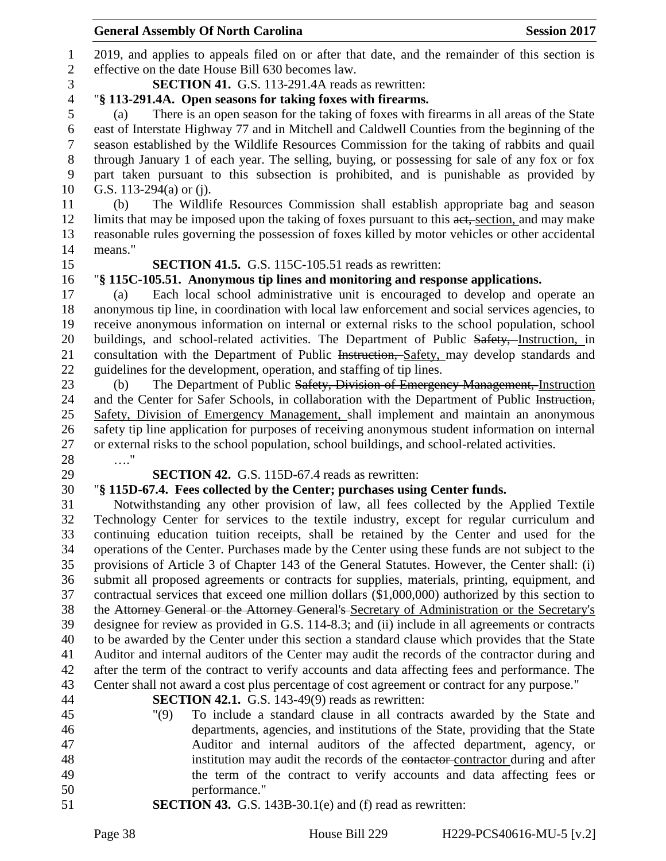2019, and applies to appeals filed on or after that date, and the remainder of this section is effective on the date House Bill 630 becomes law.

**SECTION 41.** G.S. 113-291.4A reads as rewritten:

# "**§ 113-291.4A. Open seasons for taking foxes with firearms.**

 (a) There is an open season for the taking of foxes with firearms in all areas of the State east of Interstate Highway 77 and in Mitchell and Caldwell Counties from the beginning of the season established by the Wildlife Resources Commission for the taking of rabbits and quail through January 1 of each year. The selling, buying, or possessing for sale of any fox or fox part taken pursuant to this subsection is prohibited, and is punishable as provided by G.S. 113-294(a) or (j).

 (b) The Wildlife Resources Commission shall establish appropriate bag and season 12 limits that may be imposed upon the taking of foxes pursuant to this act, section, and may make reasonable rules governing the possession of foxes killed by motor vehicles or other accidental means."

**SECTION 41.5.** G.S. 115C-105.51 reads as rewritten:

# "**§ 115C-105.51. Anonymous tip lines and monitoring and response applications.**

 (a) Each local school administrative unit is encouraged to develop and operate an anonymous tip line, in coordination with local law enforcement and social services agencies, to receive anonymous information on internal or external risks to the school population, school 20 buildings, and school-related activities. The Department of Public Safety, Instruction, in 21 consultation with the Department of Public Instruction, Safety, may develop standards and guidelines for the development, operation, and staffing of tip lines.

- (b) The Department of Public Safety, Division of Emergency Management, Instruction 24 and the Center for Safer Schools, in collaboration with the Department of Public Instruction, Safety, Division of Emergency Management, shall implement and maintain an anonymous safety tip line application for purposes of receiving anonymous student information on internal or external risks to the school population, school buildings, and school-related activities. …."
- 

# **SECTION 42.** G.S. 115D-67.4 reads as rewritten:

# "**§ 115D-67.4. Fees collected by the Center; purchases using Center funds.**

 Notwithstanding any other provision of law, all fees collected by the Applied Textile Technology Center for services to the textile industry, except for regular curriculum and continuing education tuition receipts, shall be retained by the Center and used for the operations of the Center. Purchases made by the Center using these funds are not subject to the provisions of Article 3 of Chapter 143 of the General Statutes. However, the Center shall: (i) submit all proposed agreements or contracts for supplies, materials, printing, equipment, and contractual services that exceed one million dollars (\$1,000,000) authorized by this section to the Attorney General or the Attorney General's Secretary of Administration or the Secretary's designee for review as provided in G.S. 114-8.3; and (ii) include in all agreements or contracts to be awarded by the Center under this section a standard clause which provides that the State Auditor and internal auditors of the Center may audit the records of the contractor during and after the term of the contract to verify accounts and data affecting fees and performance. The Center shall not award a cost plus percentage of cost agreement or contract for any purpose."

**SECTION 42.1.** G.S. 143-49(9) reads as rewritten:

- "(9) To include a standard clause in all contracts awarded by the State and departments, agencies, and institutions of the State, providing that the State Auditor and internal auditors of the affected department, agency, or 48 institution may audit the records of the contractor during and after the term of the contract to verify accounts and data affecting fees or performance."
- **SECTION 43.** G.S. 143B-30.1(e) and (f) read as rewritten: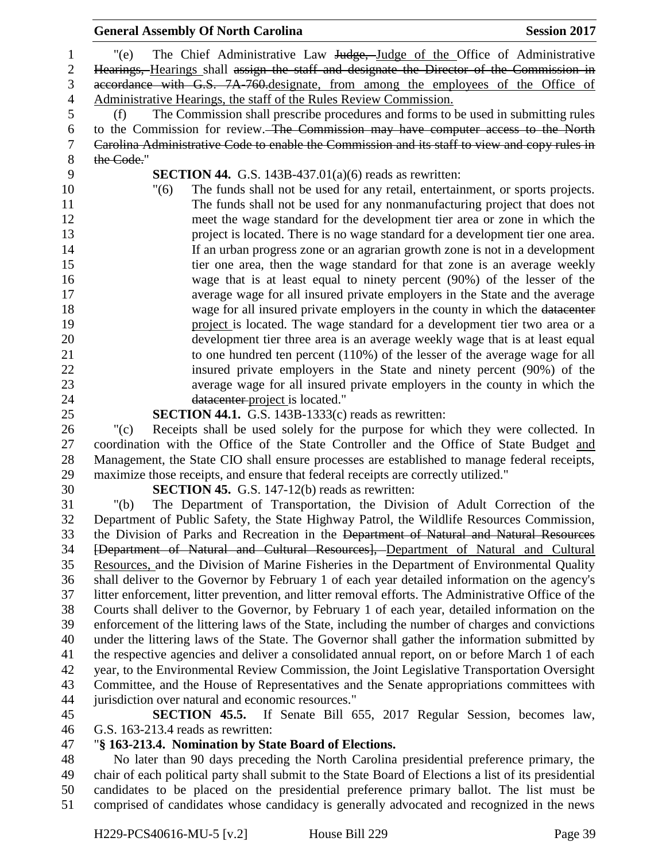|                  | <b>General Assembly Of North Carolina</b><br><b>Session 2017</b>                                      |  |
|------------------|-------------------------------------------------------------------------------------------------------|--|
| $\mathbf{1}$     | The Chief Administrative Law Judge, Judge of the Office of Administrative<br>" $(e)$                  |  |
| $\mathbf{2}$     | Hearings, Hearings shall assign the staff and designate the Director of the Commission in             |  |
| 3                | accordance with G.S. 7A-760.designate, from among the employees of the Office of                      |  |
| $\overline{4}$   | Administrative Hearings, the staff of the Rules Review Commission.                                    |  |
| 5                | The Commission shall prescribe procedures and forms to be used in submitting rules<br>(f)             |  |
| 6                | to the Commission for review. The Commission may have computer access to the North                    |  |
| $\boldsymbol{7}$ | Carolina Administrative Code to enable the Commission and its staff to view and copy rules in         |  |
| $8\,$            | the Code."                                                                                            |  |
| 9                | <b>SECTION 44.</b> G.S. 143B-437.01(a)(6) reads as rewritten:                                         |  |
| 10               | The funds shall not be used for any retail, entertainment, or sports projects.<br>"(6)                |  |
| 11               | The funds shall not be used for any nonmanufacturing project that does not                            |  |
| 12               | meet the wage standard for the development tier area or zone in which the                             |  |
| 13               | project is located. There is no wage standard for a development tier one area.                        |  |
| 14               | If an urban progress zone or an agrarian growth zone is not in a development                          |  |
| 15               | tier one area, then the wage standard for that zone is an average weekly                              |  |
| 16               | wage that is at least equal to ninety percent (90%) of the lesser of the                              |  |
| 17               | average wage for all insured private employers in the State and the average                           |  |
| 18               | wage for all insured private employers in the county in which the datacenter                          |  |
| 19               | project is located. The wage standard for a development tier two area or a                            |  |
| 20               | development tier three area is an average weekly wage that is at least equal                          |  |
| 21               | to one hundred ten percent (110%) of the lesser of the average wage for all                           |  |
| 22               | insured private employers in the State and ninety percent (90%) of the                                |  |
| 23               | average wage for all insured private employers in the county in which the                             |  |
| 24               | datacenter project is located."                                                                       |  |
| 25               | SECTION 44.1. G.S. 143B-1333(c) reads as rewritten:                                                   |  |
| 26               | Receipts shall be used solely for the purpose for which they were collected. In<br>" $(c)$            |  |
| 27               | coordination with the Office of the State Controller and the Office of State Budget and               |  |
| 28               | Management, the State CIO shall ensure processes are established to manage federal receipts,          |  |
| 29               | maximize those receipts, and ensure that federal receipts are correctly utilized."                    |  |
| 30               | <b>SECTION 45.</b> G.S. 147-12(b) reads as rewritten:                                                 |  |
| 31               | " $(b)$<br>The Department of Transportation, the Division of Adult Correction of the                  |  |
| 32               | Department of Public Safety, the State Highway Patrol, the Wildlife Resources Commission,             |  |
| 33               | the Division of Parks and Recreation in the Department of Natural and Natural Resources               |  |
| 34               | [Department of Natural and Cultural Resources], Department of Natural and Cultural                    |  |
| 35               | Resources, and the Division of Marine Fisheries in the Department of Environmental Quality            |  |
| 36               | shall deliver to the Governor by February 1 of each year detailed information on the agency's         |  |
| 37               | litter enforcement, litter prevention, and litter removal efforts. The Administrative Office of the   |  |
| 38               | Courts shall deliver to the Governor, by February 1 of each year, detailed information on the         |  |
| 39               | enforcement of the littering laws of the State, including the number of charges and convictions       |  |
| 40               | under the littering laws of the State. The Governor shall gather the information submitted by         |  |
| 41               | the respective agencies and deliver a consolidated annual report, on or before March 1 of each        |  |
| 42               | year, to the Environmental Review Commission, the Joint Legislative Transportation Oversight          |  |
| 43               | Committee, and the House of Representatives and the Senate appropriations committees with             |  |
| 44               | jurisdiction over natural and economic resources."                                                    |  |
| 45               | <b>SECTION 45.5.</b> If Senate Bill 655, 2017 Regular Session, becomes law,                           |  |
| 46               | G.S. 163-213.4 reads as rewritten:                                                                    |  |
| 47               | "§ 163-213.4. Nomination by State Board of Elections.                                                 |  |
| 48               | No later than 90 days preceding the North Carolina presidential preference primary, the               |  |
| 49               | chair of each political party shall submit to the State Board of Elections a list of its presidential |  |

 candidates to be placed on the presidential preference primary ballot. The list must be comprised of candidates whose candidacy is generally advocated and recognized in the news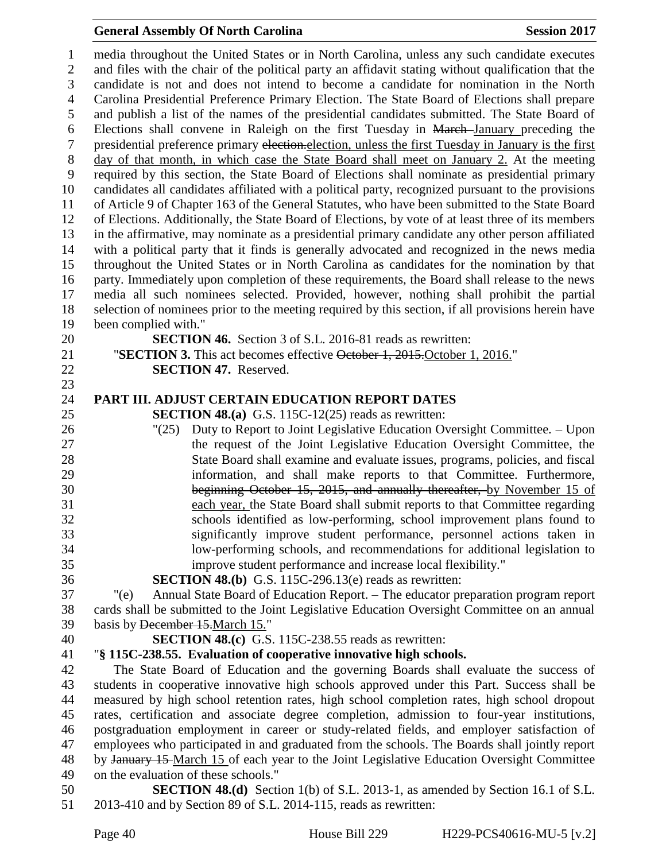media throughout the United States or in North Carolina, unless any such candidate executes and files with the chair of the political party an affidavit stating without qualification that the candidate is not and does not intend to become a candidate for nomination in the North Carolina Presidential Preference Primary Election. The State Board of Elections shall prepare and publish a list of the names of the presidential candidates submitted. The State Board of Elections shall convene in Raleigh on the first Tuesday in March January preceding the 7 presidential preference primary election-election, unless the first Tuesday in January is the first day of that month, in which case the State Board shall meet on January 2. At the meeting required by this section, the State Board of Elections shall nominate as presidential primary candidates all candidates affiliated with a political party, recognized pursuant to the provisions of Article 9 of Chapter 163 of the General Statutes, who have been submitted to the State Board of Elections. Additionally, the State Board of Elections, by vote of at least three of its members in the affirmative, may nominate as a presidential primary candidate any other person affiliated with a political party that it finds is generally advocated and recognized in the news media throughout the United States or in North Carolina as candidates for the nomination by that party. Immediately upon completion of these requirements, the Board shall release to the news media all such nominees selected. Provided, however, nothing shall prohibit the partial selection of nominees prior to the meeting required by this section, if all provisions herein have been complied with." **SECTION 46.** Section 3 of S.L. 2016-81 reads as rewritten: "**SECTION 3.** This act becomes effective October 1, 2015.October 1, 2016." **SECTION 47.** Reserved. **PART III. ADJUST CERTAIN EDUCATION REPORT DATES SECTION 48.(a)** G.S. 115C-12(25) reads as rewritten: "(25) Duty to Report to Joint Legislative Education Oversight Committee. – Upon the request of the Joint Legislative Education Oversight Committee, the State Board shall examine and evaluate issues, programs, policies, and fiscal information, and shall make reports to that Committee. Furthermore, beginning October 15, 2015, and annually thereafter, by November 15 of each year, the State Board shall submit reports to that Committee regarding schools identified as low-performing, school improvement plans found to significantly improve student performance, personnel actions taken in low-performing schools, and recommendations for additional legislation to improve student performance and increase local flexibility." **SECTION 48.(b)** G.S. 115C-296.13(e) reads as rewritten: "(e) Annual State Board of Education Report. – The educator preparation program report cards shall be submitted to the Joint Legislative Education Oversight Committee on an annual basis by December 15.March 15." **SECTION 48.(c)** G.S. 115C-238.55 reads as rewritten: "**§ 115C-238.55. Evaluation of cooperative innovative high schools.** The State Board of Education and the governing Boards shall evaluate the success of students in cooperative innovative high schools approved under this Part. Success shall be measured by high school retention rates, high school completion rates, high school dropout rates, certification and associate degree completion, admission to four-year institutions, postgraduation employment in career or study-related fields, and employer satisfaction of employees who participated in and graduated from the schools. The Boards shall jointly report 48 by January 15 March 15 of each year to the Joint Legislative Education Oversight Committee on the evaluation of these schools." **SECTION 48.(d)** Section 1(b) of S.L. 2013-1, as amended by Section 16.1 of S.L. 2013-410 and by Section 89 of S.L. 2014-115, reads as rewritten: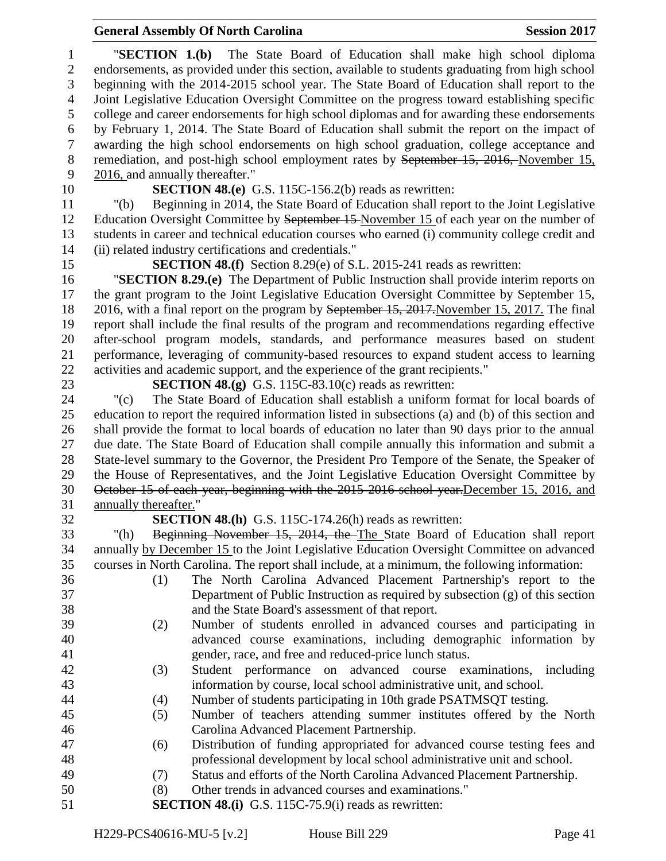"**SECTION 1.(b)** The State Board of Education shall make high school diploma endorsements, as provided under this section, available to students graduating from high school beginning with the 2014-2015 school year. The State Board of Education shall report to the Joint Legislative Education Oversight Committee on the progress toward establishing specific college and career endorsements for high school diplomas and for awarding these endorsements by February 1, 2014. The State Board of Education shall submit the report on the impact of awarding the high school endorsements on high school graduation, college acceptance and remediation, and post-high school employment rates by September 15, 2016, November 15, 2016, and annually thereafter." **SECTION 48.(e)** G.S. 115C-156.2(b) reads as rewritten: "(b) Beginning in 2014, the State Board of Education shall report to the Joint Legislative 12 Education Oversight Committee by September 15 November 15 of each year on the number of students in career and technical education courses who earned (i) community college credit and (ii) related industry certifications and credentials." **SECTION 48.(f)** Section 8.29(e) of S.L. 2015-241 reads as rewritten: "**SECTION 8.29.(e)** The Department of Public Instruction shall provide interim reports on the grant program to the Joint Legislative Education Oversight Committee by September 15, 18 2016, with a final report on the program by September 15, 2017. November 15, 2017. The final report shall include the final results of the program and recommendations regarding effective after-school program models, standards, and performance measures based on student performance, leveraging of community-based resources to expand student access to learning activities and academic support, and the experience of the grant recipients." **SECTION 48.(g)** G.S. 115C-83.10(c) reads as rewritten: "(c) The State Board of Education shall establish a uniform format for local boards of education to report the required information listed in subsections (a) and (b) of this section and shall provide the format to local boards of education no later than 90 days prior to the annual due date. The State Board of Education shall compile annually this information and submit a State-level summary to the Governor, the President Pro Tempore of the Senate, the Speaker of the House of Representatives, and the Joint Legislative Education Oversight Committee by October 15 of each year, beginning with the 2015-2016 school year.December 15, 2016, and annually thereafter." **SECTION 48.(h)** G.S. 115C-174.26(h) reads as rewritten: "(h) Beginning November 15, 2014, the The State Board of Education shall report annually by December 15 to the Joint Legislative Education Oversight Committee on advanced courses in North Carolina. The report shall include, at a minimum, the following information: (1) The North Carolina Advanced Placement Partnership's report to the Department of Public Instruction as required by subsection (g) of this section and the State Board's assessment of that report. (2) Number of students enrolled in advanced courses and participating in advanced course examinations, including demographic information by gender, race, and free and reduced-price lunch status. (3) Student performance on advanced course examinations, including information by course, local school administrative unit, and school. (4) Number of students participating in 10th grade PSATMSQT testing. (5) Number of teachers attending summer institutes offered by the North Carolina Advanced Placement Partnership. (6) Distribution of funding appropriated for advanced course testing fees and professional development by local school administrative unit and school. (7) Status and efforts of the North Carolina Advanced Placement Partnership. (8) Other trends in advanced courses and examinations." **SECTION 48.(i)** G.S. 115C-75.9(i) reads as rewritten: